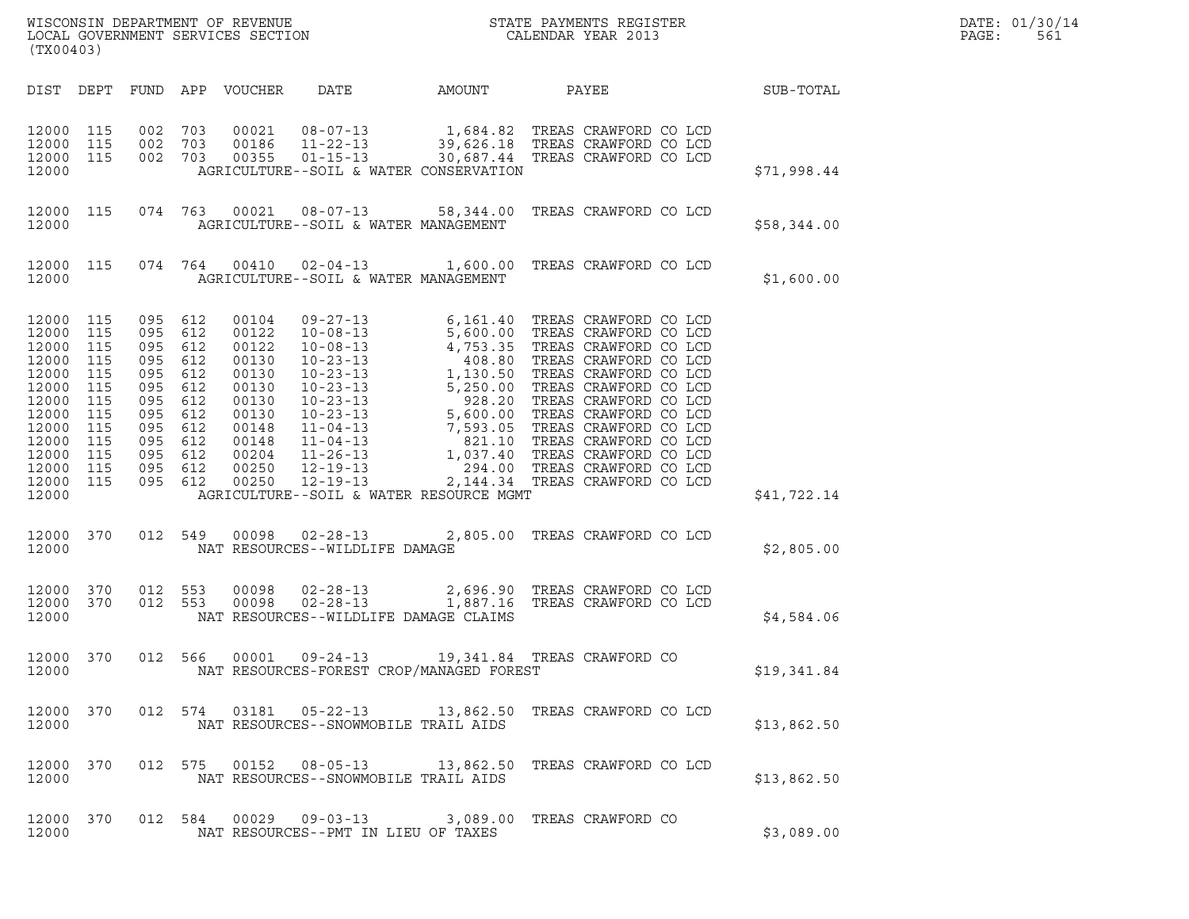| (TX00403)                                                                                                                      |                                                                                  |                                                                                                 |                                                                           |                                                                                                                   | ${\tt WISCONSIM} \begin{tabular}{l} DEPARTMENT OF REVIEW \\ LOCAL BONERNMENT SERVICES SECTION \\ \end{tabular} \begin{tabular}{l} \multicolumn{2}{c}{\textbf{S}} \\ \multicolumn{2}{c}{\textbf{S}} \\ \multicolumn{2}{c}{\textbf{S}} \\ \multicolumn{2}{c}{\textbf{N}} \\ \multicolumn{2}{c}{\textbf{S}} \\ \multicolumn{2}{c}{\textbf{S}} \\ \multicolumn{2}{c}{\textbf{S}} \\ \multicolumn{2}{c}{\textbf{S}} \\ \multicolumn{2}{c}{\textbf{S}} \\ \multicolumn{2}{c}{\textbf{S}} \\ \multicolumn{2}{c}{\textbf{S$ |                                                                  |                                |                  | DATE: 01/30/14<br>PAGE:<br>561 |
|--------------------------------------------------------------------------------------------------------------------------------|----------------------------------------------------------------------------------|-------------------------------------------------------------------------------------------------|---------------------------------------------------------------------------|-------------------------------------------------------------------------------------------------------------------|---------------------------------------------------------------------------------------------------------------------------------------------------------------------------------------------------------------------------------------------------------------------------------------------------------------------------------------------------------------------------------------------------------------------------------------------------------------------------------------------------------------------|------------------------------------------------------------------|--------------------------------|------------------|--------------------------------|
| DIST DEPT                                                                                                                      |                                                                                  |                                                                                                 |                                                                           | FUND APP VOUCHER                                                                                                  |                                                                                                                                                                                                                                                                                                                                                                                                                                                                                                                     | DATE AMOUNT PAYEE                                                |                                | <b>SUB-TOTAL</b> |                                |
| 12000 115<br>12000<br>12000<br>12000                                                                                           | 115<br>115                                                                       | 002 703<br>002<br>002 703                                                                       | 703                                                                       | 00021<br>00186<br>00355                                                                                           | 08-07-13<br>1,684.82 TREAS CRAWFORD CO LCD<br>11-22-13<br>39,626.18 TREAS CRAWFORD CO LCD<br>01-15-13 30,687.44 TREAS CRAWFORD CO LCD<br>AGRICULTURE--SOIL & WATER CONSERVATION                                                                                                                                                                                                                                                                                                                                     |                                                                  |                                | \$71,998.44      |                                |
| 12000 115<br>12000                                                                                                             |                                                                                  |                                                                                                 |                                                                           |                                                                                                                   | 074  763  00021  08-07-13  58,344.00  TREAS CRAWFORD CO LCD<br>AGRICULTURE--SOIL & WATER MANAGEMENT                                                                                                                                                                                                                                                                                                                                                                                                                 |                                                                  |                                | \$58,344.00      |                                |
| 12000 115<br>12000                                                                                                             |                                                                                  |                                                                                                 |                                                                           |                                                                                                                   | 074  764  00410  02-04-13  1,600.00  TREAS CRAWFORD CO LCD<br>AGRICULTURE--SOIL & WATER MANAGEMENT                                                                                                                                                                                                                                                                                                                                                                                                                  |                                                                  |                                | \$1,600.00       |                                |
| 12000 115<br>12000<br>12000<br>12000<br>12000<br>12000<br>12000<br>12000<br>12000<br>12000<br>12000<br>12000<br>12000<br>12000 | 115<br>115<br>115<br>115<br>115<br>115<br>115<br>115<br>115<br>115<br>115<br>115 | 095 612<br>095<br>095<br>095<br>095<br>095<br>095<br>095<br>095<br>095<br>095<br>095<br>095 612 | 612<br>612<br>612<br>612<br>612<br>612<br>612<br>612<br>612<br>612<br>612 | 00104<br>00122<br>00122<br>00130<br>00130<br>00130<br>00130<br>00130<br>00148<br>00148<br>00204<br>00250<br>00250 | $09 - 27 - 13$<br>09-27-13 6,161.40 TREAS CRAWFORD CO LCD<br>10-08-13 5,600.00 TREAS CRAWFORD CO LCD<br>10-23-13 408.80 TREAS CRAWFORD CO LCD<br>10-23-13 1,130.50 TREAS CRAWFORD CO LCD<br>10-23-13 5,250.00 TREAS CRAWFORD CO LCD<br>10-23-13 5,250.00 T<br>$12 - 19 - 13$<br>AGRICULTURE--SOIL & WATER RESOURCE MGMT                                                                                                                                                                                             | 6,161.40 TREAS CRAWFORD CO LCD<br>2,144.34 TREAS CRAWFORD CO LCD |                                | \$41,722.14      |                                |
| 12000 370<br>12000                                                                                                             |                                                                                  |                                                                                                 | 012 549                                                                   |                                                                                                                   | 00098  02-28-13<br>NAT RESOURCES--WILDLIFE DAMAGE                                                                                                                                                                                                                                                                                                                                                                                                                                                                   |                                                                  | 2,805.00 TREAS CRAWFORD CO LCD | \$2,805.00       |                                |
| 12000 370<br>12000<br>12000                                                                                                    | 370                                                                              | 012 553<br>012 553                                                                              |                                                                           | 00098<br>00098                                                                                                    | $02 - 28 - 13$<br>$02 - 28 - 13$<br>NAT RESOURCES--WILDLIFE DAMAGE CLAIMS                                                                                                                                                                                                                                                                                                                                                                                                                                           | 2,696.90 TREAS CRAWFORD CO LCD                                   | 1,887.16 TREAS CRAWFORD CO LCD | \$4,584.06       |                                |
| 12000 370<br>12000                                                                                                             |                                                                                  |                                                                                                 |                                                                           |                                                                                                                   | 012 566 00001 09-24-13 19,341.84 TREAS CRAWFORD CO<br>NAT RESOURCES-FOREST CROP/MANAGED FOREST                                                                                                                                                                                                                                                                                                                                                                                                                      |                                                                  |                                | \$19,341.84      |                                |
| 12000 370<br>12000                                                                                                             |                                                                                  |                                                                                                 |                                                                           |                                                                                                                   | 012 574 03181 05-22-13 13,862.50 TREAS CRAWFORD CO LCD<br>NAT RESOURCES--SNOWMOBILE TRAIL AIDS                                                                                                                                                                                                                                                                                                                                                                                                                      |                                                                  |                                | \$13,862.50      |                                |
| 12000 370<br>12000                                                                                                             |                                                                                  |                                                                                                 |                                                                           |                                                                                                                   | 012 575 00152 08-05-13 13,862.50 TREAS CRAWFORD CO LCD<br>NAT RESOURCES--SNOWMOBILE TRAIL AIDS                                                                                                                                                                                                                                                                                                                                                                                                                      |                                                                  |                                | \$13,862.50      |                                |
| 12000 370<br>12000                                                                                                             |                                                                                  |                                                                                                 |                                                                           |                                                                                                                   | 012 584 00029 09-03-13 3,089.00 TREAS CRAWFORD CO<br>NAT RESOURCES--PMT IN LIEU OF TAXES                                                                                                                                                                                                                                                                                                                                                                                                                            |                                                                  |                                | \$3,089.00       |                                |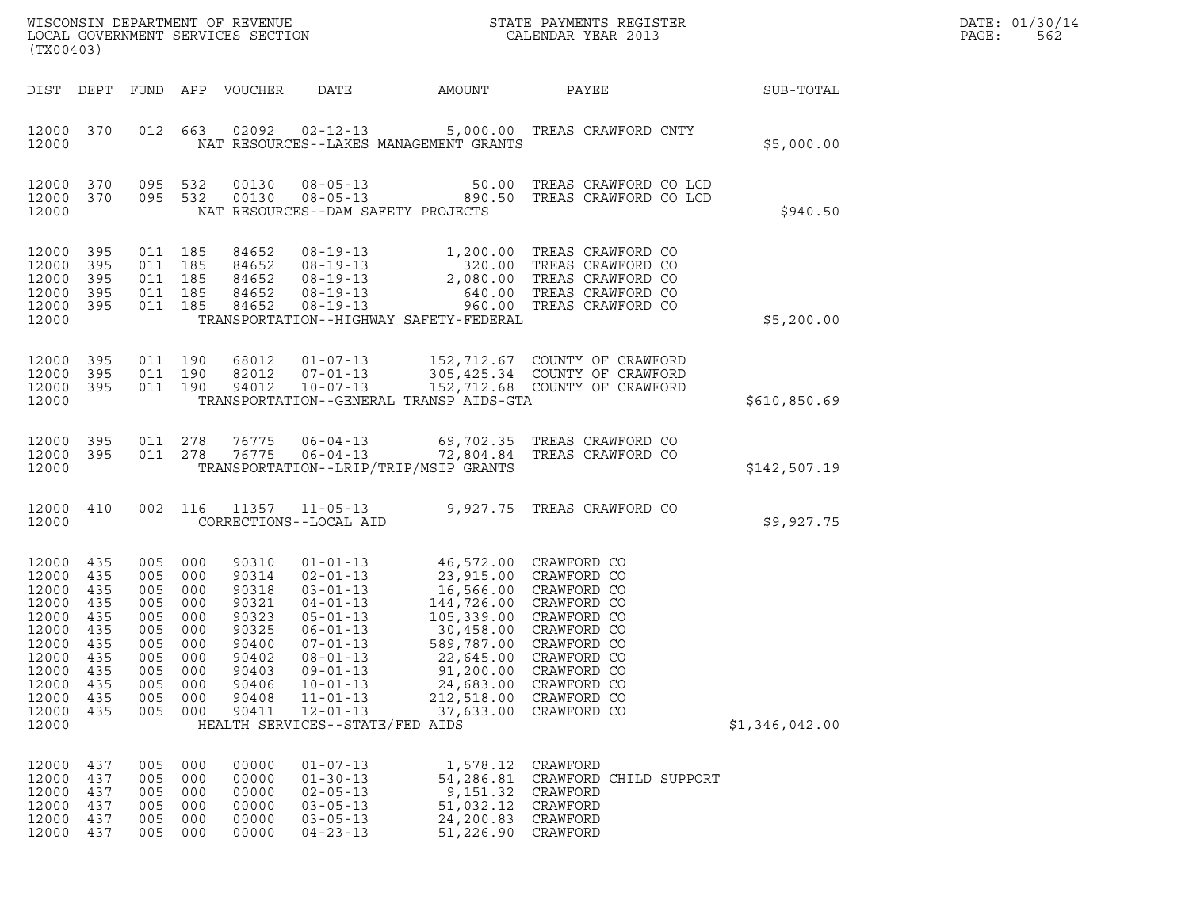|       | DATE: 01/30/14 |
|-------|----------------|
| PAGE: | 562            |

| (TX00403)                                                                                                                 |                                                                    |                                                                                          |                                                                    | WISCONSIN DEPARTMENT OF REVENUE<br>LOCAL GOVERNMENT SERVICES SECTION                                     |                                                                                                                                                                                                                                       | NC                                                                                                                                                                                                                              | STATE PAYMENTS REGISTER<br>CALENDAR YEAR 2013                                                                                                                                                                        |                | DATE: 01/30/14<br>PAGE:<br>562 |
|---------------------------------------------------------------------------------------------------------------------------|--------------------------------------------------------------------|------------------------------------------------------------------------------------------|--------------------------------------------------------------------|----------------------------------------------------------------------------------------------------------|---------------------------------------------------------------------------------------------------------------------------------------------------------------------------------------------------------------------------------------|---------------------------------------------------------------------------------------------------------------------------------------------------------------------------------------------------------------------------------|----------------------------------------------------------------------------------------------------------------------------------------------------------------------------------------------------------------------|----------------|--------------------------------|
|                                                                                                                           |                                                                    |                                                                                          |                                                                    | DIST DEPT FUND APP VOUCHER                                                                               | DATE                                                                                                                                                                                                                                  | AMOUNT                                                                                                                                                                                                                          | PAYEE                                                                                                                                                                                                                | SUB-TOTAL      |                                |
| 12000 370<br>12000                                                                                                        |                                                                    |                                                                                          | 012 663                                                            | 02092                                                                                                    |                                                                                                                                                                                                                                       | NAT RESOURCES--LAKES MANAGEMENT GRANTS                                                                                                                                                                                          | 02-12-13 5,000.00 TREAS CRAWFORD CNTY                                                                                                                                                                                | \$5,000.00     |                                |
| 12000 370<br>12000 370<br>12000                                                                                           |                                                                    | 095 532<br>095 532                                                                       |                                                                    | 00130<br>00130                                                                                           |                                                                                                                                                                                                                                       | NAT RESOURCES--DAM SAFETY PROJECTS                                                                                                                                                                                              | 08-05-13 50.00 TREAS CRAWFORD CO LCD<br>08-05-13 0890.50 TREAS CRAWFORD CO LCD                                                                                                                                       | \$940.50       |                                |
| 12000 395<br>12000<br>12000<br>12000<br>12000 395<br>12000                                                                | 395<br>395<br>395                                                  | 011 185<br>011 185<br>011 185<br>011 185<br>011 185                                      |                                                                    | 84652<br>84652<br>84652<br>84652<br>84652                                                                |                                                                                                                                                                                                                                       | TRANSPORTATION--HIGHWAY SAFETY-FEDERAL                                                                                                                                                                                          | 08-19-13<br>08-19-13<br>08-19-13<br>08-19-13<br>08-19-13<br>08-19-13<br>08-19-13<br>08-19-13<br>08-19-13<br>08-19-13<br>08-19-13<br>08-19-13<br>08-19-13<br>08-19-13<br>08-19-13<br>08-19-13<br>08-19-13<br>08-19-13 | \$5,200.00     |                                |
| 12000<br>12000<br>12000 395<br>12000                                                                                      | 395<br>395                                                         | 011 190<br>011 190<br>011 190                                                            |                                                                    | 68012<br>82012<br>94012                                                                                  | $01 - 07 - 13$<br>$07 - 01 - 13$<br>$10 - 07 - 13$                                                                                                                                                                                    | TRANSPORTATION--GENERAL TRANSP AIDS-GTA                                                                                                                                                                                         | 152,712.67 COUNTY OF CRAWFORD<br>305,425.34 COUNTY OF CRAWFORD<br>152,712.68 COUNTY OF CRAWFORD                                                                                                                      | \$610,850.69   |                                |
| 12000 395<br>12000 395<br>12000                                                                                           |                                                                    | 011 278<br>011 278                                                                       |                                                                    | 76775<br>76775                                                                                           | $06 - 04 - 13$<br>$06 - 04 - 13$                                                                                                                                                                                                      | TRANSPORTATION--LRIP/TRIP/MSIP GRANTS                                                                                                                                                                                           | 69,702.35 TREAS CRAWFORD CO<br>72,804.84 TREAS CRAWFORD CO                                                                                                                                                           | \$142,507.19   |                                |
| 12000 410<br>12000                                                                                                        |                                                                    |                                                                                          |                                                                    |                                                                                                          | CORRECTIONS--LOCAL AID                                                                                                                                                                                                                |                                                                                                                                                                                                                                 | 002 116 11357 11-05-13 9,927.75 TREAS CRAWFORD CO                                                                                                                                                                    | \$9,927.75     |                                |
| 12000 435<br>12000<br>12000<br>12000<br>12000<br>12000<br>12000 435<br>12000<br>12000<br>12000<br>12000<br>12000<br>12000 | 435<br>435<br>435<br>435<br>435<br>435<br>435<br>435<br>435<br>435 | 005 000<br>005<br>005<br>005<br>005<br>005<br>005 000<br>005<br>005<br>005<br>005<br>005 | 000<br>000<br>000<br>000<br>000<br>000<br>000<br>000<br>000<br>000 | 90310<br>90314<br>90318<br>90321<br>90323<br>90325<br>90400<br>90402<br>90403<br>90406<br>90408<br>90411 | $02 - 01 - 13$<br>$03 - 01 - 13$<br>$04 - 01 - 13$<br>$05 - 01 - 13$<br>$06 - 01 - 13$<br>$07 - 01 - 13$<br>$08 - 01 - 13$<br>$09 - 01 - 13$<br>$10 - 01 - 13$<br>$11 - 01 - 13$<br>$12 - 01 - 13$<br>HEALTH SERVICES--STATE/FED AIDS | 01-01-13 46,572.00 CRAWFORD CO<br>23,915.00 CRAWFORD CO<br>16,566.00 CRAWFORD CO<br>144,726.00 CRAWFORD CO<br>105,339.00 CRAWFORD CO<br>30,458.00 CRAWFORD CO<br>22,645.00<br>91,200.00<br>24,683.00<br>212,518.00<br>37,633.00 | 589,787.00 CRAWFORD CO<br>CRAWFORD CO<br>CRAWFORD CO<br>CRAWFORD CO<br>CRAWFORD CO<br>CRAWFORD CO                                                                                                                    | \$1,346,042.00 |                                |
| 12000<br>12000<br>12000<br>12000<br>12000<br>12000                                                                        | 437<br>437<br>437<br>437<br>437<br>437                             | 005<br>005<br>005<br>005<br>005<br>005                                                   | 000<br>000<br>000<br>000<br>000<br>000                             | 00000<br>00000<br>00000<br>00000<br>00000<br>00000                                                       | $01 - 07 - 13$<br>$01 - 30 - 13$<br>$02 - 05 - 13$<br>$03 - 05 - 13$<br>$03 - 05 - 13$<br>$04 - 23 - 13$                                                                                                                              | 1,578.12<br>54,286.81<br>9,151.32<br>51,032.12<br>24,200.83<br>51,226.90                                                                                                                                                        | CRAWFORD<br>CRAWFORD CHILD SUPPORT<br>CRAWFORD<br>CRAWFORD<br>CRAWFORD<br>CRAWFORD                                                                                                                                   |                |                                |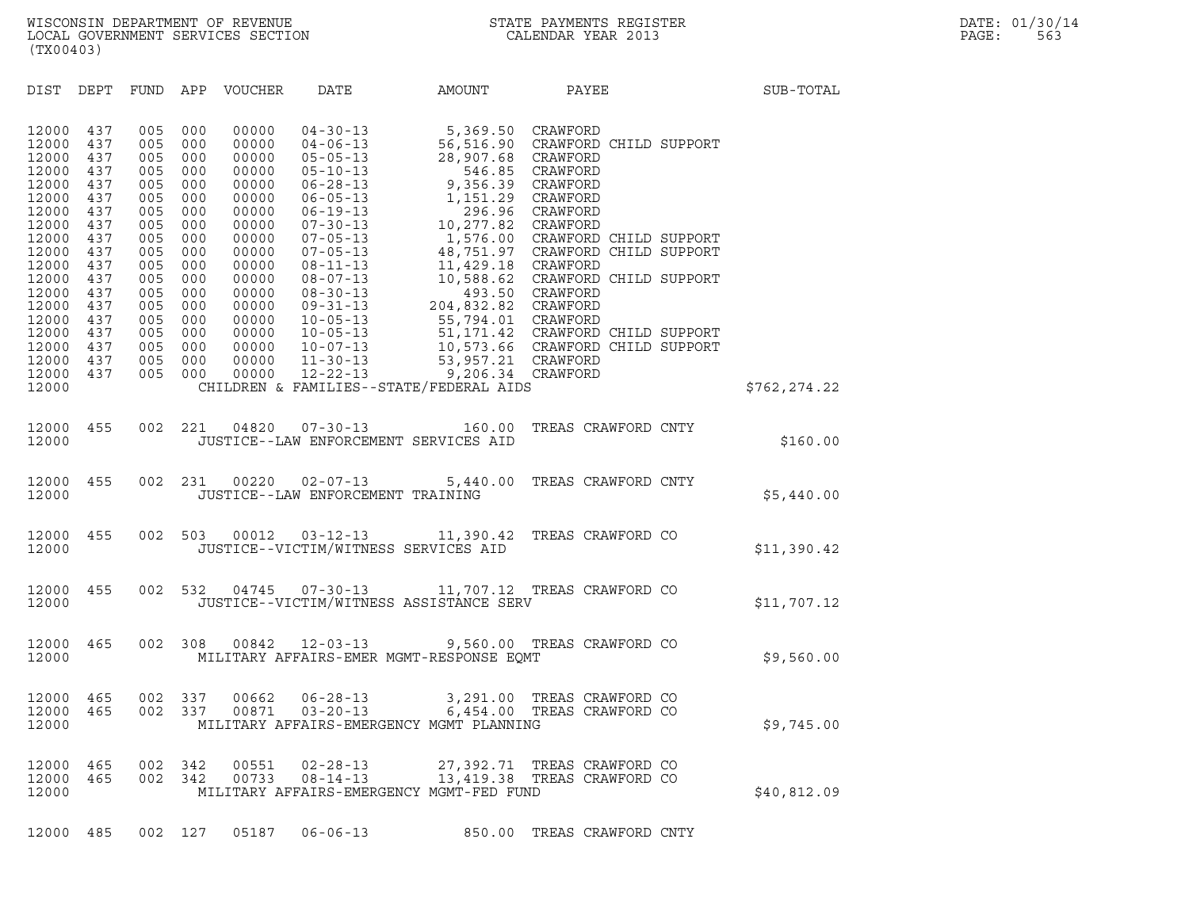| (TX00403)                                                   |                                               |                                               |                                               |                                                             |                                                                                                                            |                                                                                                                                                 |                                                                                                                            |               |  |
|-------------------------------------------------------------|-----------------------------------------------|-----------------------------------------------|-----------------------------------------------|-------------------------------------------------------------|----------------------------------------------------------------------------------------------------------------------------|-------------------------------------------------------------------------------------------------------------------------------------------------|----------------------------------------------------------------------------------------------------------------------------|---------------|--|
| DIST                                                        | DEPT                                          | <b>FUND</b>                                   | APP                                           | VOUCHER                                                     | DATE                                                                                                                       | AMOUNT                                                                                                                                          | PAYEE                                                                                                                      | SUB-TOTAL     |  |
| 12000<br>12000<br>12000<br>12000<br>12000<br>12000<br>12000 | 437<br>437<br>437<br>437<br>437<br>437<br>437 | 005<br>005<br>005<br>005<br>005<br>005<br>005 | 000<br>000<br>000<br>000<br>000<br>000<br>000 | 00000<br>00000<br>00000<br>00000<br>00000<br>00000<br>00000 | $04 - 30 - 13$<br>$04 - 06 - 13$<br>$05 - 05 - 13$<br>$05 - 10 - 13$<br>$06 - 28 - 13$<br>$06 - 05 - 13$<br>$06 - 19 - 13$ | 5,369.50<br>56,516.90<br>28,907.68<br>546.85<br>9,356.39<br>1,151.29 CRAWFORD                                                                   | CRAWFORD<br>CRAWFORD CHILD SUPPORT<br>CRAWFORD<br>CRAWFORD<br>CRAWFORD<br>296.96 CRAWFORD                                  |               |  |
| 12000<br>12000<br>12000<br>12000<br>12000<br>12000<br>12000 | 437<br>437<br>437<br>437<br>437<br>437<br>437 | 005<br>005<br>005<br>005<br>005<br>005<br>005 | 000<br>000<br>000<br>000<br>000<br>000<br>000 | 00000<br>00000<br>00000<br>00000<br>00000<br>00000<br>00000 | $07 - 30 - 13$<br>$07 - 05 - 13$<br>$07 - 05 - 13$<br>$08 - 11 - 13$<br>$08 - 07 - 13$<br>$08 - 30 - 13$<br>$09 - 31 - 13$ | 10,277.82 CRAWFORD<br>11,429.18 CRAWFORD<br>204,832.82 CRAWFORD                                                                                 | 1,576.00 CRAWFORD CHILD SUPPORT<br>48,751.97 CRAWFORD CHILD SUPPORT<br>10,588.62 CRAWFORD CHILD SUPPORT<br>493.50 CRAWFORD |               |  |
| 12000<br>12000<br>12000<br>12000<br>12000<br>12000          | 437<br>437<br>437<br>437<br>437               | 005<br>005<br>005<br>005<br>005               | 000<br>000<br>000<br>000<br>000               | 00000<br>00000<br>00000<br>00000<br>00000                   | $10 - 05 - 13$<br>$10 - 05 - 13$<br>$10 - 07 - 13$<br>$11 - 30 - 13$<br>$12 - 22 - 13$                                     | 55,794.01 CRAWFORD<br>53, 957.21 CRAWFORD<br>CHILDREN & FAMILIES--STATE/FEDERAL AIDS                                                            | 51,171.42 CRAWFORD CHILD SUPPORT<br>10,573.66 CRAWFORD CHILD SUPPORT<br>9,206.34 CRAWFORD                                  | \$762, 274.22 |  |
| 12000<br>12000                                              | 455                                           | 002                                           | 221                                           | 04820                                                       | $07 - 30 - 13$                                                                                                             | 160.00<br>JUSTICE--LAW ENFORCEMENT SERVICES AID                                                                                                 | TREAS CRAWFORD CNTY                                                                                                        | \$160.00      |  |
| 12000<br>12000                                              | 455                                           | 002                                           | 231                                           | 00220                                                       | $02 - 07 - 13$<br>JUSTICE--LAW ENFORCEMENT TRAINING                                                                        | 5,440.00                                                                                                                                        | TREAS CRAWFORD CNTY                                                                                                        | \$5,440.00    |  |
| 12000<br>12000                                              | 455                                           | 002                                           | 503                                           | 00012                                                       | $03 - 12 - 13$                                                                                                             | 11,390.42<br>JUSTICE--VICTIM/WITNESS SERVICES AID                                                                                               | TREAS CRAWFORD CO                                                                                                          | \$11,390.42   |  |
| 12000<br>12000                                              | 455                                           | 002                                           | 532                                           | 04745                                                       | $07 - 30 - 13$                                                                                                             | 11,707.12 TREAS CRAWFORD CO<br>JUSTICE--VICTIM/WITNESS ASSISTANCE SERV                                                                          |                                                                                                                            | \$11,707.12   |  |
| 12000<br>12000                                              | 465                                           | 002                                           | 308                                           | 00842                                                       | $12 - 03 - 13$                                                                                                             | MILITARY AFFAIRS-EMER MGMT-RESPONSE EQMT                                                                                                        | 9,560.00 TREAS CRAWFORD CO                                                                                                 | \$9,560.00    |  |
| 12000<br>12000<br>12000                                     | 465<br>465                                    | 002<br>002                                    | 337<br>337                                    | 00662<br>00871                                              | $06 - 28 - 13$<br>$03 - 20 - 13$                                                                                           | 3,291.00<br>6,454.00<br>MILITARY AFFAIRS-EMERGENCY MGMT PLANNING                                                                                | TREAS CRAWFORD CO<br>TREAS CRAWFORD CO                                                                                     | \$9,745.00    |  |
| 12000 465<br>12000                                          | 12000 465                                     |                                               | 002 342                                       |                                                             |                                                                                                                            | 002 342 00551 02-28-13 27,392.71 TREAS CRAWFORD CO<br>00733  08-14-13  13,419.38  TREAS CRAWFORD CO<br>MILITARY AFFAIRS-EMERGENCY MGMT-FED FUND |                                                                                                                            | \$40,812.09   |  |
| 12000 485                                                   |                                               |                                               | 002 127                                       | 05187                                                       | $06 - 06 - 13$                                                                                                             |                                                                                                                                                 | 850.00 TREAS CRAWFORD CNTY                                                                                                 |               |  |
|                                                             |                                               |                                               |                                               |                                                             |                                                                                                                            |                                                                                                                                                 |                                                                                                                            |               |  |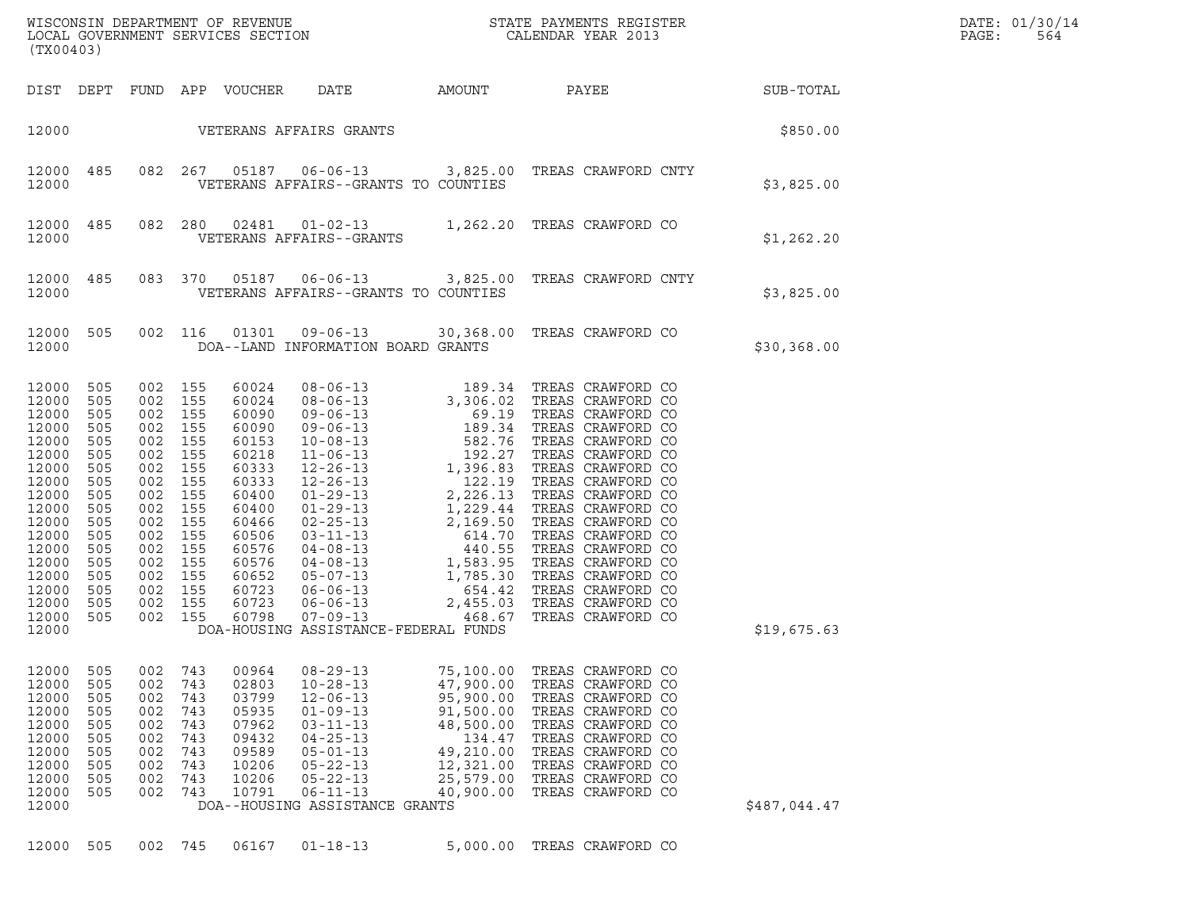| (TX00403)                                                                                                                                             |                                                                                                                                        |                                                                                                 |                                                                                                 |                                                                                                                                                                |                                                                                                                                                                                                                    |                                                                                                                             |                                                                                                                                                                                                                |              | DATE: 01/30/14<br>PAGE:<br>564 |
|-------------------------------------------------------------------------------------------------------------------------------------------------------|----------------------------------------------------------------------------------------------------------------------------------------|-------------------------------------------------------------------------------------------------|-------------------------------------------------------------------------------------------------|----------------------------------------------------------------------------------------------------------------------------------------------------------------|--------------------------------------------------------------------------------------------------------------------------------------------------------------------------------------------------------------------|-----------------------------------------------------------------------------------------------------------------------------|----------------------------------------------------------------------------------------------------------------------------------------------------------------------------------------------------------------|--------------|--------------------------------|
|                                                                                                                                                       |                                                                                                                                        |                                                                                                 |                                                                                                 |                                                                                                                                                                |                                                                                                                                                                                                                    |                                                                                                                             | DIST DEPT FUND APP VOUCHER DATE AMOUNT PAYEE SUB-TOTAL                                                                                                                                                         |              |                                |
|                                                                                                                                                       |                                                                                                                                        |                                                                                                 |                                                                                                 |                                                                                                                                                                | 12000 VETERANS AFFAIRS GRANTS                                                                                                                                                                                      |                                                                                                                             |                                                                                                                                                                                                                | \$850.00     |                                |
| 12000                                                                                                                                                 | 12000 485                                                                                                                              |                                                                                                 |                                                                                                 |                                                                                                                                                                | VETERANS AFFAIRS--GRANTS TO COUNTIES                                                                                                                                                                               |                                                                                                                             | 082  267  05187  06-06-13  3,825.00  TREAS CRAWFORD CNTY                                                                                                                                                       | \$3,825.00   |                                |
| 12000                                                                                                                                                 | 12000 485                                                                                                                              |                                                                                                 |                                                                                                 |                                                                                                                                                                | VETERANS AFFAIRS--GRANTS                                                                                                                                                                                           |                                                                                                                             | 082 280 02481 01-02-13 1,262.20 TREAS CRAWFORD CO                                                                                                                                                              | \$1,262.20   |                                |
| 12000                                                                                                                                                 | 12000 485                                                                                                                              |                                                                                                 |                                                                                                 |                                                                                                                                                                | VETERANS AFFAIRS--GRANTS TO COUNTIES                                                                                                                                                                               |                                                                                                                             | 083 370 05187 06-06-13 3,825.00 TREAS CRAWFORD CNTY                                                                                                                                                            | \$3,825.00   |                                |
| 12000                                                                                                                                                 | 12000 505                                                                                                                              |                                                                                                 | 002 116                                                                                         | 01301                                                                                                                                                          | DOA--LAND INFORMATION BOARD GRANTS                                                                                                                                                                                 |                                                                                                                             | 09-06-13 30,368.00 TREAS CRAWFORD CO                                                                                                                                                                           | \$30,368.00  |                                |
| 12000<br>12000<br>12000<br>12000<br>12000<br>12000<br>12000<br>12000<br>12000<br>12000<br>12000<br>12000<br>12000<br>12000<br>12000<br>12000<br>12000 | 12000 505<br>12000 505<br>505<br>505<br>505<br>505<br>505<br>505<br>505<br>505<br>505<br>505<br>505<br>505<br>505<br>505<br>505<br>505 | 002 155<br>002 155<br>002 155<br>002 155<br>002 155<br>002 155<br>002 155<br>002 155<br>002 155 | 002 155<br>002 155<br>002 155<br>002 155<br>002 155<br>002 155<br>002 155<br>002 155<br>002 155 | 60024<br>60024<br>60090<br>60090<br>60153<br>60218<br>60333<br>60333<br>60400<br>60400<br>60466<br>60506<br>60576<br>60576<br>60652<br>60723<br>60723<br>60798 | DOA-HOUSING ASSISTANCE-FEDERAL FUNDS                                                                                                                                                                               |                                                                                                                             |                                                                                                                                                                                                                | \$19,675.63  |                                |
| 12000<br>12000<br>12000<br>12000<br>12000<br>12000<br>12000<br>12000<br>12000<br>12000<br>12000                                                       | 505<br>505<br>505<br>505<br>505<br>505<br>505<br>505<br>505<br>505                                                                     | 002<br>002<br>002<br>002<br>002<br>002<br>002<br>002<br>002<br>002                              | 743<br>743<br>743<br>743<br>743<br>743<br>743<br>743<br>743<br>743                              | 00964<br>02803<br>03799<br>05935<br>07962<br>09432<br>09589<br>10206<br>10206<br>10791                                                                         | $08 - 29 - 13$<br>$10 - 28 - 13$<br>$12 - 06 - 13$<br>$01 - 09 - 13$<br>$03 - 11 - 13$<br>$04 - 25 - 13$<br>$05 - 01 - 13$<br>$05 - 22 - 13$<br>$05 - 22 - 13$<br>$06 - 11 - 13$<br>DOA--HOUSING ASSISTANCE GRANTS | 75,100.00<br>47,900.00<br>95,900.00<br>91,500.00<br>48,500.00<br>134.47<br>49,210.00<br>12,321.00<br>25,579.00<br>40,900.00 | TREAS CRAWFORD CO<br>TREAS CRAWFORD CO<br>TREAS CRAWFORD CO<br>TREAS CRAWFORD CO<br>TREAS CRAWFORD CO<br>TREAS CRAWFORD CO<br>TREAS CRAWFORD CO<br>TREAS CRAWFORD CO<br>TREAS CRAWFORD CO<br>TREAS CRAWFORD CO | \$487,044.47 |                                |
|                                                                                                                                                       | 12000 505                                                                                                                              |                                                                                                 | 002 745                                                                                         | 06167                                                                                                                                                          | $01 - 18 - 13$                                                                                                                                                                                                     |                                                                                                                             | 5,000.00 TREAS CRAWFORD CO                                                                                                                                                                                     |              |                                |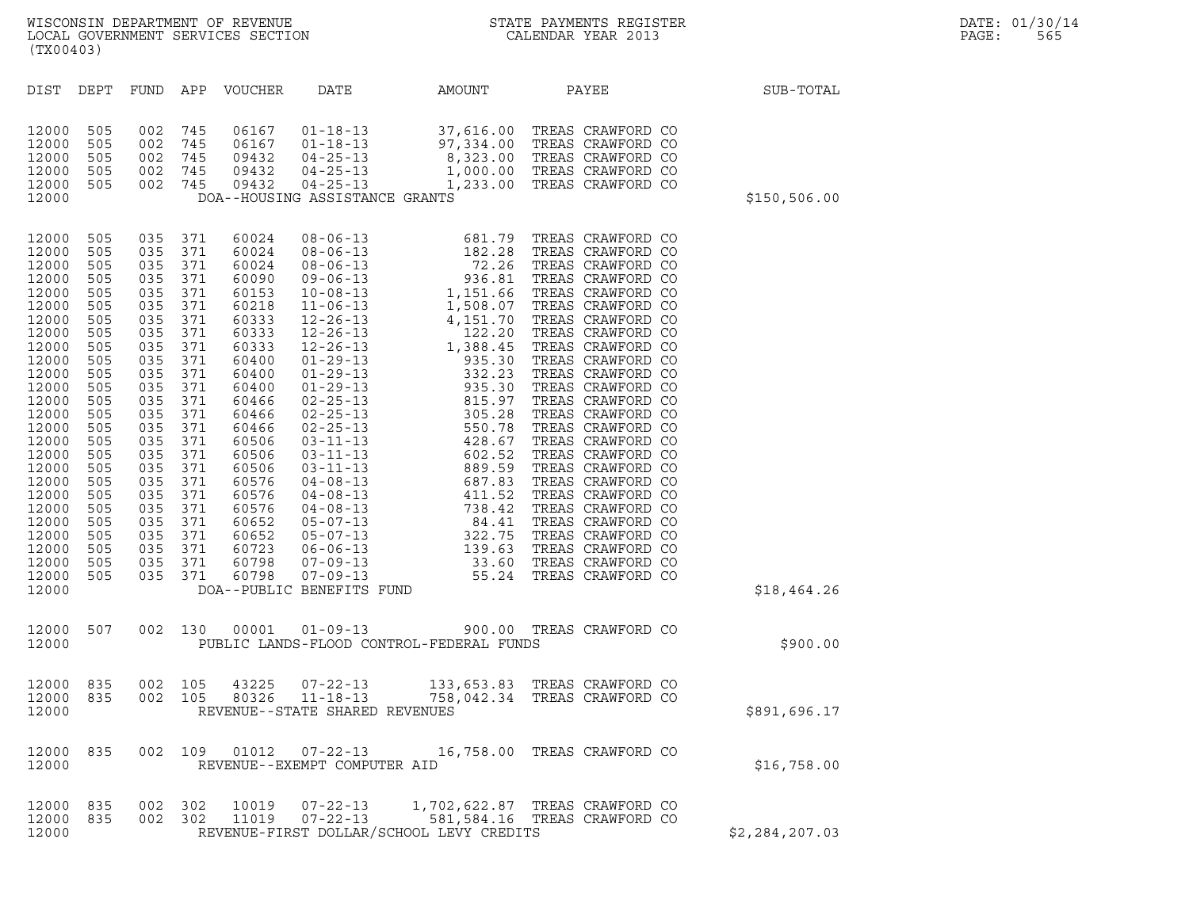| (TX00403)                                                                                                                                                                                                                                       |                                                                                                                                                                                    |                                                                                                                                                                                                                                                                    |                                        |                                                                                                                                                                                                                                        |                                                                    |                                          | WISCONSIN DEPARTMENT OF REVENUE<br>LOCAL GOVERNMENT SERVICES SECTION THE SERVICES OF CALENDAR YEAR 2013                                                                                           |               | DATE: 01/30/14<br>PAGE:<br>565 |  |
|-------------------------------------------------------------------------------------------------------------------------------------------------------------------------------------------------------------------------------------------------|------------------------------------------------------------------------------------------------------------------------------------------------------------------------------------|--------------------------------------------------------------------------------------------------------------------------------------------------------------------------------------------------------------------------------------------------------------------|----------------------------------------|----------------------------------------------------------------------------------------------------------------------------------------------------------------------------------------------------------------------------------------|--------------------------------------------------------------------|------------------------------------------|---------------------------------------------------------------------------------------------------------------------------------------------------------------------------------------------------|---------------|--------------------------------|--|
| DIST DEPT                                                                                                                                                                                                                                       |                                                                                                                                                                                    |                                                                                                                                                                                                                                                                    |                                        | FUND APP VOUCHER                                                                                                                                                                                                                       | DATE                                                               | AMOUNT PAYEE                             |                                                                                                                                                                                                   | SUB-TOTAL     |                                |  |
| 12000<br>12000<br>12000<br>12000<br>12000<br>12000                                                                                                                                                                                              | 505<br>505<br>505<br>505<br>505                                                                                                                                                    | 002 745<br>002 745<br>002 745<br>002 745<br>002 745                                                                                                                                                                                                                |                                        | 06167<br>06167<br>09432<br>09432<br>09432                                                                                                                                                                                              | DOA--HOUSING ASSISTANCE GRANTS                                     |                                          | 01-18-13 37,616.00 TREAS CRAWFORD CO<br>01-18-13 97,334.00 TREAS CRAWFORD CO<br>04-25-13 8,323.00 TREAS CRAWFORD CO<br>04-25-13 1,000.00 TREAS CRAWFORD CO<br>04-25-13 1,233.00 TREAS CRAWFORD CO | \$150, 506.00 |                                |  |
| 12000<br>12000<br>12000<br>12000<br>12000<br>12000<br>12000<br>12000<br>12000<br>12000<br>12000<br>12000<br>12000<br>12000<br>12000<br>12000<br>12000<br>12000<br>12000<br>12000<br>12000<br>12000<br>12000<br>12000<br>12000<br>12000<br>12000 | 505<br>505<br>505<br>505<br>505<br>505<br>505<br>505<br>505<br>505<br>505<br>505<br>505<br>505<br>505<br>505<br>505<br>505<br>505<br>505<br>505<br>505<br>505<br>505<br>505<br>505 | 035 371<br>035 371<br>035 371<br>035 371<br>035 371<br>035 371<br>035<br>035 371<br>035<br>035 371<br>035<br>035 371<br>035<br>035 371<br>035<br>035 371<br>035<br>035 371<br>035 371<br>035 371<br>035 371<br>035 371<br>035 371<br>035 371<br>035 371<br>035 371 | 371<br>371<br>371<br>371<br>371<br>371 | 60024<br>60024<br>60024<br>60090<br>60153<br>60218<br>60333<br>60333<br>60333<br>60400<br>60400<br>60400<br>60466<br>60466<br>60466<br>60506<br>60506<br>60506<br>60576<br>60576<br>60576<br>60652<br>60652<br>60723<br>60798<br>60798 | DOA--PUBLIC BENEFITS FUND                                          |                                          |                                                                                                                                                                                                   | \$18,464.26   |                                |  |
| 12000 507<br>12000                                                                                                                                                                                                                              |                                                                                                                                                                                    |                                                                                                                                                                                                                                                                    | 002 130                                |                                                                                                                                                                                                                                        |                                                                    | PUBLIC LANDS-FLOOD CONTROL-FEDERAL FUNDS | 00001  01-09-13  900.00  TREAS CRAWFORD CO                                                                                                                                                        | \$900.00      |                                |  |
| 12000 835<br>12000<br>12000                                                                                                                                                                                                                     | 835                                                                                                                                                                                | 002 105                                                                                                                                                                                                                                                            | 002 105                                | 43225<br>80326                                                                                                                                                                                                                         | $07 - 22 - 13$<br>$11 - 18 - 13$<br>REVENUE--STATE SHARED REVENUES |                                          | 133,653.83 TREAS CRAWFORD CO<br>758,042.34 TREAS CRAWFORD CO                                                                                                                                      | \$891,696.17  |                                |  |
| 12000 835<br>12000                                                                                                                                                                                                                              |                                                                                                                                                                                    |                                                                                                                                                                                                                                                                    | 002 109                                | 01012                                                                                                                                                                                                                                  | $07 - 22 - 13$<br>REVENUE--EXEMPT COMPUTER AID                     |                                          | 16,758.00 TREAS CRAWFORD CO                                                                                                                                                                       | \$16,758.00   |                                |  |

| 12000 |  | S16,758.00 |                                                                      |                                                                |  |  |                |
|-------|--|------------|----------------------------------------------------------------------|----------------------------------------------------------------|--|--|----------------|
|       |  |            | 12000 835 002 302 10019 07-22-13<br>12000 835 002 302 11019 07-22-13 | 1,702,622.87 TREAS CRAWFORD CO<br>581,584.16 TREAS CRAWFORD CO |  |  |                |
| 12000 |  |            |                                                                      | REVENUE-FIRST DOLLAR/SCHOOL LEVY CREDITS                       |  |  | \$2,284,207.03 |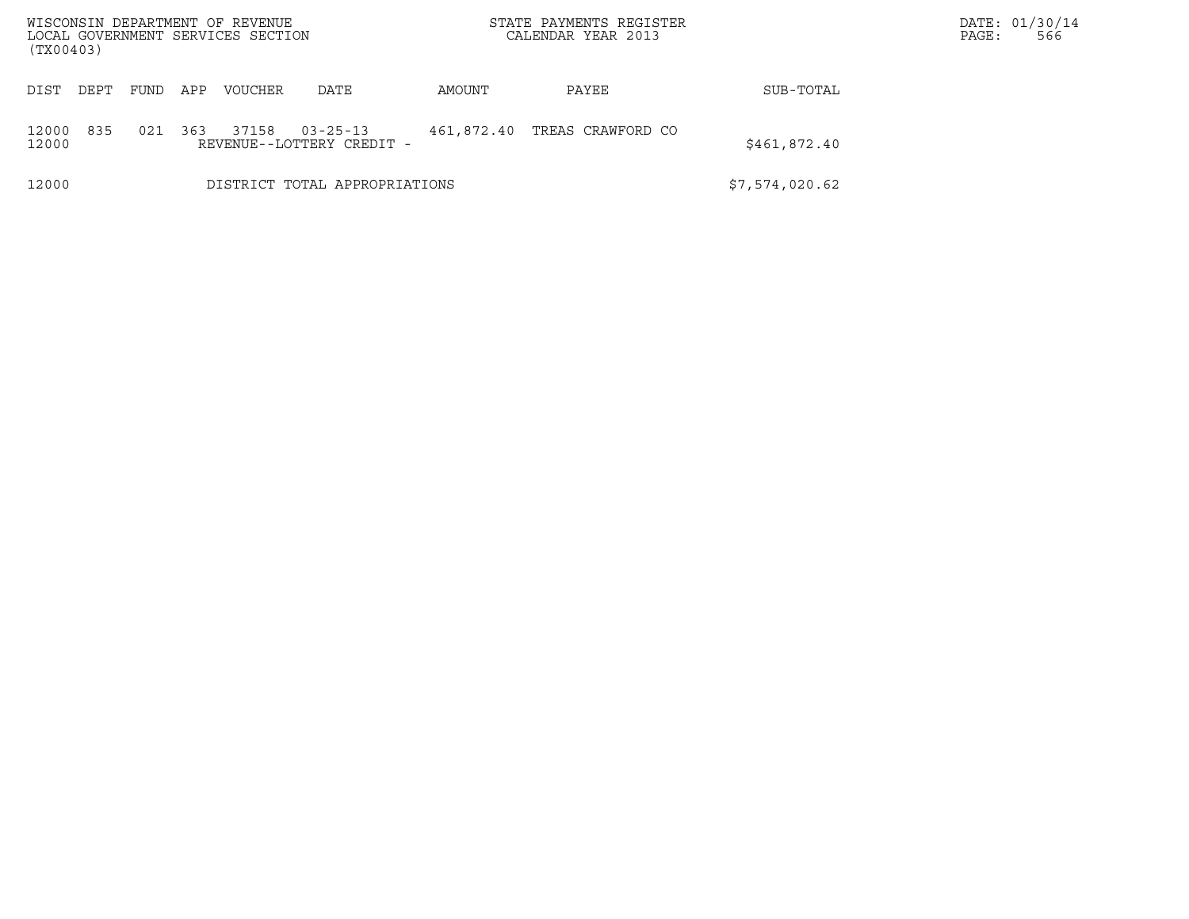| WISCONSIN DEPARTMENT OF REVENUE<br>LOCAL GOVERNMENT SERVICES SECTION |                                                                                         |     |                |                               |        | STATE PAYMENTS REGISTER<br>CALENDAR YEAR 2013 |                | DATE: 01/30/14<br>566<br>PAGE: |
|----------------------------------------------------------------------|-----------------------------------------------------------------------------------------|-----|----------------|-------------------------------|--------|-----------------------------------------------|----------------|--------------------------------|
| (TX00403)                                                            |                                                                                         |     |                |                               |        |                                               |                |                                |
| DIST<br>DEPT                                                         | FUND                                                                                    | APP | <b>VOUCHER</b> | DATE                          | AMOUNT | PAYEE                                         | SUB-TOTAL      |                                |
| 12000<br>12000                                                       | 835<br>37158<br>021<br>$03 - 25 - 13$<br>461,872.40<br>363<br>REVENUE--LOTTERY CREDIT - |     |                |                               |        | TREAS CRAWFORD CO                             | \$461,872.40   |                                |
| 12000                                                                |                                                                                         |     |                | DISTRICT TOTAL APPROPRIATIONS |        |                                               | \$7,574,020.62 |                                |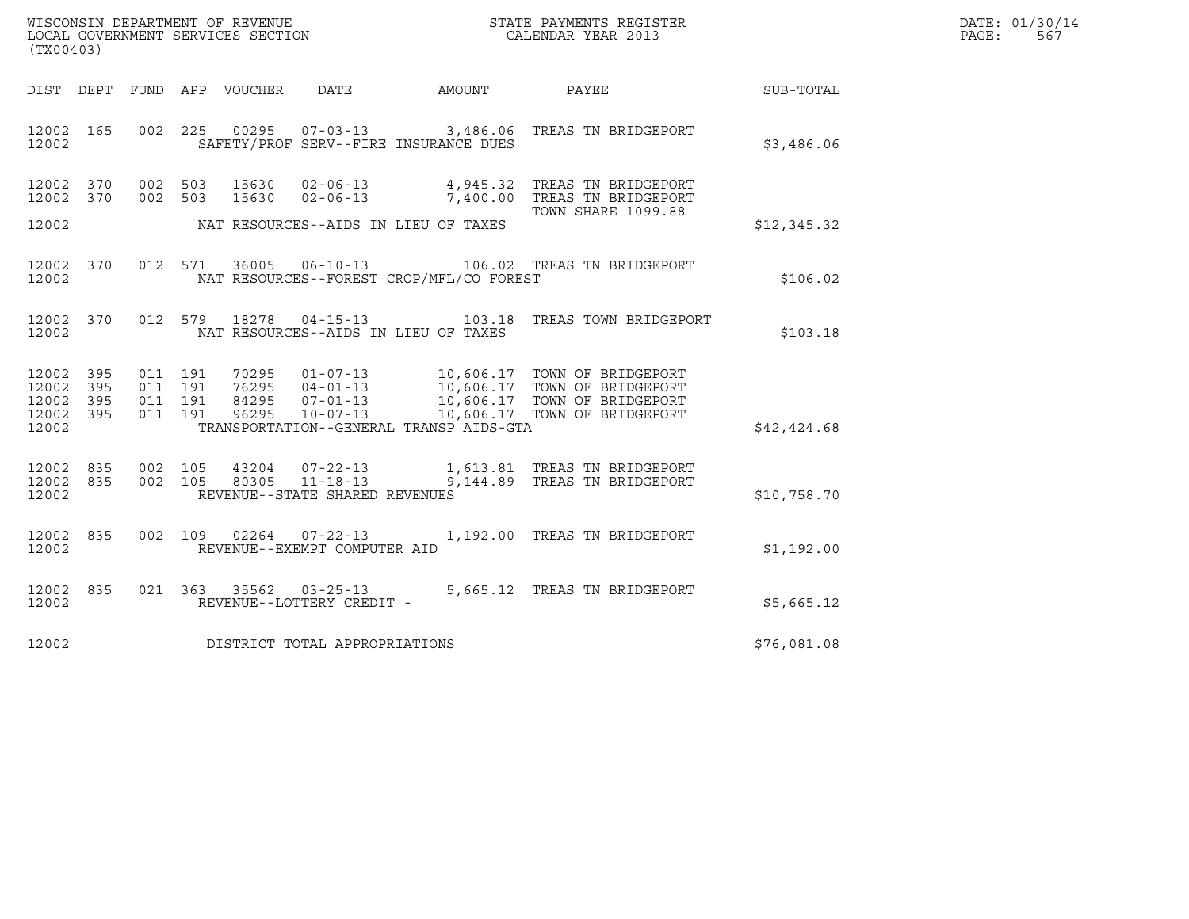| WISCONSIN DEPARTMENT OF REVENUE   | STATE PAYMENTS REGISTER | DATE: 01/30/14 |
|-----------------------------------|-------------------------|----------------|
| LOCAL GOVERNMENT SERVICES SECTION | CALENDAR YEAR 2013      | 567<br>PAGE:   |

| (TX00403)                       | WISCONSIN DEPARTMENT OF REVENUE<br>LOCAL GOVERNMENT SERVICES SECTION<br>CALENDAR YEAR 2013                                                                                                                                                           |                    |             | DATE: 01/30/14<br>PAGE: 567 |
|---------------------------------|------------------------------------------------------------------------------------------------------------------------------------------------------------------------------------------------------------------------------------------------------|--------------------|-------------|-----------------------------|
|                                 | DIST DEPT FUND APP VOUCHER DATE AMOUNT PAYEE PAYES                                                                                                                                                                                                   |                    |             |                             |
| 12002 165                       | 002 225 00295 07-03-13 3,486.06 TREAS TN BRIDGEPORT<br>12002 SAFETY/PROF SERV--FIRE INSURANCE DUES                                                                                                                                                   |                    | \$3,486.06  |                             |
| 12002 370<br>12002 370          | 002 503 15630 02-06-13 4,945.32 TREAS TN BRIDGEPORT<br>002 503 15630 02-06-13 7,400.00 TREAS TN BRIDGEPORT                                                                                                                                           |                    |             |                             |
| 12002                           | NAT RESOURCES--AIDS IN LIEU OF TAXES                                                                                                                                                                                                                 | TOWN SHARE 1099.88 | \$12,345.32 |                             |
| 12002                           | 12002 370 012 571 36005 06-10-13 106.02 TREAS TN BRIDGEPORT<br>NAT RESOURCES--FOREST CROP/MFL/CO FOREST                                                                                                                                              |                    | \$106.02    |                             |
| 12002                           | 12002 370 012 579 18278 04-15-13 103.18 TREAS TOWN BRIDGEPORT<br>NAT RESOURCES--AIDS IN LIEU OF TAXES                                                                                                                                                |                    | \$103.18    |                             |
| 12002 395<br>12002<br>395       |                                                                                                                                                                                                                                                      |                    |             |                             |
| 12002 395<br>12002 395<br>12002 | TRANSPORTATION--GENERAL TRANSP AIDS-GTA                                                                                                                                                                                                              |                    | \$42,424.68 |                             |
| 12002                           | $\begin{array}{cccccccc} 12002 & 835 & 002 & 105 & 43204 & 07-22-13 & & 1,613.81 & \text{TREAS TN BRIDGEPORT} \\ 12002 & 835 & 002 & 105 & 80305 & 11-18-13 & & 9,144.89 & \text{TREAS TN BRIDGEPORT} \end{array}$<br>REVENUE--STATE SHARED REVENUES |                    | \$10,758.70 |                             |
| 12002                           | 12002 835 002 109 02264 07-22-13 1,192.00 TREAS TN BRIDGEPORT<br>REVENUE--EXEMPT COMPUTER AID                                                                                                                                                        |                    | \$1,192.00  |                             |
| 12002                           | 12002 835 021 363 35562 03-25-13 5,665.12 TREAS TN BRIDGEPORT<br>REVENUE--LOTTERY CREDIT -                                                                                                                                                           |                    | \$5,665.12  |                             |
|                                 | 12002 DISTRICT TOTAL APPROPRIATIONS                                                                                                                                                                                                                  |                    | \$76,081.08 |                             |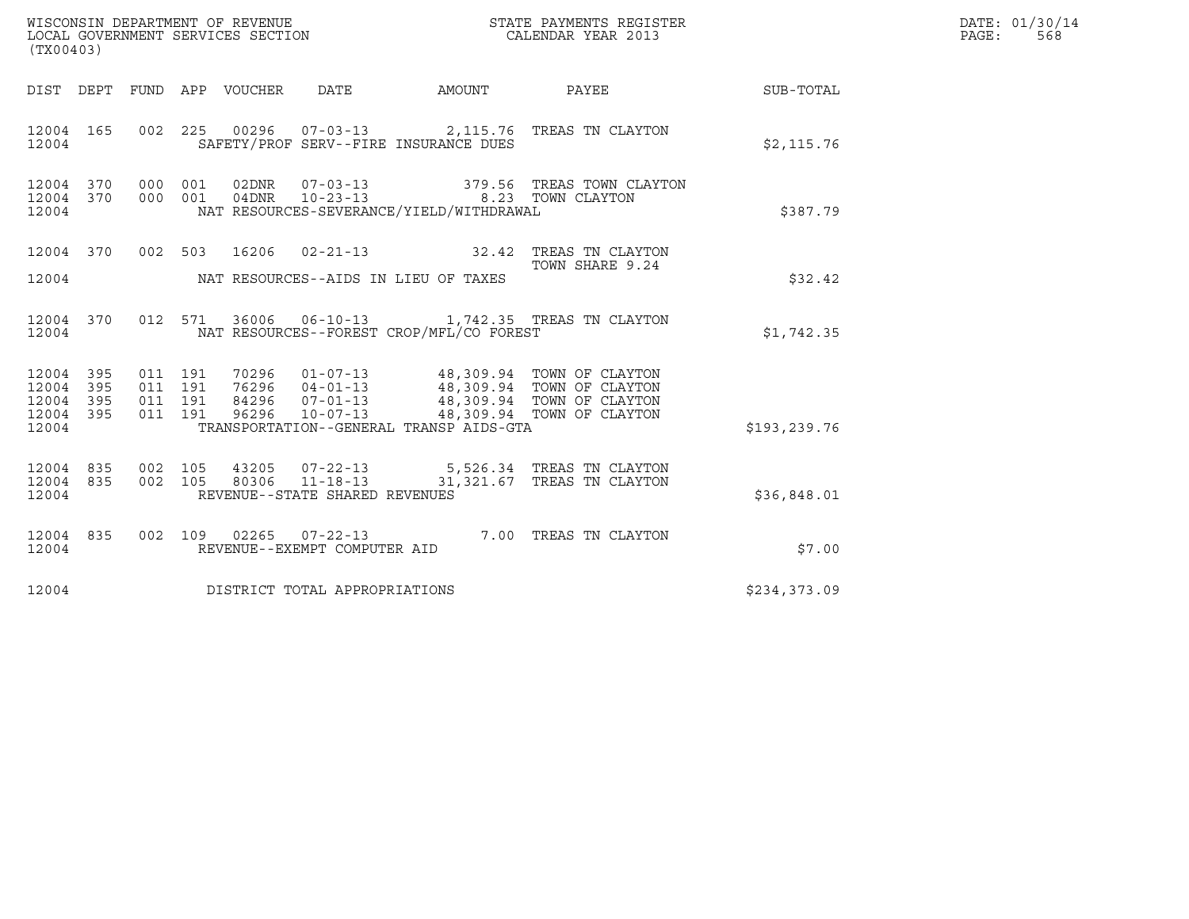| (TX00403)                                             |           |                               |         | WISCONSIN DEPARTMENT OF REVENUE<br>LOCAL GOVERNMENT SERVICES SECTION |                                                                                 | STATE PAYMENTS REGISTER<br>CALENDAR YEAR 2013                                                      |              | DATE: 01/30/14<br>$\mathtt{PAGE:}$<br>568 |
|-------------------------------------------------------|-----------|-------------------------------|---------|----------------------------------------------------------------------|---------------------------------------------------------------------------------|----------------------------------------------------------------------------------------------------|--------------|-------------------------------------------|
|                                                       |           |                               |         |                                                                      |                                                                                 | DIST DEPT FUND APP VOUCHER DATE AMOUNT PAYEE TO SUB-TOTAL                                          |              |                                           |
| 12004 165<br>12004                                    |           |                               |         |                                                                      | SAFETY/PROF SERV--FIRE INSURANCE DUES                                           | 002 225 00296 07-03-13 2,115.76 TREAS TN CLAYTON                                                   | \$2,115.76   |                                           |
| 12004 370 000 001<br>12004 370<br>12004               |           | 000 001                       |         |                                                                      | 04DNR  10-23-13  8.23  TOWN CLAYTON<br>NAT RESOURCES-SEVERANCE/YIELD/WITHDRAWAL | 02DNR  07-03-13  379.56  TREAS TOWN CLAYTON                                                        | \$387.79     |                                           |
| 12004                                                 |           |                               |         |                                                                      | NAT RESOURCES--AIDS IN LIEU OF TAXES                                            | 12004 370 002 503 16206 02-21-13 32.42 TREAS TN CLAYTON<br>TOWN SHARE 9.24                         | \$32.42      |                                           |
| 12004                                                 | 12004 370 |                               |         |                                                                      | NAT RESOURCES--FOREST CROP/MFL/CO FOREST                                        | 012 571 36006 06-10-13 1,742.35 TREAS TN CLAYTON                                                   | \$1,742.35   |                                           |
| 12004 395<br>12004 395<br>12004<br>12004 395<br>12004 | 395       | 011 191<br>011 191<br>011 191 | 011 191 |                                                                      | TRANSPORTATION--GENERAL TRANSP AIDS-GTA                                         |                                                                                                    | \$193,239.76 |                                           |
| 12004 835<br>12004 835<br>12004                       |           |                               |         | REVENUE--STATE SHARED REVENUES                                       |                                                                                 | 002 105 43205 07-22-13 5,526.34 TREAS TN CLAYTON 002 105 80306 11-18-13 31,321.67 TREAS TN CLAYTON | \$36,848.01  |                                           |
| 12004 835<br>12004                                    |           |                               |         | REVENUE--EXEMPT COMPUTER AID                                         |                                                                                 | 002 109 02265 07-22-13 7.00 TREAS TN CLAYTON                                                       | \$7.00       |                                           |
| 12004                                                 |           |                               |         | DISTRICT TOTAL APPROPRIATIONS                                        |                                                                                 |                                                                                                    | \$234,373.09 |                                           |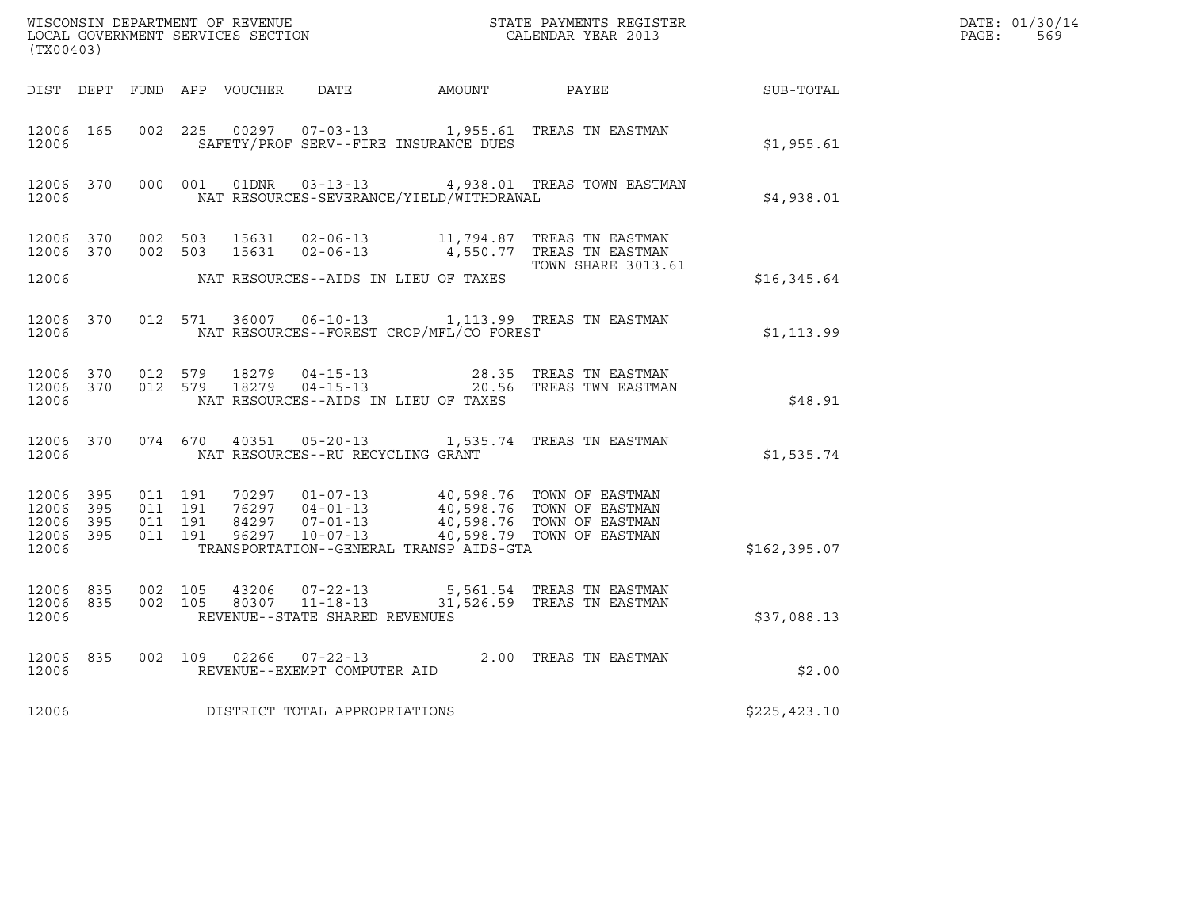| (TX00403)                                                 |                    |                    |                                         |                                          | ${\tt WISCONSIM\ DEPARTMENT\ OF\ REVENUE}\qquad \qquad {\tt STATE\ PAYMENTS\ REGISTER\ LOCAL\ GOVERNMENT\ SERVICES\ SECTION\qquad \qquad {\tt CALENDAR\ YEAR\ 2013}}$                                           |               | DATE: 01/30/14<br>$\mathtt{PAGE:}$<br>569 |
|-----------------------------------------------------------|--------------------|--------------------|-----------------------------------------|------------------------------------------|-----------------------------------------------------------------------------------------------------------------------------------------------------------------------------------------------------------------|---------------|-------------------------------------------|
|                                                           |                    |                    |                                         |                                          | DIST DEPT FUND APP VOUCHER DATE AMOUNT PAYEE SUB-TOTAL                                                                                                                                                          |               |                                           |
| 12006 165<br>12006                                        |                    |                    |                                         | SAFETY/PROF SERV--FIRE INSURANCE DUES    | 002 225 00297 07-03-13 1,955.61 TREAS TN EASTMAN                                                                                                                                                                | \$1,955.61    |                                           |
| 12006                                                     |                    |                    |                                         | NAT RESOURCES-SEVERANCE/YIELD/WITHDRAWAL | 12006 370 000 001 01DNR 03-13-13 4,938.01 TREAS TOWN EASTMAN                                                                                                                                                    | \$4,938.01    |                                           |
|                                                           | 12006 370 002 503  |                    |                                         |                                          | 12006 370 002 503 15631 02-06-13 11,794.87 TREAS TN EASTMAN<br>15631  02-06-13  4,550.77  TREAS TN EASTMAN                                                                                                      |               |                                           |
| 12006                                                     |                    |                    |                                         | NAT RESOURCES--AIDS IN LIEU OF TAXES     | <b>TOWN SHARE 3013.61</b>                                                                                                                                                                                       | \$16,345.64   |                                           |
| 12006                                                     |                    |                    |                                         | NAT RESOURCES--FOREST CROP/MFL/CO FOREST | 12006 370 012 571 36007 06-10-13 1,113.99 TREAS TN EASTMAN                                                                                                                                                      | \$1,113.99    |                                           |
| 12006                                                     |                    |                    |                                         | NAT RESOURCES--AIDS IN LIEU OF TAXES     | $\begin{array}{cccccccc} 12006 & 370 & 012 & 579 & 18279 & 04-15-13 & & & & 28.35 & \text{TREAS TN EASTMAN} \\ 12006 & 370 & 012 & 579 & 18279 & 04-15-13 & & & & 20.56 & \text{TREAS TWN EASTMAN} \end{array}$ | \$48.91       |                                           |
|                                                           |                    |                    | 12006 NAT RESOURCES--RU RECYCLING GRANT |                                          | 12006 370 074 670 40351 05-20-13 1,535.74 TREAS TN EASTMAN                                                                                                                                                      | \$1,535.74    |                                           |
| 12006 395<br>12006 395<br>12006 395<br>12006 395<br>12006 | 011 191<br>011 191 | 011 191<br>011 191 |                                         | TRANSPORTATION--GENERAL TRANSP AIDS-GTA  | 70297 01-07-13 40,598.76 TOWN OF EASTMAN<br>76297 04-01-13 40,598.76 TOWN OF EASTMAN<br>84297 07-01-13 40,598.76 TOWN OF EASTMAN<br>96297 10-07-13 40,598.79 TOWN OF EASTMAN                                    | \$162, 395.07 |                                           |
| 12006 835<br>12006                                        | 12006 835 002 105  | 002 105            | REVENUE--STATE SHARED REVENUES          |                                          | 43206  07-22-13  5,561.54 TREAS TN EASTMAN<br>80307  11-18-13  31,526.59 TREAS TN EASTMAN                                                                                                                       | \$37,088.13   |                                           |
| 12006 835<br>12006                                        |                    |                    | REVENUE--EXEMPT COMPUTER AID            |                                          | 002 109 02266 07-22-13 2.00 TREAS TN EASTMAN                                                                                                                                                                    | \$2.00        |                                           |
| 12006                                                     |                    |                    | DISTRICT TOTAL APPROPRIATIONS           |                                          |                                                                                                                                                                                                                 | \$225, 423.10 |                                           |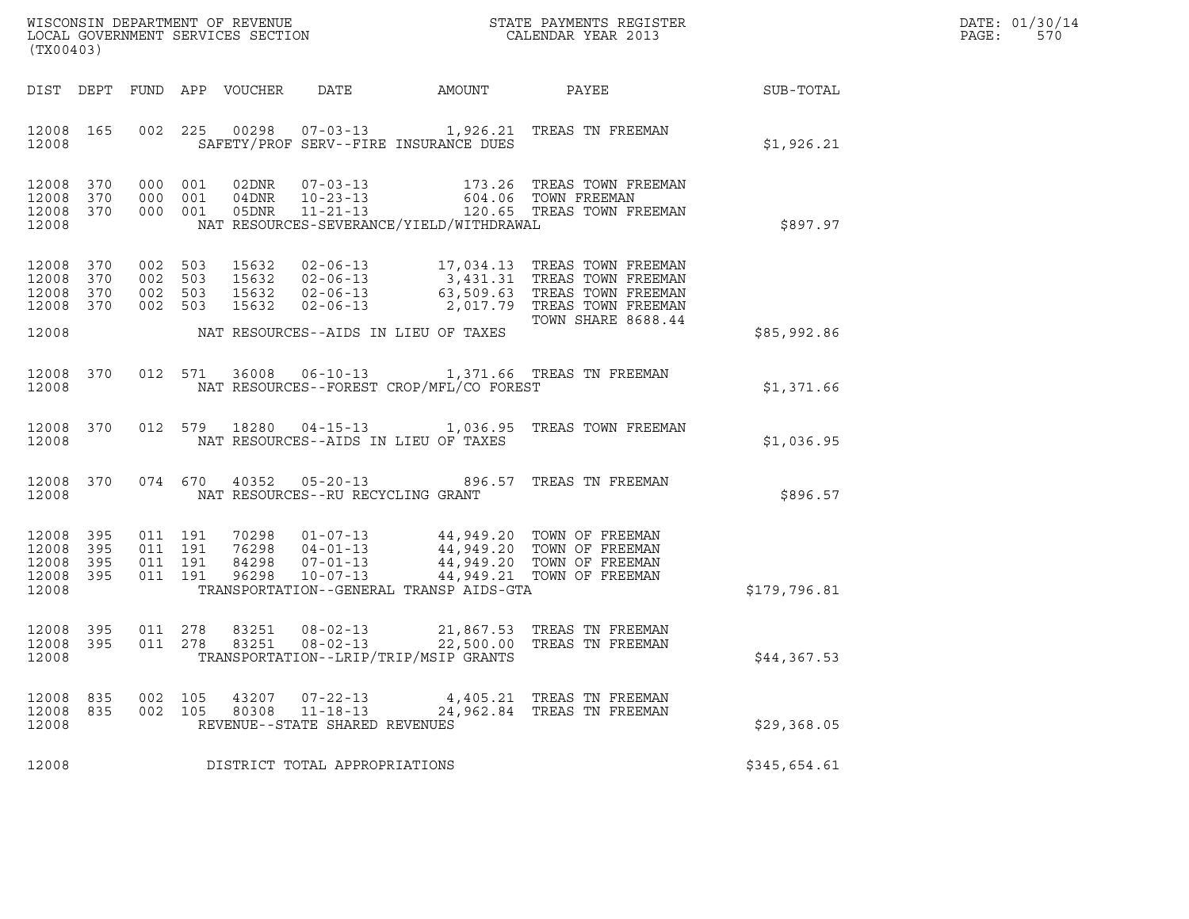|       | DATE: 01/30/14 |
|-------|----------------|
| PAGE: | 570            |

| (TX00403)                                             |           | % WISCONSIN DEPARTMENT OF REVENUE $$\tt STATE~PAYMEMTS~REGISTER~LOCAL~GOVERNMENT~SERVICES~SECTION~CALENDAR~YEAR~2013$ |                    |                                 |                                                  |                                          | DATE: 01/30/14<br>PAGE:<br>570                                                                                                                                                                                    |              |  |
|-------------------------------------------------------|-----------|-----------------------------------------------------------------------------------------------------------------------|--------------------|---------------------------------|--------------------------------------------------|------------------------------------------|-------------------------------------------------------------------------------------------------------------------------------------------------------------------------------------------------------------------|--------------|--|
|                                                       |           |                                                                                                                       |                    | DIST DEPT FUND APP VOUCHER DATE |                                                  |                                          | AMOUNT PAYEE SUB-TOTAL                                                                                                                                                                                            |              |  |
| 12008                                                 | 12008 165 |                                                                                                                       |                    |                                 |                                                  | SAFETY/PROF SERV--FIRE INSURANCE DUES    | 002 225 00298 07-03-13 1,926.21 TREAS TN FREEMAN                                                                                                                                                                  | \$1,926.21   |  |
| 12008 370<br>12008 370<br>12008 370<br>12008          |           |                                                                                                                       |                    |                                 |                                                  | NAT RESOURCES-SEVERANCE/YIELD/WITHDRAWAL | 000 001 02DNR 07-03-13 173.26 TREAS TOWN FREEMAN<br>000 001 04DNR 10-23-13 604.06 TOWN FREEMAN<br>000 001 05DNR 11-21-13 120.65 TREAS TOWN FREEMAN                                                                | \$897.97     |  |
| 12008 370<br>12008 370<br>12008 370<br>12008 370      |           | 002 503<br>002 503                                                                                                    | 002 503<br>002 503 |                                 |                                                  |                                          | 15632  02-06-13   17,034.13   TREAS TOWN FREEMAN<br>15632 02-06-13 3,431.31 TREAS TOWN FREEMAN<br>15632 02-06-13 63,509.63 TREAS TOWN FREEMAN<br>15632 02-06-13 2,017.79 TREAS TOWN FREEMAN<br>TOWN SHARE 8688.44 |              |  |
| 12008                                                 |           |                                                                                                                       |                    |                                 |                                                  | NAT RESOURCES--AIDS IN LIEU OF TAXES     |                                                                                                                                                                                                                   | \$85,992.86  |  |
| 12008                                                 | 12008 370 |                                                                                                                       |                    |                                 |                                                  | NAT RESOURCES--FOREST CROP/MFL/CO FOREST | 012 571 36008 06-10-13 1,371.66 TREAS TN FREEMAN                                                                                                                                                                  | \$1,371.66   |  |
| 12008                                                 | 12008 370 |                                                                                                                       |                    |                                 |                                                  | NAT RESOURCES--AIDS IN LIEU OF TAXES     | 012 579 18280 04-15-13 1,036.95 TREAS TOWN FREEMAN                                                                                                                                                                | \$1,036.95   |  |
| 12008                                                 | 12008 370 |                                                                                                                       |                    |                                 | NAT RESOURCES--RU RECYCLING GRANT                |                                          | 074 670 40352 05-20-13 896.57 TREAS TN FREEMAN                                                                                                                                                                    | \$896.57     |  |
| 12008 395<br>12008<br>12008 395<br>12008 395<br>12008 | 395       | 011 191<br>011 191                                                                                                    | 011 191<br>011 191 |                                 |                                                  | TRANSPORTATION--GENERAL TRANSP AIDS-GTA  | 70298  01-07-13  44,949.20  TOWN OF FREEMAN<br>76298 04-01-13 44,949.20 TOWN OF FREEMAN<br>84298 07-01-13 44,949.20 TOWN OF FREEMAN<br>96298 10-07-13 44,949.21 TOWN OF FREEMAN                                   | \$179,796.81 |  |
| 12008<br>12008 395<br>12008                           | 395       | 011 278<br>011 278                                                                                                    |                    | 83251<br>83251                  | $08 - 02 - 13$                                   | TRANSPORTATION--LRIP/TRIP/MSIP GRANTS    | 08-02-13 21,867.53 TREAS TN FREEMAN<br>22,500.00 TREAS TN FREEMAN                                                                                                                                                 | \$44,367.53  |  |
| 12008 835<br>12008 835<br>12008                       |           |                                                                                                                       | 002 105<br>002 105 | 43207                           | $07 - 22 - 13$<br>REVENUE--STATE SHARED REVENUES |                                          | 4,405.21 TREAS TN FREEMAN<br>80308  11-18-13  24,962.84  TREAS TN FREEMAN                                                                                                                                         | \$29,368.05  |  |
| 12008                                                 |           |                                                                                                                       |                    |                                 | DISTRICT TOTAL APPROPRIATIONS                    |                                          |                                                                                                                                                                                                                   | \$345,654.61 |  |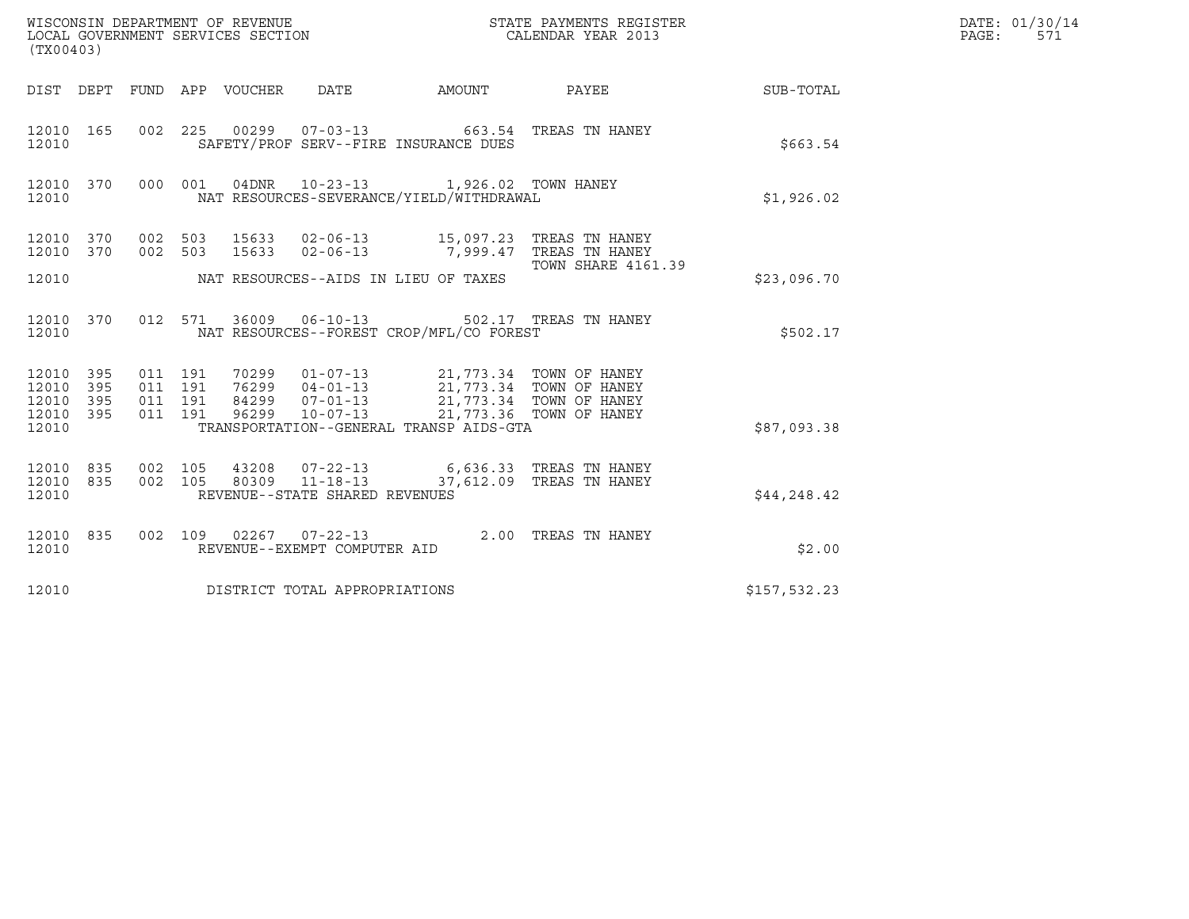| (TX00403)                                             |     |                               |         | WISCONSIN DEPARTMENT OF REVENUE<br>LOCAL GOVERNMENT SERVICES SECTION |                                                                                                                                                                                                                             | STATE PAYMENTS REGISTER<br>CALENDAR YEAR 2013              |              | DATE: 01/30/14<br>$\mathtt{PAGE:}$<br>571 |
|-------------------------------------------------------|-----|-------------------------------|---------|----------------------------------------------------------------------|-----------------------------------------------------------------------------------------------------------------------------------------------------------------------------------------------------------------------------|------------------------------------------------------------|--------------|-------------------------------------------|
|                                                       |     |                               |         |                                                                      |                                                                                                                                                                                                                             | DIST DEPT FUND APP VOUCHER DATE AMOUNT PAYEE THE SUB-TOTAL |              |                                           |
| 12010 165<br>12010                                    |     |                               |         |                                                                      | 002 225 00299 07-03-13 663.54 TREAS TN HANEY<br>SAFETY/PROF SERV--FIRE INSURANCE DUES                                                                                                                                       |                                                            | \$663.54     |                                           |
| 12010                                                 |     |                               |         |                                                                      | 12010 370 000 001 04DNR 10-23-13 1,926.02 TOWN HANEY<br>NAT RESOURCES-SEVERANCE/YIELD/WITHDRAWAL                                                                                                                            |                                                            | \$1,926.02   |                                           |
| 12010 370                                             |     |                               | 002 503 |                                                                      | 12010 370 002 503 15633 02-06-13 15,097.23 TREAS TN HANEY<br>15633  02-06-13  7,999.47 TREAS TN HANEY                                                                                                                       | TOWN SHARE 4161.39                                         |              |                                           |
| 12010                                                 |     |                               |         |                                                                      | NAT RESOURCES--AIDS IN LIEU OF TAXES                                                                                                                                                                                        |                                                            | \$23,096.70  |                                           |
| 12010 370<br>12010                                    |     |                               |         |                                                                      | 012 571 36009 06-10-13 502.17 TREAS TN HANEY<br>NAT RESOURCES--FOREST CROP/MFL/CO FOREST                                                                                                                                    |                                                            | \$502.17     |                                           |
| 12010 395<br>12010 395<br>12010<br>12010 395<br>12010 | 395 | 011 191<br>011 191<br>011 191 | 011 191 |                                                                      | 70299  01-07-13  21,773.34  TOWN OF HANEY<br>76299  04-01-13  21,773.34  TOWN OF HANEY<br>84299  07-01-13  21,773.34  TOWN OF HANEY<br>96299  10-07-13  21,773.36  TOWN OF HANEY<br>TRANSPORTATION--GENERAL TRANSP AIDS-GTA |                                                            | \$87,093.38  |                                           |
| 12010                                                 |     |                               |         | REVENUE--STATE SHARED REVENUES                                       | $\begin{array}{cccccccc} 12010 & 835 & 002 & 105 & 43208 & 07-22-13 & 6,636.33 & \text{TREAS TN HANEY} \\ 12010 & 835 & 002 & 105 & 80309 & 11-18-13 & 37,612.09 & \text{TREAS TN HANEY} \end{array}$                       |                                                            | \$44,248.42  |                                           |
| 12010 835<br>12010                                    |     |                               |         | REVENUE--EXEMPT COMPUTER AID                                         | 002 109 02267 07-22-13 2.00 TREAS TN HANEY                                                                                                                                                                                  |                                                            | \$2.00       |                                           |
| 12010                                                 |     |                               |         | DISTRICT TOTAL APPROPRIATIONS                                        |                                                                                                                                                                                                                             |                                                            | \$157,532.23 |                                           |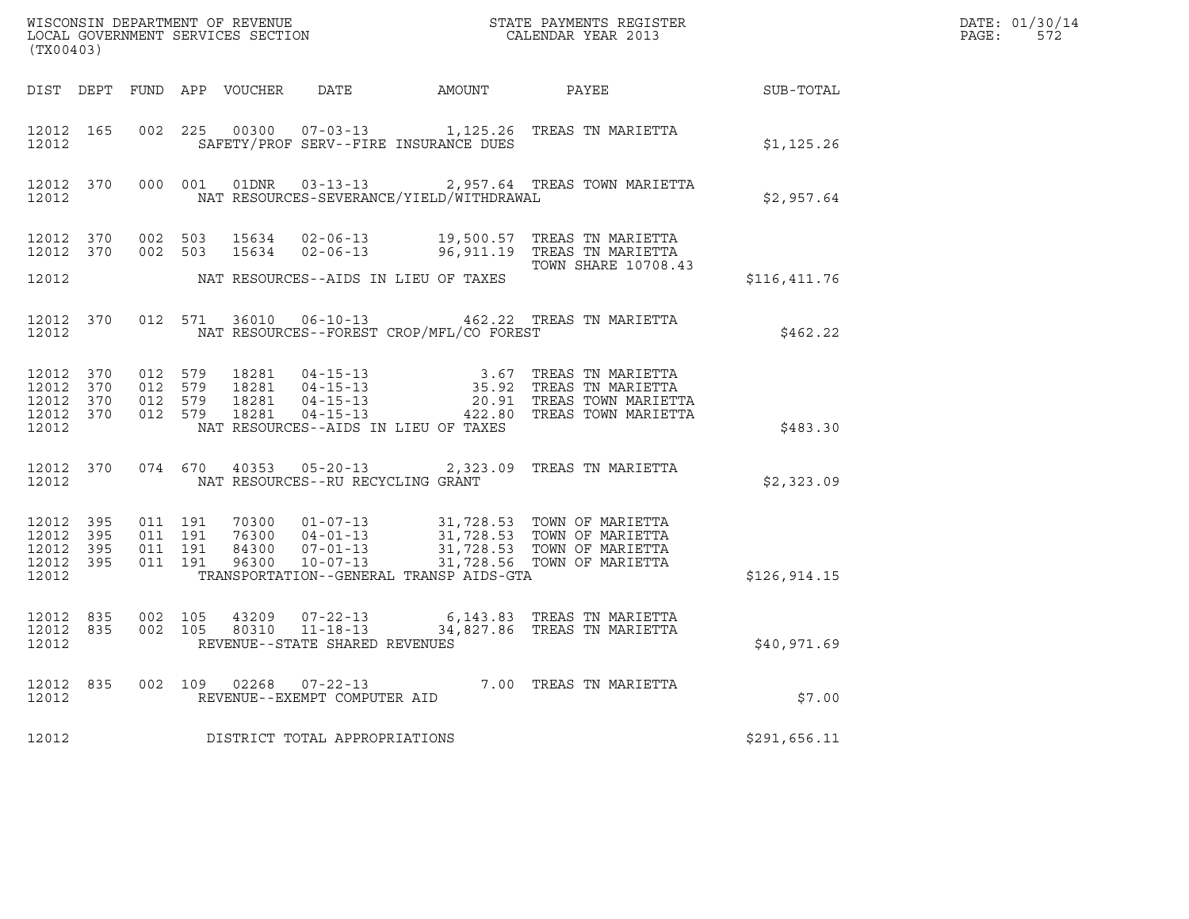| $\tt WISCONSIM DEPARTMENT OF REVENUE$ $\tt WISCONSIMENT$ SERVICES SECTION $\tt CALENDAR$ YEAR 2013<br>(TX00403) |                        |                                        |  |  |                                       |                                                |                                                                                                                                                                                                                                                                                                                                                      | DATE: 01/30/14<br>$\mathtt{PAGE:}$<br>572 |  |
|-----------------------------------------------------------------------------------------------------------------|------------------------|----------------------------------------|--|--|---------------------------------------|------------------------------------------------|------------------------------------------------------------------------------------------------------------------------------------------------------------------------------------------------------------------------------------------------------------------------------------------------------------------------------------------------------|-------------------------------------------|--|
|                                                                                                                 |                        |                                        |  |  |                                       |                                                | DIST DEPT FUND APP VOUCHER DATE AMOUNT PAYEE SUB-TOTAL                                                                                                                                                                                                                                                                                               |                                           |  |
| 12012                                                                                                           |                        |                                        |  |  | SAFETY/PROF SERV--FIRE INSURANCE DUES |                                                | 12012 165 002 225 00300 07-03-13 1,125.26 TREAS TN MARIETTA                                                                                                                                                                                                                                                                                          | \$1,125.26                                |  |
| 12012                                                                                                           |                        |                                        |  |  |                                       | NAT RESOURCES-SEVERANCE/YIELD/WITHDRAWAL       | 12012 370 000 001 01DNR 03-13-13 2,957.64 TREAS TOWN MARIETTA                                                                                                                                                                                                                                                                                        | \$2,957.64                                |  |
|                                                                                                                 |                        |                                        |  |  |                                       |                                                | 12012 370 002 503 15634 02-06-13 19,500.57 TREAS TN MARIETTA<br>12012 370 002 503 15634 02-06-13 96,911.19 TREAS TN MARIETTA<br>TOWN SHARE 10708.43                                                                                                                                                                                                  |                                           |  |
| 12012                                                                                                           |                        |                                        |  |  | NAT RESOURCES--AIDS IN LIEU OF TAXES  |                                                |                                                                                                                                                                                                                                                                                                                                                      | \$116,411.76                              |  |
|                                                                                                                 |                        |                                        |  |  |                                       | 12012 NAT RESOURCES--FOREST CROP/MFL/CO FOREST | 12012 370 012 571 36010 06-10-13 462.22 TREAS TN MARIETTA                                                                                                                                                                                                                                                                                            | \$462.22                                  |  |
| 12012                                                                                                           |                        |                                        |  |  | NAT RESOURCES--AIDS IN LIEU OF TAXES  |                                                | $\begin{array}{cccccccc} 12012 & 370 & 012 & 579 & 18281 & 04-15-13 & & 3.67 & \text{TREAS TN} \text{ MARIETTA} \\ 12012 & 370 & 012 & 579 & 18281 & 04-15-13 & & 35.92 & \text{TREAS TN} \text{ MARIETTA} \\ 12012 & 370 & 012 & 579 & 18281 & 04-15-13 & & 20.91 & \text{TREAS TOWN MARIETTA} \\ 12012 & 370 & 012 & 579 & 182$                    | \$483.30                                  |  |
| 12012                                                                                                           |                        |                                        |  |  | NAT RESOURCES--RU RECYCLING GRANT     |                                                | 12012 370 074 670 40353 05-20-13 2,323.09 TREAS TN MARIETTA                                                                                                                                                                                                                                                                                          | \$2,323.09                                |  |
| 12012                                                                                                           | 12012 395<br>12012 395 | 12012 395 011 191<br>12012 395 011 191 |  |  |                                       | TRANSPORTATION--GENERAL TRANSP AIDS-GTA        | $\begin{array}{cccccc} 011 & 191 & 70300 & 01\texttt{-}07\texttt{-}13 & 31,728.53 & \texttt{TOWN OF MARIETTA} \\ 011 & 191 & 76300 & 04\texttt{-}01\texttt{-}13 & 31,728.53 & \texttt{TOWN OF MARIETTA} \\ 011 & 191 & 84300 & 07\texttt{-}01\texttt{-}13 & 31,728.53 & \texttt{TOWN OF MARIETTA} \\ 011 & 191 & 96300 & 10\texttt{-}07\texttt{-}13$ | \$126, 914.15                             |  |
| 12012                                                                                                           |                        |                                        |  |  | REVENUE--STATE SHARED REVENUES        |                                                | $\begin{array}{cccccccc} 12012 & 835 & 002 & 105 & 43209 & 07-22-13 & & & & 6,143.83 & \text{TREAS TN MARIETTA} \\ 12012 & 835 & 002 & 105 & 80310 & 11-18-13 & & & 34,827.86 & \text{TREAS TN MARIETTA} \end{array}$                                                                                                                                | \$40,971.69                               |  |
| 12012                                                                                                           |                        |                                        |  |  | REVENUE--EXEMPT COMPUTER AID          |                                                | 12012 835 002 109 02268 07-22-13 7.00 TREAS TN MARIETTA                                                                                                                                                                                                                                                                                              | \$7.00                                    |  |
| 12012                                                                                                           |                        |                                        |  |  | DISTRICT TOTAL APPROPRIATIONS         |                                                |                                                                                                                                                                                                                                                                                                                                                      | \$291,656.11                              |  |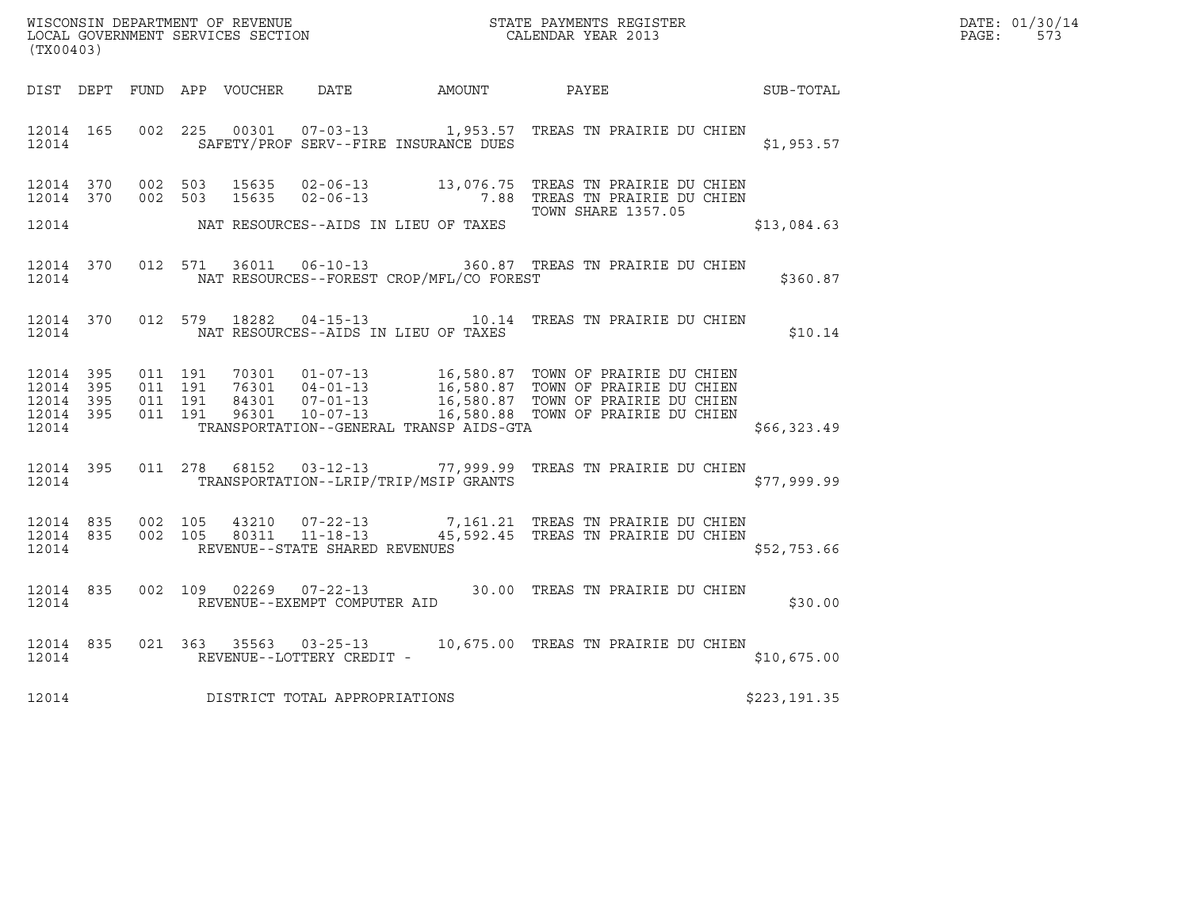| WISCONSIN DEPARTMENT OF REVENUE<br>STATE PAYMENTS REGISTER<br>LOCAL GOVERNMENT SERVICES SECTION<br>CALENDAR YEAR 2013 | DATE: 01/30/14<br>PAGE:<br>573 |  |
|-----------------------------------------------------------------------------------------------------------------------|--------------------------------|--|

|                                                           | WISCONSIN DEPARTMENT OF REVENUE<br>LOCAL GOVERNMENT SERVICES SECTION TERM ON THE CALENDAR YEAR 2013<br>(TX00403) |  |  |  |                                     |                                                                       |                                                                                                                                                                                                                                         |              | $\mathtt{PAGE:}$ | DATE: 01/30/14<br>573 |  |
|-----------------------------------------------------------|------------------------------------------------------------------------------------------------------------------|--|--|--|-------------------------------------|-----------------------------------------------------------------------|-----------------------------------------------------------------------------------------------------------------------------------------------------------------------------------------------------------------------------------------|--------------|------------------|-----------------------|--|
|                                                           |                                                                                                                  |  |  |  |                                     |                                                                       | DIST DEPT FUND APP VOUCHER DATE AMOUNT PAYEE SUB-TOTAL                                                                                                                                                                                  |              |                  |                       |  |
|                                                           |                                                                                                                  |  |  |  |                                     | 12014 165 002 225 0002 12014<br>SAFETY/PROF SERV--FIRE INSURANCE DUES | 12014 165 002 225 00301 07-03-13 1,953.57 TREAS TN PRAIRIE DU CHIEN                                                                                                                                                                     |              | \$1,953.57       |                       |  |
|                                                           |                                                                                                                  |  |  |  |                                     |                                                                       | 12014 370 002 503 15635 02-06-13 13,076.75 TREAS TN PRAIRIE DU CHIEN<br>12014 370 002 503 15635 02-06-13 7.88 TREAS TN PRAIRIE DU CHIEN<br><b>TOWN SHARE 1357.05</b>                                                                    |              |                  |                       |  |
|                                                           |                                                                                                                  |  |  |  |                                     | 12014 NAT RESOURCES--AIDS IN LIEU OF TAXES                            |                                                                                                                                                                                                                                         |              | \$13,084.63      |                       |  |
|                                                           |                                                                                                                  |  |  |  |                                     | 12014 NAT RESOURCES--FOREST CROP/MFL/CO FOREST                        | 12014 370 012 571 36011 06-10-13 360.87 TREAS TN PRAIRIE DU CHIEN                                                                                                                                                                       | \$360.87     |                  |                       |  |
|                                                           |                                                                                                                  |  |  |  |                                     | 12014 NAT RESOURCES--AIDS IN LIEU OF TAXES                            | 12014 370 012 579 18282 04-15-13 10.14 TREAS TN PRAIRIE DU CHIEN                                                                                                                                                                        |              | \$10.14          |                       |  |
| 12014 395<br>12014 395<br>12014 395<br>12014 395<br>12014 |                                                                                                                  |  |  |  |                                     | TRANSPORTATION--GENERAL TRANSP AIDS-GTA                               | 011 191 70301 01-07-13 16,580.87 TOWN OF PRAIRIE DU CHIEN<br>011 191 76301 04-01-13 16,580.87 TOWN OF PRAIRIE DU CHIEN<br>011 191 84301 07-01-13 16,580.87 TOWN OF PRAIRIE DU CHIEN<br>011 191 96301 10-07-13 16,580.88 TOWN OF PRAIRIE |              | \$66,323.49      |                       |  |
|                                                           |                                                                                                                  |  |  |  |                                     |                                                                       | 12014 395 011 278 68152 03-12-13 77,999.99 TREAS TN PRAIRIE DU CHIEN<br>12014 TRANSPORTATION--LRIP/TRIP/MSIP GRANTS                                                                                                                     |              | \$77,999.99      |                       |  |
|                                                           |                                                                                                                  |  |  |  |                                     | 12014 REVENUE--STATE SHARED REVENUES                                  | 12014 835 002 105 43210 07-22-13 7,161.21 TREAS TN PRAIRIE DU CHIEN<br>12014 835 002 105 80311 11-18-13 45,592.45 TREAS TN PRAIRIE DU CHIEN                                                                                             |              | \$52,753.66      |                       |  |
|                                                           |                                                                                                                  |  |  |  |                                     |                                                                       | 12014 835 002 109 02269 07-22-13 30.00 TREAS TN PRAIRIE DU CHIEN 12014 REVENUE--EXEMPT COMPUTER AID                                                                                                                                     |              | \$30.00          |                       |  |
|                                                           |                                                                                                                  |  |  |  |                                     |                                                                       | $\begin{tabular}{lllllll} 12014 & 835 & 021 & 363 & 35563 & 03-25-13 & 10,675.00 & \texttt{TREAS TN PRAIRIE DU CHIEN} \\ & & & \texttt{REVENUE--LOTTERY CREDIT--} \end{tabular}$                                                        |              | \$10,675.00      |                       |  |
|                                                           |                                                                                                                  |  |  |  | 12014 DISTRICT TOTAL APPROPRIATIONS |                                                                       |                                                                                                                                                                                                                                         | \$223,191.35 |                  |                       |  |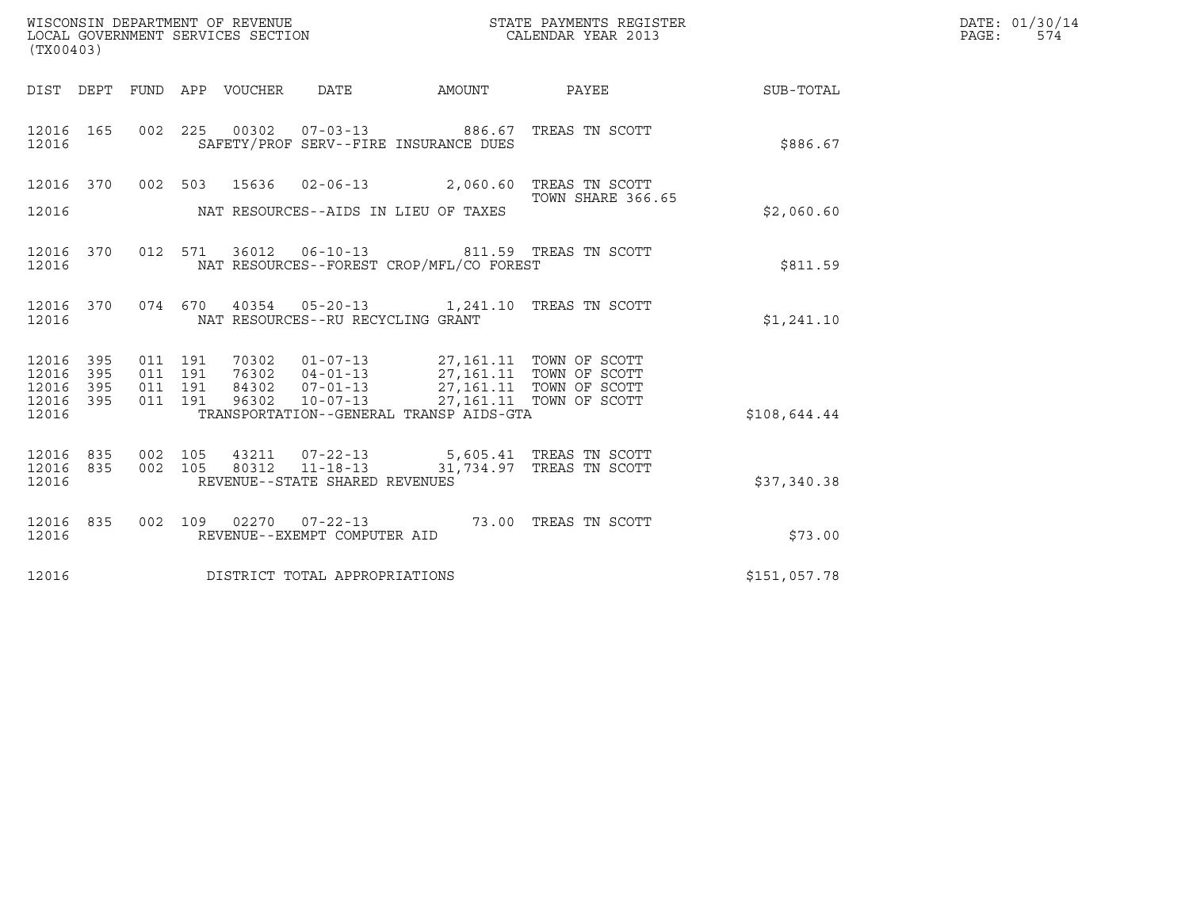| (TX00403)                                 |                          |                                          |       | WISCONSIN DEPARTMENT OF REVENUE<br>LOCAL GOVERNMENT SERVICES SECTION |                                                                                                                                                                                | STATE PAYMENTS REGISTER<br>CALENDAR YEAR 2013             |              | DATE: 01/30/14<br>PAGE:<br>574 |
|-------------------------------------------|--------------------------|------------------------------------------|-------|----------------------------------------------------------------------|--------------------------------------------------------------------------------------------------------------------------------------------------------------------------------|-----------------------------------------------------------|--------------|--------------------------------|
|                                           |                          |                                          |       |                                                                      |                                                                                                                                                                                | DIST DEPT FUND APP VOUCHER DATE AMOUNT PAYEE TO SUB-TOTAL |              |                                |
| 12016 165<br>12016                        |                          |                                          |       |                                                                      | 002 225 00302 07-03-13 886.67 TREAS TN SCOTT<br>SAFETY/PROF SERV--FIRE INSURANCE DUES                                                                                          |                                                           | \$886.67     |                                |
| 12016                                     |                          |                                          |       |                                                                      | 12016 370 002 503 15636 02-06-13 2,060.60 TREAS TN SCOTT<br>NAT RESOURCES--AIDS IN LIEU OF TAXES                                                                               | TOWN SHARE 366.65                                         | \$2,060.60   |                                |
| 12016                                     | 12016 370                |                                          |       |                                                                      | 012 571 36012 06-10-13 811.59 TREAS TN SCOTT<br>NAT RESOURCES--FOREST CROP/MFL/CO FOREST                                                                                       |                                                           | \$811.59     |                                |
| 12016                                     | 12016 370                |                                          |       | NAT RESOURCES--RU RECYCLING GRANT                                    | 074  670  40354  05-20-13   1,241.10  TREAS TN SCOTT                                                                                                                           |                                                           | \$1,241.10   |                                |
| 12016<br>12016<br>12016<br>12016<br>12016 | 395<br>395<br>395<br>395 | 011 191<br>011 191<br>011 191<br>011 191 | 96302 | $10 - 07 - 13$                                                       | 70302  01-07-13  27,161.11  TOWN OF SCOTT<br>76302  04-01-13  27,161.11  TOWN OF SCOTT<br>84302  07-01-13  27,161.11  TOWN OF SCOTT<br>TRANSPORTATION--GENERAL TRANSP AIDS-GTA | 27,161.11 TOWN OF SCOTT                                   | \$108,644.44 |                                |
| 12016<br>12016<br>12016                   | 835<br>835               | 002 105<br>002 105                       | 80312 | $11 - 18 - 13$<br>REVENUE--STATE SHARED REVENUES                     | 43211  07-22-13  5,605.41 TREAS TN SCOTT                                                                                                                                       | 31,734.97 TREAS TN SCOTT                                  | \$37,340.38  |                                |
| 12016 835<br>12016                        |                          |                                          |       | REVENUE--EXEMPT COMPUTER AID                                         | 002 109 02270 07-22-13 73.00 TREAS TN SCOTT                                                                                                                                    |                                                           | \$73.00      |                                |
| 12016                                     |                          |                                          |       | DISTRICT TOTAL APPROPRIATIONS                                        |                                                                                                                                                                                |                                                           | \$151,057.78 |                                |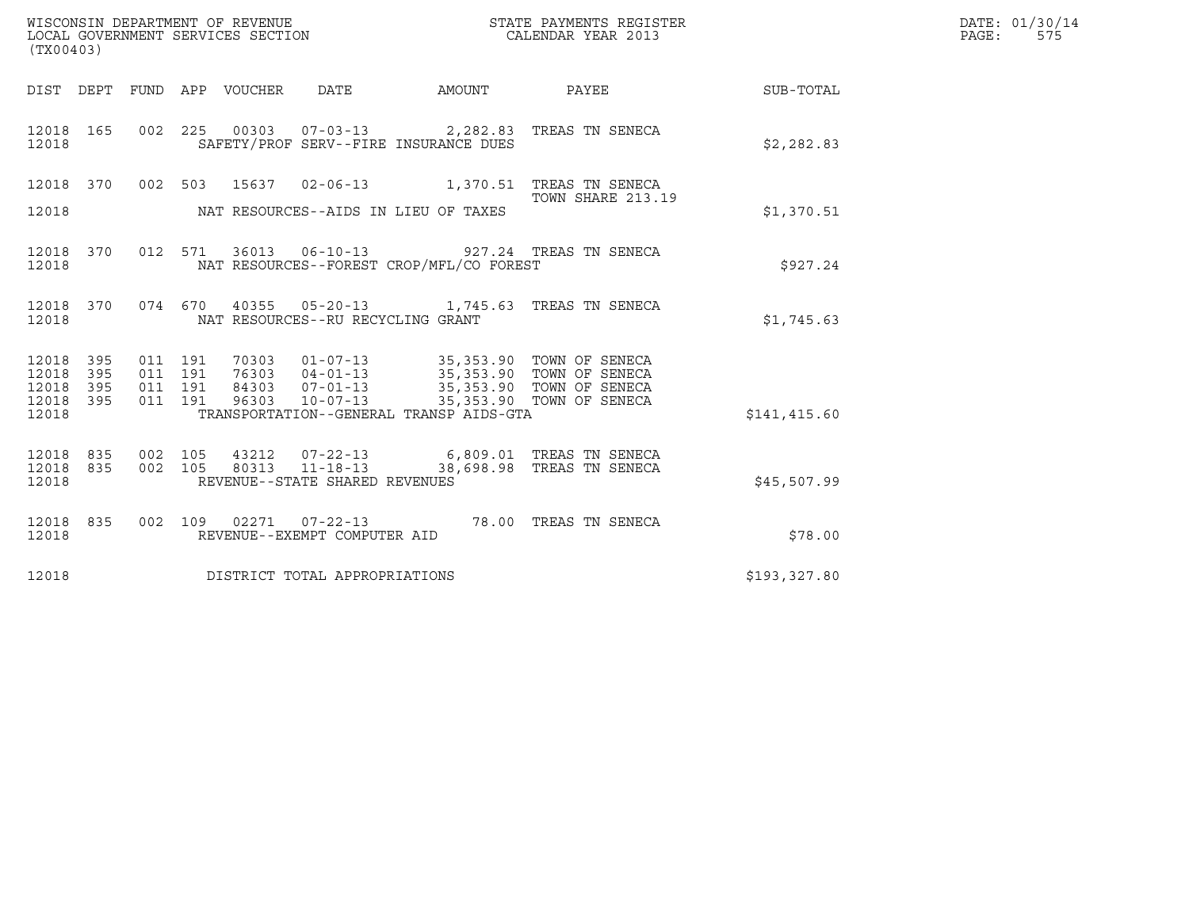| WISCONSIN DEPARTMENT OF REVENUE<br>(TX00403)                          | LOCAL GOVERNMENT SERVICES SECTION                                                                                                                                                                                                                        | STATE PAYMENTS REGISTER<br>CALENDAR YEAR 2013 |              | DATE: 01/30/14<br>$\mathtt{PAGE}$ :<br>575 |
|-----------------------------------------------------------------------|----------------------------------------------------------------------------------------------------------------------------------------------------------------------------------------------------------------------------------------------------------|-----------------------------------------------|--------------|--------------------------------------------|
|                                                                       | DIST DEPT FUND APP VOUCHER DATE<br>AMOUNT                                                                                                                                                                                                                | <b>PAYEE</b>                                  | SUB-TOTAL    |                                            |
| 12018 165<br>12018                                                    | 002 225 00303 07-03-13 2,282.83 TREAS TN SENECA<br>SAFETY/PROF SERV--FIRE INSURANCE DUES                                                                                                                                                                 |                                               | \$2,282.83   |                                            |
| 12018                                                                 | 12018 370 002 503 15637 02-06-13 1,370.51 TREAS TN SENECA<br>NAT RESOURCES--AIDS IN LIEU OF TAXES                                                                                                                                                        | TOWN SHARE 213.19                             | \$1,370.51   |                                            |
| 12018 370<br>12018                                                    | 012 571 36013 06-10-13 927.24 TREAS TN SENECA<br>NAT RESOURCES--FOREST CROP/MFL/CO FOREST                                                                                                                                                                |                                               | \$927.24     |                                            |
| 12018 370<br>12018                                                    | 074  670  40355  05-20-13   1,745.63  TREAS TN SENECA<br>NAT RESOURCES--RU RECYCLING GRANT                                                                                                                                                               |                                               | \$1,745.63   |                                            |
| 12018<br>395<br>395<br>12018<br>12018<br>395<br>395<br>12018<br>12018 | 011 191<br>70303  01-07-13  35,353.90  TOWN OF SENECA<br>011 191<br>76303  04-01-13  35,353.90  TOWN OF SENECA<br>84303  07-01-13  35,353.90  TOWN OF SENECA<br>011 191<br>011 191<br>96303<br>$10 - 07 - 13$<br>TRANSPORTATION--GENERAL TRANSP AIDS-GTA | 35,353.90 TOWN OF SENECA                      | \$141,415.60 |                                            |
| 12018 835<br>12018<br>835<br>12018                                    | 002 105<br>43212  07-22-13   6,809.01   TREAS TN SENECA<br>80313 11-18-13<br>002 105<br>REVENUE--STATE SHARED REVENUES                                                                                                                                   | 38,698.98 TREAS TN SENECA                     | \$45,507.99  |                                            |
| 12018 835<br>12018                                                    | 002 109 02271 07-22-13 78.00 TREAS TN SENECA<br>REVENUE--EXEMPT COMPUTER AID                                                                                                                                                                             |                                               | \$78.00      |                                            |
| 12018                                                                 | DISTRICT TOTAL APPROPRIATIONS                                                                                                                                                                                                                            |                                               | \$193,327.80 |                                            |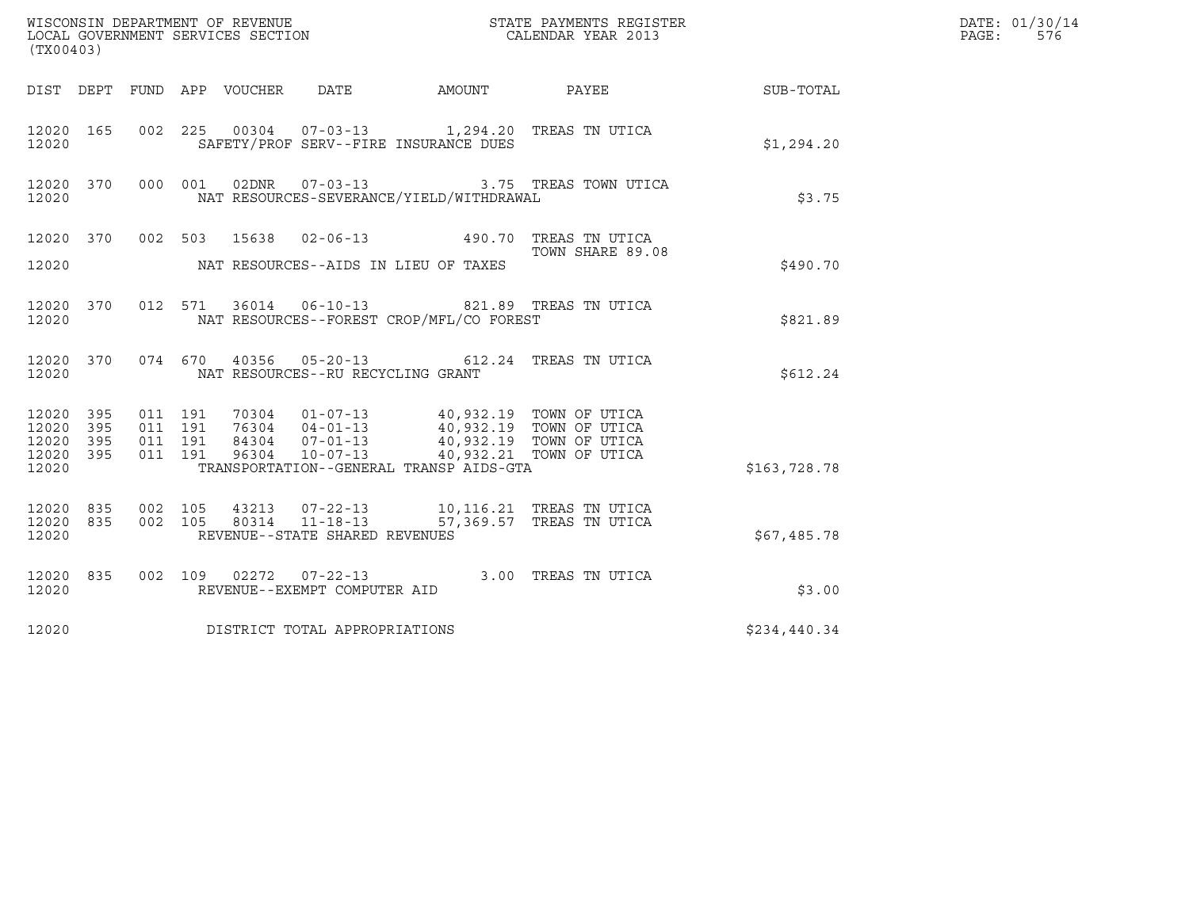| (TX00403)                                                                                                         |                                                                                                                                                                                         |                         | DATE: 01/30/14<br>PAGE:<br>576 |  |
|-------------------------------------------------------------------------------------------------------------------|-----------------------------------------------------------------------------------------------------------------------------------------------------------------------------------------|-------------------------|--------------------------------|--|
| DIST DEPT FUND APP VOUCHER DATE                                                                                   | AMOUNT PAYEE                                                                                                                                                                            |                         | SUB-TOTAL                      |  |
| 12020 165<br>12020                                                                                                | 002 225 00304 07-03-13 1,294.20 TREAS TN UTICA<br>SAFETY/PROF SERV--FIRE INSURANCE DUES                                                                                                 |                         | \$1,294.20                     |  |
| 12020 370 000 001<br>12020                                                                                        | 02DNR  07-03-13  3.75 TREAS TOWN UTICA<br>NAT RESOURCES-SEVERANCE/YIELD/WITHDRAWAL                                                                                                      |                         | \$3.75                         |  |
| 12020 370 002 503 15638 02-06-13 490.70 TREAS TN UTICA<br>TOWN SHARE 89.0                                         |                                                                                                                                                                                         | TOWN SHARE 89.08        |                                |  |
| 12020                                                                                                             | NAT RESOURCES--AIDS IN LIEU OF TAXES                                                                                                                                                    |                         | \$490.70                       |  |
| 12020 370<br>12020                                                                                                | 012 571 36014 06-10-13 821.89 TREAS TN UTICA<br>NAT RESOURCES--FOREST CROP/MFL/CO FOREST                                                                                                |                         | \$821.89                       |  |
| 12020 370<br>12020                                                                                                | 074 670 40356 05-20-13 612.24 TREAS TN UTICA<br>NAT RESOURCES--RU RECYCLING GRANT                                                                                                       |                         | \$612.24                       |  |
| 12020 395<br>011 191<br>395<br>011 191<br>12020<br>011 191<br>12020 395<br>011 191<br>12020 395<br>96304<br>12020 | 10304 01-07-13 40,932.19 TOWN OF UTICA<br>16304 04-01-13 40,932.19 TOWN OF UTICA<br>84304 07-01-13 40,932.19 TOWN OF UTICA<br>$10 - 07 - 13$<br>TRANSPORTATION--GENERAL TRANSP AIDS-GTA | 40,932.21 TOWN OF UTICA | \$163,728.78                   |  |
| 12020 835<br>002 105<br>12020 835<br>002 105<br>12020                                                             | 43213  07-22-13  10,116.21 TREAS TN UTICA<br>80314  11-18-13  57,369.57 TREAS TN UTICA<br>REVENUE--STATE SHARED REVENUES                                                                |                         | \$67,485.78                    |  |
| 12020 835<br>12020                                                                                                | 002 109 02272 07-22-13 3.00 TREAS TN UTICA<br>REVENUE--EXEMPT COMPUTER AID                                                                                                              |                         | \$3.00                         |  |
| DISTRICT TOTAL APPROPRIATIONS<br>12020                                                                            |                                                                                                                                                                                         |                         | \$234,440.34                   |  |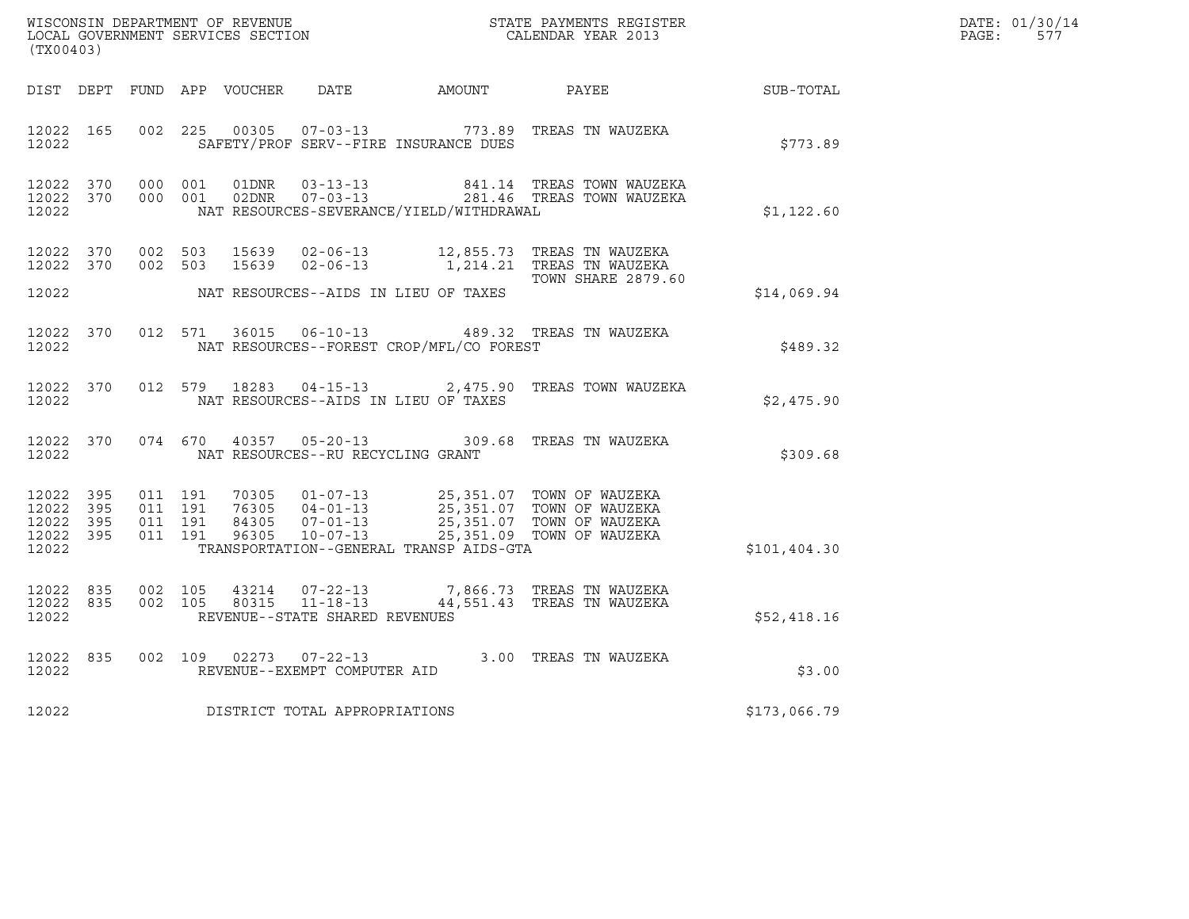|       | DATE: 01/30/14 |
|-------|----------------|
| PAGE: | 577            |

|                                                           | WISCONSIN DEPARTMENT OF REVENUE<br>LOCAL GOVERNMENT SERVICES SECTION<br>CALENDAR YEAR 2013<br>(TX00403) |  |  |  | R                                   | DATE: 01/30/14<br>$\mathtt{PAGE:}$<br>577  |                                                                                                                                                                                                              |              |  |
|-----------------------------------------------------------|---------------------------------------------------------------------------------------------------------|--|--|--|-------------------------------------|--------------------------------------------|--------------------------------------------------------------------------------------------------------------------------------------------------------------------------------------------------------------|--------------|--|
|                                                           |                                                                                                         |  |  |  |                                     |                                            | DIST DEPT FUND APP VOUCHER DATE AMOUNT PAYEE SUB-TOTAL                                                                                                                                                       |              |  |
| 12022 165<br>12022                                        |                                                                                                         |  |  |  |                                     | SAFETY/PROF SERV--FIRE INSURANCE DUES      | 002 225 00305 07-03-13 773.89 TREAS TN WAUZEKA                                                                                                                                                               | \$773.89     |  |
| 12022 370<br>12022 370<br>12022                           |                                                                                                         |  |  |  |                                     | NAT RESOURCES-SEVERANCE/YIELD/WITHDRAWAL   | 000 001 01DNR 03-13-13 841.14 TREAS TOWN WAUZEKA<br>000 001 02DNR 07-03-13 281.46 TREAS TOWN WAUZEKA                                                                                                         | \$1,122.60   |  |
|                                                           |                                                                                                         |  |  |  |                                     |                                            | 12022 370 002 503 15639 02-06-13 12,855.73 TREAS TN WAUZEKA<br>12022 370 002 503 15639 02-06-13 1,214.21 TREAS TN WAUZEKA<br><b>TOWN SHARE 2879.60</b>                                                       |              |  |
|                                                           |                                                                                                         |  |  |  |                                     | 12022 NAT RESOURCES--AIDS IN LIEU OF TAXES |                                                                                                                                                                                                              | \$14,069.94  |  |
| 12022 370<br>12022                                        |                                                                                                         |  |  |  |                                     | NAT RESOURCES--FOREST CROP/MFL/CO FOREST   | 012 571 36015 06-10-13 489.32 TREAS TN WAUZEKA                                                                                                                                                               | \$489.32     |  |
| 12022                                                     |                                                                                                         |  |  |  |                                     | NAT RESOURCES--AIDS IN LIEU OF TAXES       | 12022 370 012 579 18283 04-15-13 2,475.90 TREAS TOWN WAUZEKA                                                                                                                                                 | \$2,475.90   |  |
| 12022                                                     |                                                                                                         |  |  |  |                                     | NAT RESOURCES--RU RECYCLING GRANT          | 12022 370 074 670 40357 05-20-13 309.68 TREAS TN WAUZEKA                                                                                                                                                     | \$309.68     |  |
| 12022 395<br>12022 395<br>12022 395<br>12022 395<br>12022 |                                                                                                         |  |  |  |                                     | TRANSPORTATION--GENERAL TRANSP AIDS-GTA    | 011 191 70305 01-07-13 25,351.07 TOWN OF WAUZEKA<br>011 191 76305 04-01-13 25,351.07 TOWN OF WAUZEKA<br>011 191 84305 07-01-13 25,351.07 TOWN OF WAUZEKA<br>011 191 96305 10-07-13 25,351.09 TOWN OF WAUZEKA | \$101,404.30 |  |
| 12022                                                     |                                                                                                         |  |  |  | REVENUE--STATE SHARED REVENUES      |                                            | $12022 \quad 835 \quad 002 \quad 105 \quad 43214 \quad 07-22-13 \quad 7,866.73 \quad \textrm{TERS TN MAUZEKA}$<br>12022 835 002 105 80315 11-18-13 44,551.43 TREAS TN WAUZEKA                                | \$52,418.16  |  |
|                                                           |                                                                                                         |  |  |  |                                     |                                            | $\begin{array}{cccccc} 12022 & 835 & 002 & 109 & 02273 & 07-22-13 & & 3.00 & \text{TREAS TN WAUZEKA} \\ 12022 & & & \text{REVENUE--EXEMPT COMPUTER AID & & & & \end{array}$                                  | \$3.00       |  |
|                                                           |                                                                                                         |  |  |  | 12022 DISTRICT TOTAL APPROPRIATIONS |                                            |                                                                                                                                                                                                              | \$173,066.79 |  |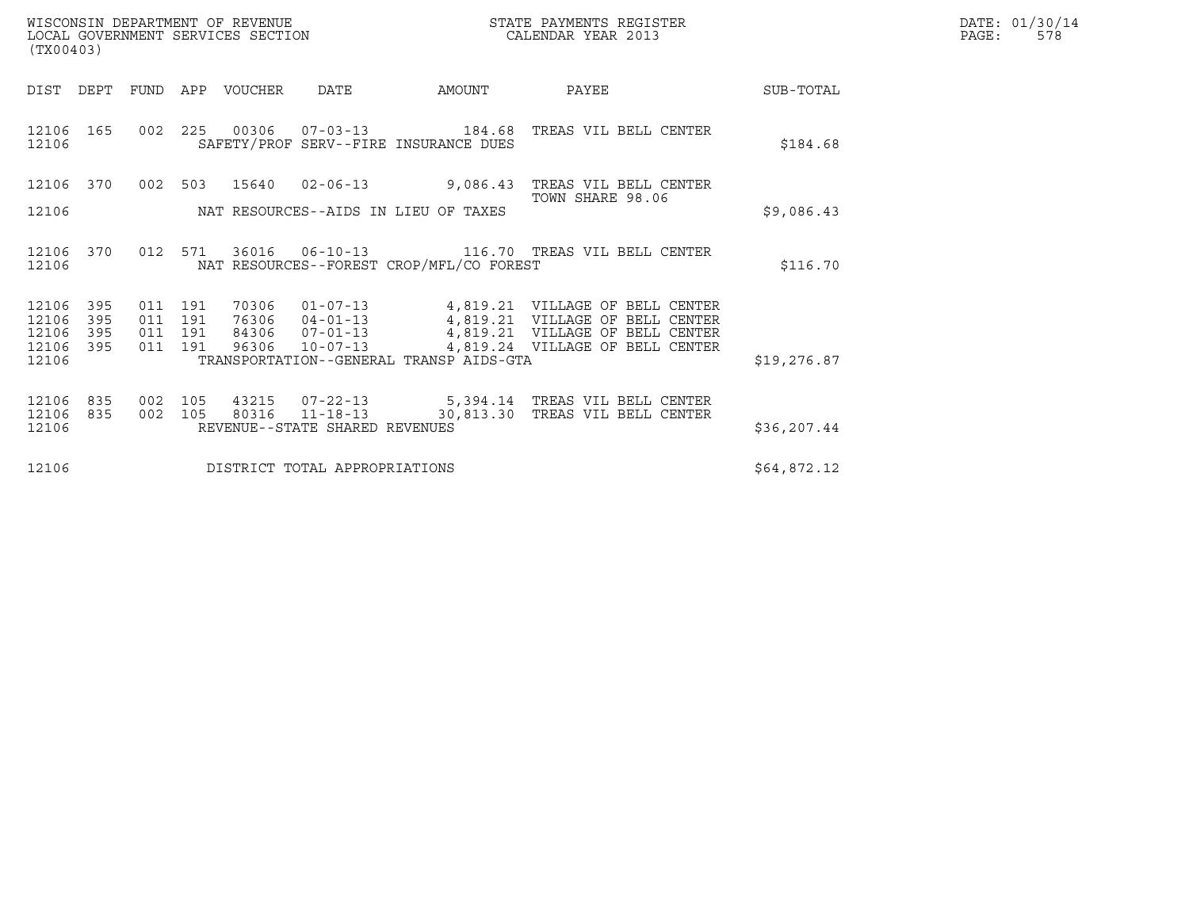| WISCONSIN DEPARTMENT OF REVENUE<br>LOCAL GOVERNMENT SERVICES SECTION<br>(TX00403) | STATE PAYMENTS REGISTER<br>CALENDAR YEAR 2013 | DATE: 01/30/14<br>PAGE:<br>578 |
|-----------------------------------------------------------------------------------|-----------------------------------------------|--------------------------------|

| (TX00403)                                                             |                                                                                                                                                                                                                                                                                                                                                         |              |
|-----------------------------------------------------------------------|---------------------------------------------------------------------------------------------------------------------------------------------------------------------------------------------------------------------------------------------------------------------------------------------------------------------------------------------------------|--------------|
| DIST<br>DEPT                                                          | FUND<br>APP<br>VOUCHER<br>DATE<br>AMOUNT<br>PAYEE                                                                                                                                                                                                                                                                                                       | SUB-TOTAL    |
| 165<br>12106<br>12106                                                 | 00306<br>002<br>225<br>SAFETY/PROF SERV--FIRE INSURANCE DUES                                                                                                                                                                                                                                                                                            | \$184.68     |
| 12106<br>370                                                          | $02 - 06 - 13$<br>9,086.43<br>002<br>503<br>15640<br>TREAS VIL BELL CENTER                                                                                                                                                                                                                                                                              |              |
| 12106                                                                 | TOWN SHARE 98.06<br>NAT RESOURCES--AIDS IN LIEU OF TAXES                                                                                                                                                                                                                                                                                                | \$9,086.43   |
| 12106<br>370<br>12106                                                 | 36016 06-10-13<br>012<br>571<br>116.70 TREAS VIL BELL CENTER<br>NAT RESOURCES--FOREST CROP/MFL/CO FOREST                                                                                                                                                                                                                                                | \$116.70     |
| 395<br>12106<br>12106<br>395<br>12106<br>395<br>12106<br>395<br>12106 | $01 - 07 - 13$<br>4,819.21 VILLAGE OF BELL CENTER<br>011<br>191<br>70306<br>4,819.21 VILLAGE OF BELL CENTER<br>011<br>191<br>76306<br>$04 - 01 - 13$<br>4,819.21 VILLAGE OF BELL CENTER<br>$07 - 01 - 13$<br>191<br>84306<br>011<br>4,819.24 VILLAGE OF BELL CENTER<br>96306<br>$10 - 07 - 13$<br>011<br>191<br>TRANSPORTATION--GENERAL TRANSP AIDS-GTA | \$19,276.87  |
| 835<br>12106<br>835<br>12106<br>12106                                 | 002<br>105<br>43215<br>07-22-13 5,394.14 TREAS VIL BELL CENTER<br>30,813.30 TREAS VIL BELL CENTER<br>80316<br>$11 - 18 - 13$<br>002<br>105<br>REVENUE--STATE SHARED REVENUES                                                                                                                                                                            | \$36, 207.44 |
| 12106                                                                 | DISTRICT TOTAL APPROPRIATIONS                                                                                                                                                                                                                                                                                                                           | \$64,872.12  |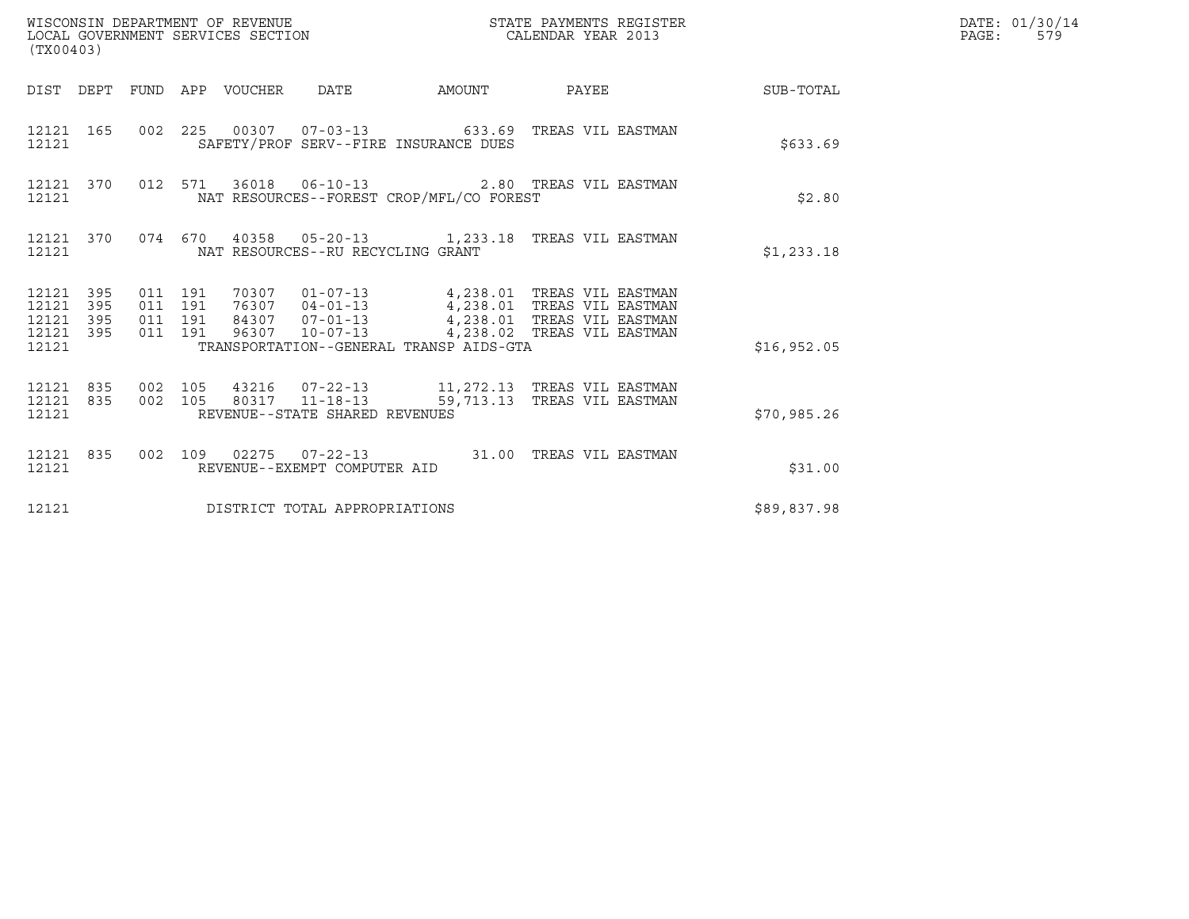| (TX00403)                                             |     |                               |         |                                   |                                                                                                                                                                                                                  |  |                                                           | DATE: 01/30/14<br>PAGE:<br>579 |
|-------------------------------------------------------|-----|-------------------------------|---------|-----------------------------------|------------------------------------------------------------------------------------------------------------------------------------------------------------------------------------------------------------------|--|-----------------------------------------------------------|--------------------------------|
|                                                       |     |                               |         |                                   |                                                                                                                                                                                                                  |  | DIST DEPT FUND APP VOUCHER DATE AMOUNT PAYEE TO SUB-TOTAL |                                |
| 12121                                                 |     |                               |         |                                   | 12121 165 002 225 00307 07-03-13 633.69 TREAS VIL EASTMAN<br>SAFETY/PROF SERV--FIRE INSURANCE DUES                                                                                                               |  | \$633.69                                                  |                                |
| 12121                                                 |     |                               |         |                                   | 12121 370 012 571 36018 06-10-13 2.80 TREAS VIL EASTMAN<br>NAT RESOURCES--FOREST CROP/MFL/CO FOREST                                                                                                              |  | \$2.80                                                    |                                |
| 12121                                                 |     |                               |         | NAT RESOURCES--RU RECYCLING GRANT | 12121 370 074 670 40358 05-20-13 1,233.18 TREAS VIL EASTMAN                                                                                                                                                      |  | \$1,233.18                                                |                                |
| 12121 395<br>12121<br>12121 395<br>12121 395<br>12121 | 395 | 011 191<br>011 191<br>011 191 | 011 191 |                                   | TRANSPORTATION--GENERAL TRANSP AIDS-GTA                                                                                                                                                                          |  | \$16,952.05                                               |                                |
| 12121                                                 |     |                               |         | REVENUE--STATE SHARED REVENUES    | $\begin{array}{cccccccc} 12121 & 835 & 002 & 105 & 43216 & 07-22-13 & & 11,272.13 & \text{TREAS VII EASTMAN} \\ 12121 & 835 & 002 & 105 & 80317 & 11-18-13 & & 59,713.13 & \text{TREAS VII EASTMAN} \end{array}$ |  | \$70,985.26                                               |                                |
| 12121                                                 |     |                               |         | REVENUE--EXEMPT COMPUTER AID      | 12121 835 002 109 02275 07-22-13 31.00 TREAS VIL EASTMAN                                                                                                                                                         |  | \$31.00                                                   |                                |
| 12121                                                 |     |                               |         | DISTRICT TOTAL APPROPRIATIONS     |                                                                                                                                                                                                                  |  | \$89,837.98                                               |                                |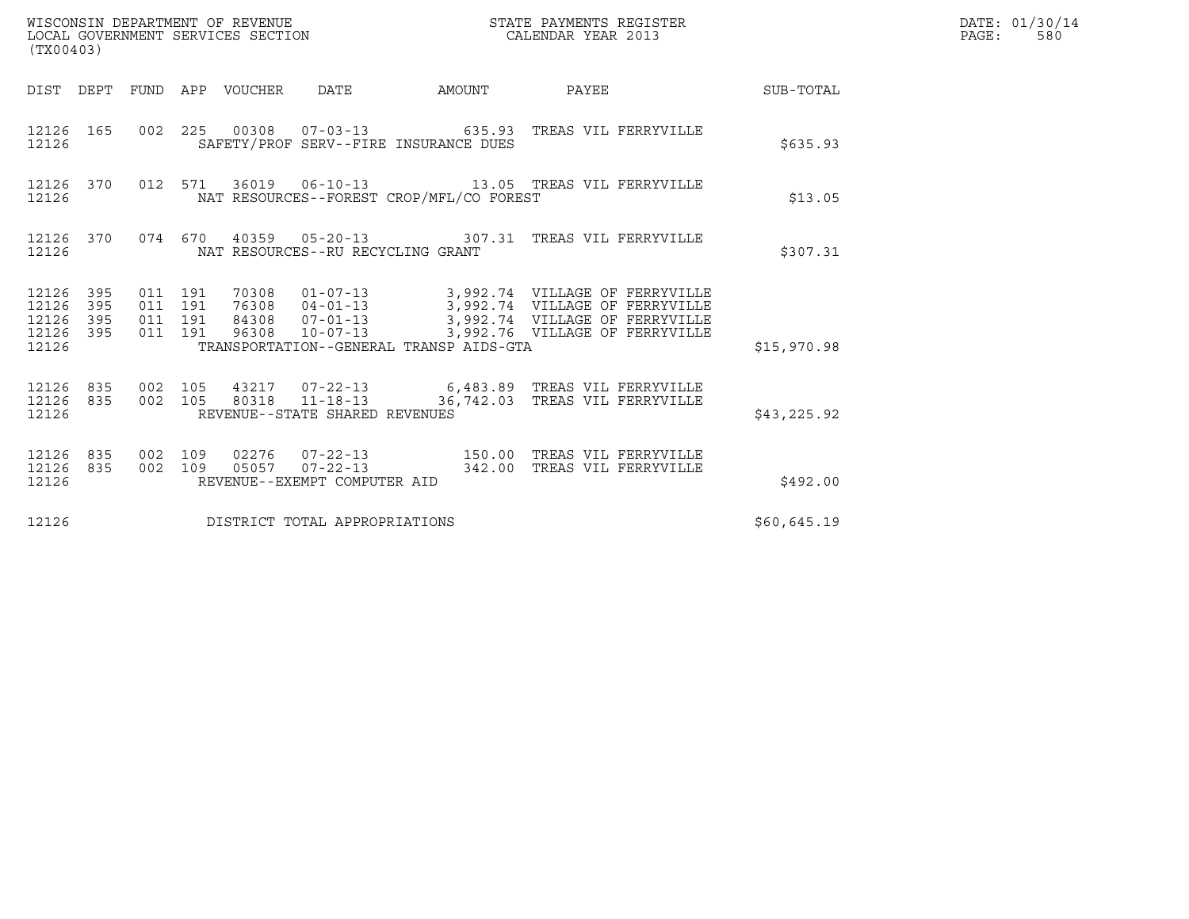| (TX00403)                                                                                                   |                                                                                                                                                                                                                                                         |                        |             | DATE: 01/30/14<br>PAGE:<br>580 |
|-------------------------------------------------------------------------------------------------------------|---------------------------------------------------------------------------------------------------------------------------------------------------------------------------------------------------------------------------------------------------------|------------------------|-------------|--------------------------------|
| DIST DEPT FUND APP VOUCHER DATE                                                                             |                                                                                                                                                                                                                                                         | AMOUNT PAYEE SUB-TOTAL |             |                                |
| 12126 165<br>12126                                                                                          | 002  225  00308  07-03-13  635.93  TREAS VIL FERRYVILLE<br>SAFETY/PROF SERV--FIRE INSURANCE DUES                                                                                                                                                        |                        | \$635.93    |                                |
| 370<br>12126<br>12126                                                                                       | 012 571 36019 06-10-13 13.05 TREAS VIL FERRYVILLE<br>NAT RESOURCES--FOREST CROP/MFL/CO FOREST                                                                                                                                                           |                        | \$13.05     |                                |
| 12126 370<br>12126                                                                                          | 074 670 40359 05-20-13 307.31 TREAS VIL FERRYVILLE<br>NAT RESOURCES--RU RECYCLING GRANT                                                                                                                                                                 |                        | \$307.31    |                                |
| 12126 395<br>011 191<br>12126<br>395<br>011 191<br>12126<br>395<br>011 191<br>12126 395<br>011 191<br>12126 | 70308  01-07-13  3,992.74  VILLAGE OF FERRYVILLE<br>76308  04-01-13  3,992.74  VILLAGE OF FERRYVILLE<br>84308  07-01-13  3,992.74  VILLAGE OF FERRYVILLE<br>96308  10-07-13  3,992.76  VILLAGE OF FERRYVILLE<br>TRANSPORTATION--GENERAL TRANSP AIDS-GTA |                        | \$15,970.98 |                                |
| 12126 835<br>002 105<br>12126 835<br>002 105<br>12126                                                       | 43217 07-22-13 6,483.89 TREAS VIL FERRYVILLE<br>80318  11-18-13  36,742.03  TREAS VIL FERRYVILLE<br>REVENUE--STATE SHARED REVENUES                                                                                                                      |                        | \$43,225.92 |                                |
| 12126 835<br>002 109<br>002 109<br>12126 835<br>12126                                                       | 02276     07-22-13                         150.00    TREAS  VIL  FERRYVILLE<br>05057     07-22-13                        342.00    TREAS  VIL  FERRYVILLE<br>REVENUE--EXEMPT COMPUTER AID                                                               |                        | \$492.00    |                                |
| 12126                                                                                                       | DISTRICT TOTAL APPROPRIATIONS                                                                                                                                                                                                                           |                        | \$60,645.19 |                                |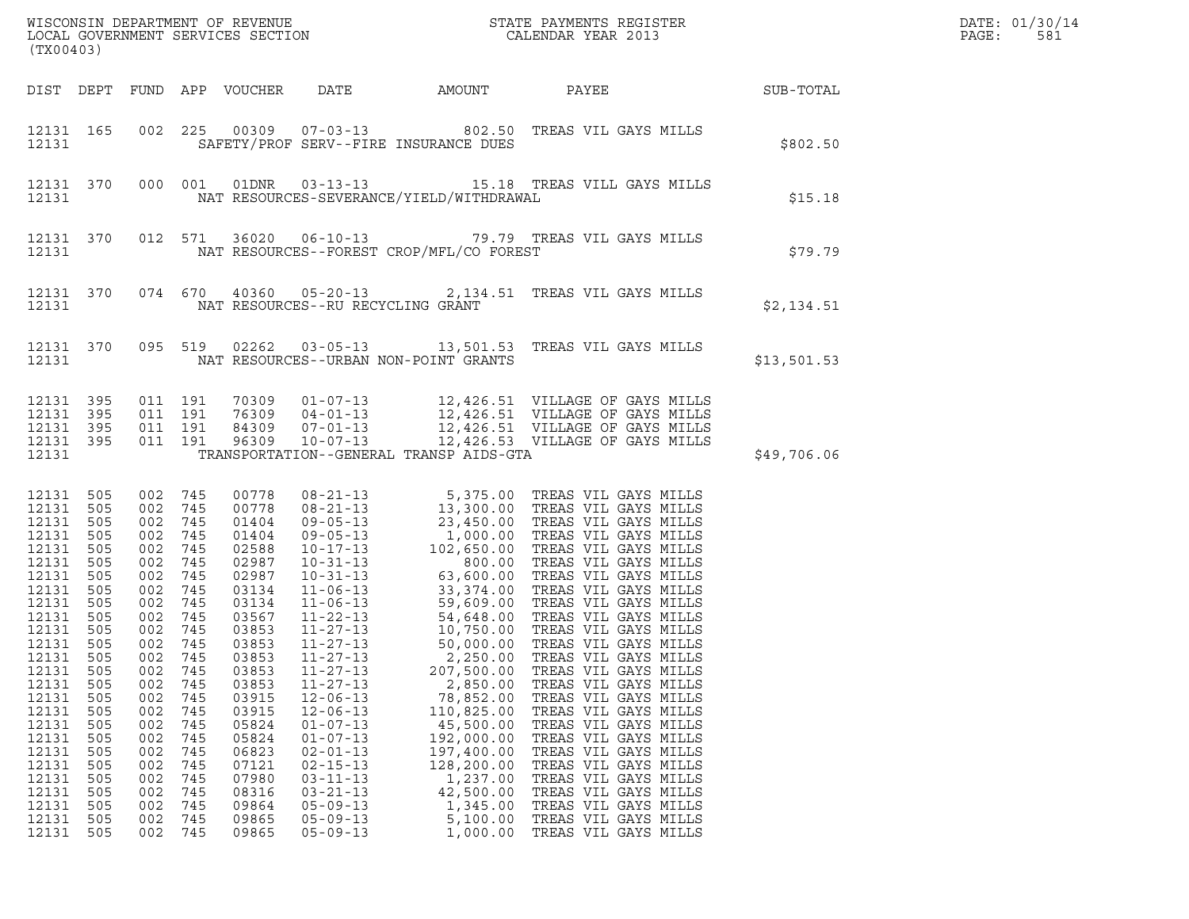|       | DATE: 01/30/14 |
|-------|----------------|
| PAGE: | 581            |

| WISCONSIN DEPARTMENT OF REVENUE ${\small \begin{array}{ll} \texttt{MISCONS} \texttt{IN} \texttt{DEPARTMENT} \texttt{S} \texttt{REVIEW} \\ \texttt{LOCAL} \texttt{GOVERNMENT} \texttt{SERVICES} \texttt{SECTION} \end{array}}$<br>(TX00403)     |                                                                                                                                                                      |                                                                                                                                                                                                            |                                                                                                                                          |                                                                                                                                                                                                                                        |                                                                                                                                                                                                                                                                            |                                                                                                                                                                                                |                                                                                                                                                                                                                                                                                                                                                                      |             | DATE: 01/30/14<br>PAGE:<br>581 |
|------------------------------------------------------------------------------------------------------------------------------------------------------------------------------------------------------------------------------------------------|----------------------------------------------------------------------------------------------------------------------------------------------------------------------|------------------------------------------------------------------------------------------------------------------------------------------------------------------------------------------------------------|------------------------------------------------------------------------------------------------------------------------------------------|----------------------------------------------------------------------------------------------------------------------------------------------------------------------------------------------------------------------------------------|----------------------------------------------------------------------------------------------------------------------------------------------------------------------------------------------------------------------------------------------------------------------------|------------------------------------------------------------------------------------------------------------------------------------------------------------------------------------------------|----------------------------------------------------------------------------------------------------------------------------------------------------------------------------------------------------------------------------------------------------------------------------------------------------------------------------------------------------------------------|-------------|--------------------------------|
|                                                                                                                                                                                                                                                |                                                                                                                                                                      |                                                                                                                                                                                                            |                                                                                                                                          | DIST DEPT FUND APP VOUCHER                                                                                                                                                                                                             | DATE                                                                                                                                                                                                                                                                       | AMOUNT                                                                                                                                                                                         | PAYEE                                                                                                                                                                                                                                                                                                                                                                | SUB-TOTAL   |                                |
| 12131 165<br>12131                                                                                                                                                                                                                             |                                                                                                                                                                      |                                                                                                                                                                                                            |                                                                                                                                          |                                                                                                                                                                                                                                        |                                                                                                                                                                                                                                                                            | SAFETY/PROF SERV--FIRE INSURANCE DUES                                                                                                                                                          | 002 225 00309 07-03-13 802.50 TREAS VIL GAYS MILLS                                                                                                                                                                                                                                                                                                                   | \$802.50    |                                |
| 12131 370<br>12131                                                                                                                                                                                                                             |                                                                                                                                                                      |                                                                                                                                                                                                            |                                                                                                                                          |                                                                                                                                                                                                                                        |                                                                                                                                                                                                                                                                            | NAT RESOURCES-SEVERANCE/YIELD/WITHDRAWAL                                                                                                                                                       | 000 001 01DNR 03-13-13 15.18 TREAS VILL GAYS MILLS                                                                                                                                                                                                                                                                                                                   | \$15.18     |                                |
| 12131 370<br>12131                                                                                                                                                                                                                             |                                                                                                                                                                      |                                                                                                                                                                                                            |                                                                                                                                          |                                                                                                                                                                                                                                        |                                                                                                                                                                                                                                                                            | NAT RESOURCES--FOREST CROP/MFL/CO FOREST                                                                                                                                                       | 012 571 36020 06-10-13 79.79 TREAS VIL GAYS MILLS                                                                                                                                                                                                                                                                                                                    | \$79.79     |                                |
| 12131 370<br>12131                                                                                                                                                                                                                             |                                                                                                                                                                      |                                                                                                                                                                                                            |                                                                                                                                          |                                                                                                                                                                                                                                        | NAT RESOURCES--RU RECYCLING GRANT                                                                                                                                                                                                                                          |                                                                                                                                                                                                | 074 670 40360 05-20-13 2,134.51 TREAS VIL GAYS MILLS                                                                                                                                                                                                                                                                                                                 | \$2,134.51  |                                |
| 12131 370<br>12131                                                                                                                                                                                                                             |                                                                                                                                                                      |                                                                                                                                                                                                            |                                                                                                                                          |                                                                                                                                                                                                                                        |                                                                                                                                                                                                                                                                            | NAT RESOURCES--URBAN NON-POINT GRANTS                                                                                                                                                          | 095 519 02262 03-05-13 13,501.53 TREAS VIL GAYS MILLS                                                                                                                                                                                                                                                                                                                | \$13,501.53 |                                |
| 12131 395<br>12131<br>12131 395<br>12131 395<br>12131                                                                                                                                                                                          | 395                                                                                                                                                                  | 011 191<br>011 191<br>011 191<br>011 191                                                                                                                                                                   |                                                                                                                                          |                                                                                                                                                                                                                                        |                                                                                                                                                                                                                                                                            | TRANSPORTATION--GENERAL TRANSP AIDS-GTA                                                                                                                                                        | 70309  01-07-13  12,426.51  VILLAGE OF GAYS MILLS<br>76309  04-01-13  12,426.51  VILLAGE OF GAYS MILLS<br>84309  07-01-13  12,426.51  VILLAGE OF GAYS MILLS<br>96309  10-07-13  12,426.53  VILLAGE OF GAYS MILLS                                                                                                                                                     | \$49,706.06 |                                |
| 12131 505<br>12131<br>12131<br>12131<br>12131<br>12131<br>12131<br>12131<br>12131<br>12131<br>12131<br>12131 505<br>12131<br>12131<br>12131<br>12131<br>12131<br>12131<br>12131<br>12131<br>12131<br>12131<br>12131<br>12131<br>12131<br>12131 | 505<br>505<br>505<br>505<br>505<br>505<br>505<br>505<br>505<br>505<br>505<br>505<br>505<br>505<br>505<br>505<br>505<br>505<br>505<br>505<br>505<br>505<br>505<br>505 | 002 745<br>002 745<br>002 745<br>002<br>002<br>002<br>002<br>002<br>002<br>002 745<br>002 745<br>002 745<br>002<br>002<br>002<br>002<br>002<br>002<br>002<br>002<br>002<br>002<br>002<br>002<br>002<br>002 | 745<br>745<br>745<br>745<br>745<br>745<br>745<br>745<br>745<br>745<br>745<br>745<br>745<br>745<br>745<br>745<br>745<br>745<br>745<br>745 | 00778<br>00778<br>01404<br>01404<br>02588<br>02987<br>02987<br>03134<br>03134<br>03567<br>03853<br>03853<br>03853<br>03853<br>03853<br>03915<br>03915<br>05824<br>05824<br>06823<br>07121<br>07980<br>08316<br>09864<br>09865<br>09865 | $11 - 27 - 13$<br>$11 - 27 - 13$<br>$11 - 27 - 13$<br>$11 - 27 - 13$<br>$12 - 06 - 13$<br>$12 - 06 - 13$<br>$01 - 07 - 13$<br>$01 - 07 - 13$<br>$02 - 01 - 13$<br>$02 - 15 - 13$<br>$03 - 11 - 13$<br>$03 - 21 - 13$<br>$05 - 09 - 13$<br>$05 - 09 - 13$<br>$05 - 09 - 13$ | 50,000.00<br>2,250.00<br>207,500.00<br>2,850.00<br>78,852.00<br>110,825.00<br>45,500.00<br>192,000.00<br>197,400.00<br>128,200.00<br>1,237.00<br>42,500.00<br>1,345.00<br>5,100.00<br>1,000.00 | TREAS VIL GAYS MILLS<br>TREAS VIL GAYS MILLS<br>TREAS VIL GAYS MILLS<br>TREAS VIL GAYS MILLS<br>TREAS VIL GAYS MILLS<br>TREAS VIL GAYS MILLS<br>TREAS VIL GAYS MILLS<br>TREAS VIL GAYS MILLS<br>TREAS VIL GAYS MILLS<br>TREAS VIL GAYS MILLS<br>TREAS VIL GAYS MILLS<br>TREAS VIL GAYS MILLS<br>TREAS VIL GAYS MILLS<br>TREAS VIL GAYS MILLS<br>TREAS VIL GAYS MILLS |             |                                |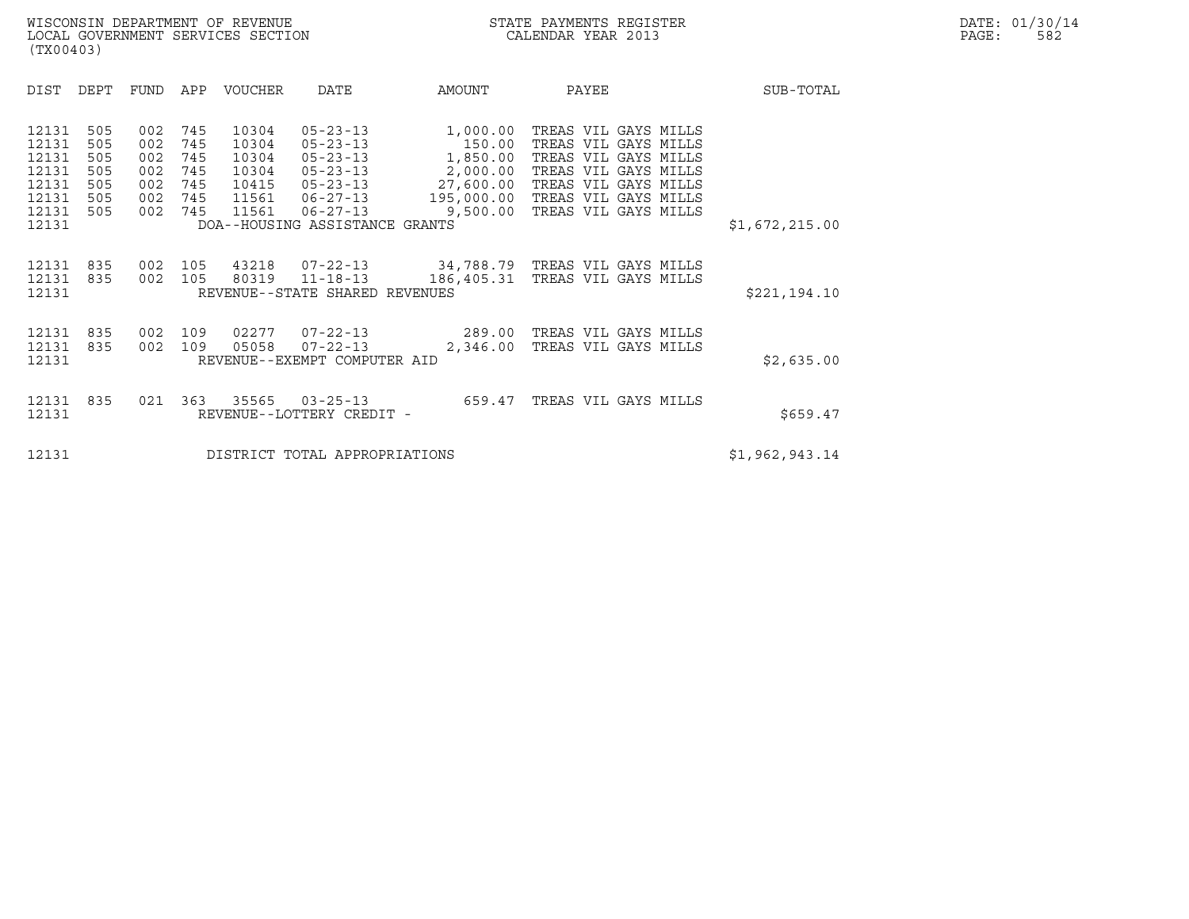|                                                                      | (TX00403)                                     |                                               |                                               |                                           |                                                                                                                                                               |                                                                                   |                                                                                                                                                                      |                |  |  |  |
|----------------------------------------------------------------------|-----------------------------------------------|-----------------------------------------------|-----------------------------------------------|-------------------------------------------|---------------------------------------------------------------------------------------------------------------------------------------------------------------|-----------------------------------------------------------------------------------|----------------------------------------------------------------------------------------------------------------------------------------------------------------------|----------------|--|--|--|
| DIST                                                                 | DEPT                                          | FUND                                          | APP                                           | <b>VOUCHER</b>                            | DATE                                                                                                                                                          | AMOUNT                                                                            | PAYEE                                                                                                                                                                | SUB-TOTAL      |  |  |  |
| 12131<br>12131<br>12131<br>12131<br>12131<br>12131<br>12131<br>12131 | 505<br>505<br>505<br>505<br>505<br>505<br>505 | 002<br>002<br>002<br>002<br>002<br>002<br>002 | 745<br>745<br>745<br>745<br>745<br>745<br>745 | 10304<br>10304<br>10304<br>10304<br>10415 | $05 - 23 - 13$<br>$05 - 23 - 13$<br>$05 - 23 - 13$<br>$05 - 23 - 13$<br>$05 - 23 - 13$<br>11561  06-27-13<br>11561 06-27-13<br>DOA--HOUSING ASSISTANCE GRANTS | 1,000.00<br>150.00<br>1,850.00<br>2,000.00<br>27,600.00<br>195,000.00<br>9,500.00 | TREAS VIL GAYS MILLS<br>TREAS VIL GAYS MILLS<br>TREAS VIL GAYS MILLS<br>TREAS VIL GAYS MILLS<br>TREAS VIL GAYS MILLS<br>TREAS VIL GAYS MILLS<br>TREAS VIL GAYS MILLS | \$1,672,215.00 |  |  |  |
| 12131<br>12131<br>12131                                              | 835<br>835                                    | 002<br>002                                    | 105<br>105                                    | 43218                                     | 80319 11-18-13<br>REVENUE--STATE SHARED REVENUES                                                                                                              |                                                                                   | 07-22-13 34,788.79 TREAS VIL GAYS MILLS<br>186,405.31 TREAS VIL GAYS MILLS                                                                                           | \$221,194.10   |  |  |  |
| 12131<br>12131<br>12131                                              | 835<br>835                                    | 002<br>002                                    | 109<br>109                                    | 02277<br>05058                            | $07 - 22 - 13$<br>REVENUE--EXEMPT COMPUTER AID                                                                                                                | $07 - 22 - 13$ 289.00<br>2,346.00                                                 | TREAS VIL GAYS MILLS<br>TREAS VIL GAYS MILLS                                                                                                                         | \$2,635.00     |  |  |  |
| 12131<br>12131                                                       | 835                                           | 021                                           | 363                                           | 35565                                     | $03 - 25 - 13$<br>REVENUE--LOTTERY CREDIT -                                                                                                                   | 659.47                                                                            | TREAS VIL GAYS MILLS                                                                                                                                                 | \$659.47       |  |  |  |
| 12131                                                                |                                               |                                               |                                               |                                           | DISTRICT TOTAL APPROPRIATIONS                                                                                                                                 |                                                                                   |                                                                                                                                                                      | \$1,962,943.14 |  |  |  |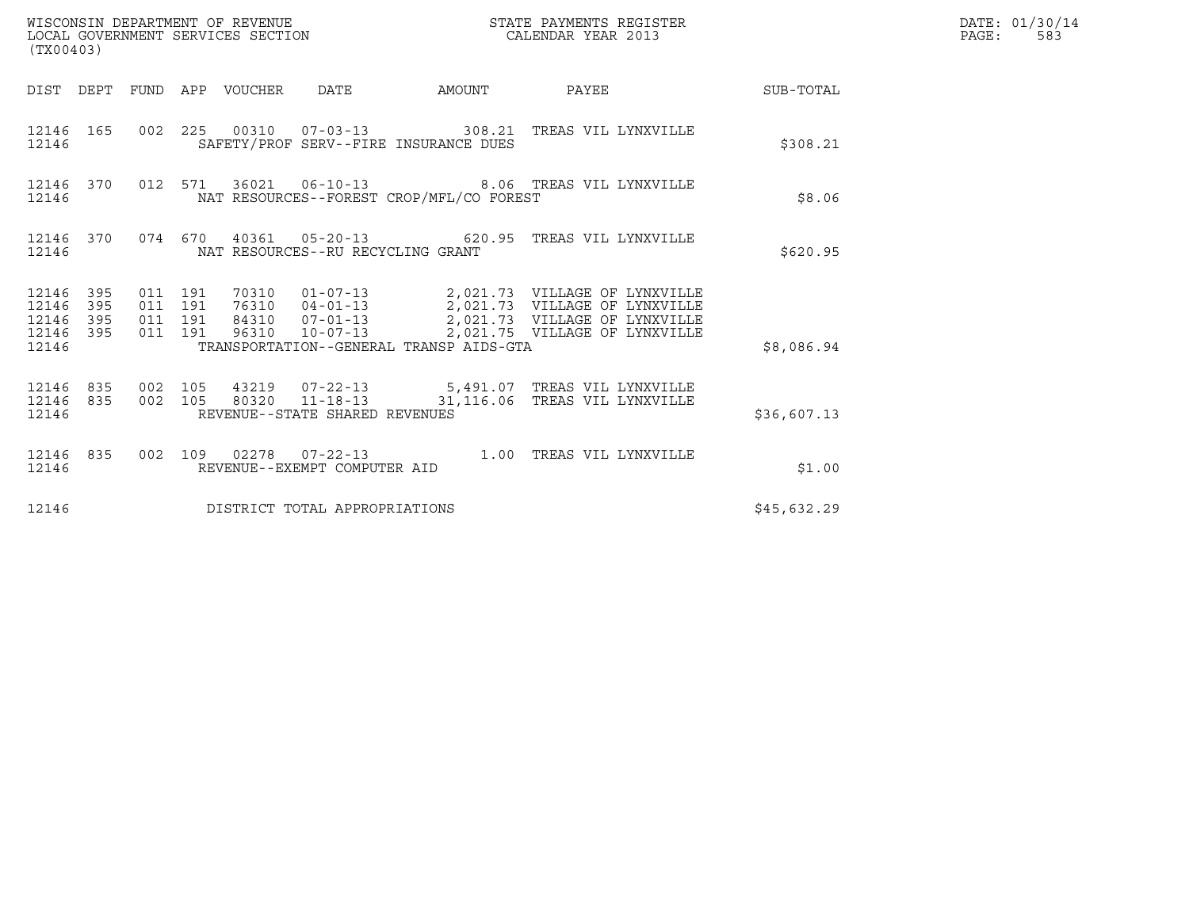| WISCONSIN DEPARTMENT OF REVENUE<br>LOCAL GOVERNMENT SERVICES SECTION<br>(TX00403) | STATE PAYMENTS REGISTER<br>CALENDAR YEAR 2013 | DATE: 01/30/14<br>PAGE:<br>583 |
|-----------------------------------------------------------------------------------|-----------------------------------------------|--------------------------------|

| (TX00403)                                         |            |  |  |  |                                   |                                          |                                                                                                             |             | DATE: 01/30/14<br>PAGE:<br>583 |
|---------------------------------------------------|------------|--|--|--|-----------------------------------|------------------------------------------|-------------------------------------------------------------------------------------------------------------|-------------|--------------------------------|
|                                                   |            |  |  |  |                                   |                                          | DIST DEPT FUND APP VOUCHER DATE AMOUNT PAYEE                                                                | SUB-TOTAL   |                                |
| 12146                                             |            |  |  |  |                                   | SAFETY/PROF SERV--FIRE INSURANCE DUES    | 12146 165 002 225 00310 07-03-13 308.21 TREAS VIL LYNXVILLE                                                 | \$308.21    |                                |
| 12146 370<br>12146                                |            |  |  |  |                                   | NAT RESOURCES--FOREST CROP/MFL/CO FOREST | 012 571 36021 06-10-13 8.06 TREAS VIL LYNXVILLE                                                             | \$8.06      |                                |
| 12146 370<br>12146                                |            |  |  |  | NAT RESOURCES--RU RECYCLING GRANT |                                          | 074  670  40361  05-20-13  620.95  TREAS VIL LYNXVILLE                                                      | \$620.95    |                                |
| 12146 395<br>12146<br>12146<br>12146 395<br>12146 | 395<br>395 |  |  |  |                                   | TRANSPORTATION--GENERAL TRANSP AIDS-GTA  |                                                                                                             | \$8,086.94  |                                |
| 12146 835<br>12146 835<br>12146                   |            |  |  |  | REVENUE--STATE SHARED REVENUES    |                                          | 002 105 43219 07-22-13 5,491.07 TREAS VIL LYNXVILLE<br>002 105 80320 11-18-13 31,116.06 TREAS VIL LYNXVILLE | \$36,607.13 |                                |
| 12146 835<br>12146                                |            |  |  |  | REVENUE--EXEMPT COMPUTER AID      |                                          | 002 109 02278 07-22-13 1.00 TREAS VIL LYNXVILLE                                                             | \$1.00      |                                |
| 12146                                             |            |  |  |  | DISTRICT TOTAL APPROPRIATIONS     |                                          |                                                                                                             | \$45,632.29 |                                |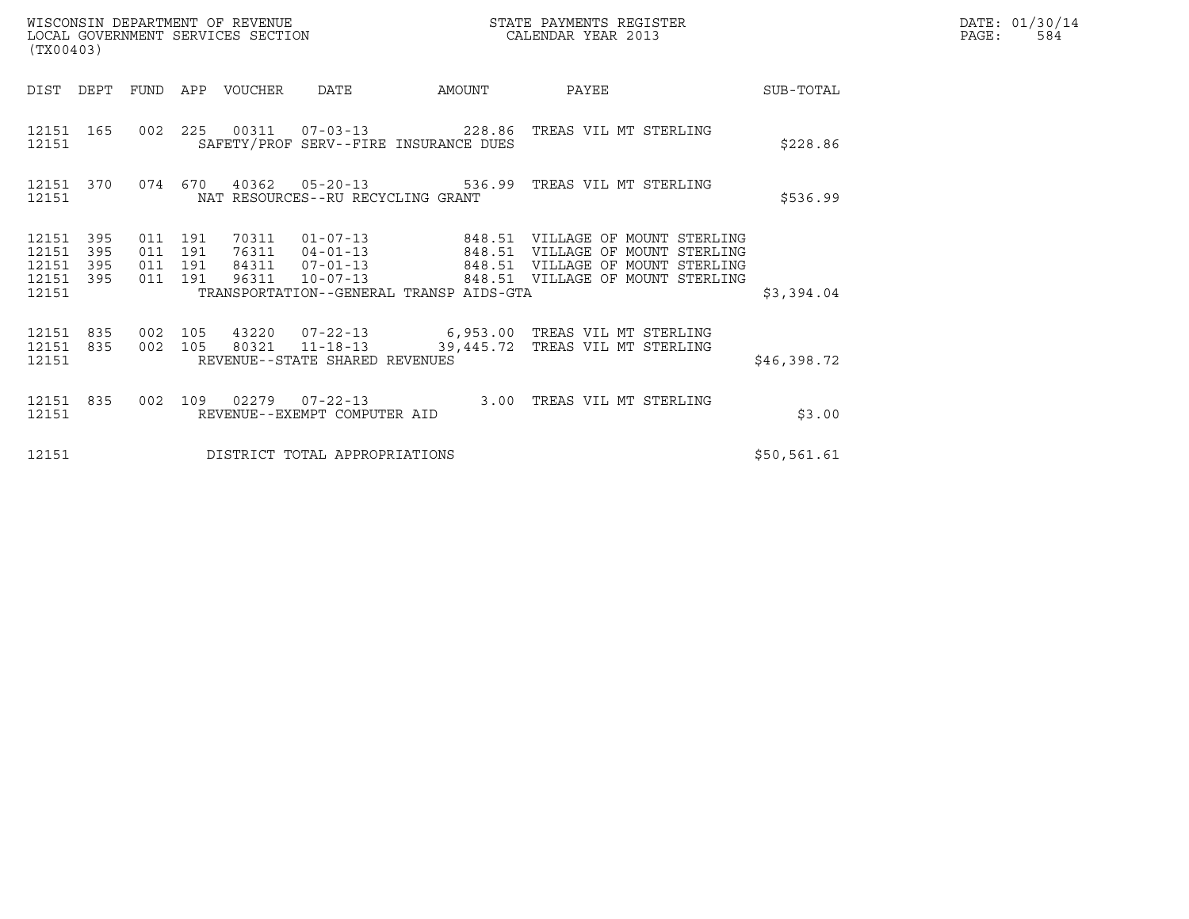| WISCONSIN DEPARTMENT OF REVENUE<br>LOCAL GOVERNMENT SERVICES SECTION<br>(TX00403) |                   |                                          |  |                                 |                                   |                                                                  | STATE PAYMENTS REGISTER<br>CALENDAR YEAR 2013                                                                                                   |             | DATE: 01/30/14<br>PAGE:<br>584 |
|-----------------------------------------------------------------------------------|-------------------|------------------------------------------|--|---------------------------------|-----------------------------------|------------------------------------------------------------------|-------------------------------------------------------------------------------------------------------------------------------------------------|-------------|--------------------------------|
|                                                                                   |                   |                                          |  | DIST DEPT FUND APP VOUCHER DATE |                                   | AMOUNT                                                           | PAYEE                                                                                                                                           | SUB-TOTAL   |                                |
| 12151 165<br>12151                                                                |                   |                                          |  |                                 |                                   | SAFETY/PROF SERV--FIRE INSURANCE DUES                            | 002  225  00311  07-03-13  228.86  TREAS VIL MT STERLING                                                                                        | \$228.86    |                                |
| 12151                                                                             |                   |                                          |  |                                 | NAT RESOURCES--RU RECYCLING GRANT |                                                                  | 12151 370 074 670 40362 05-20-13 536.99 TREAS VIL MT STERLING                                                                                   | \$536.99    |                                |
| 12151<br>12151<br>12151<br>12151 395<br>12151                                     | 395<br>395<br>395 | 011 191<br>011 191<br>011 191<br>011 191 |  | 70311<br>96311                  | 84311  07-01-13<br>$10 - 07 - 13$ | 76311 04-01-13 848.51<br>TRANSPORTATION--GENERAL TRANSP AIDS-GTA | 01-07-13  848.51 VILLAGE OF MOUNT STERLING<br>VILLAGE OF MOUNT STERLING<br>848.51 VILLAGE OF MOUNT STERLING<br>848.51 VILLAGE OF MOUNT STERLING | \$3,394.04  |                                |
| 12151 835<br>12151 835<br>12151                                                   |                   | 002 105<br>002 105                       |  |                                 | REVENUE--STATE SHARED REVENUES    |                                                                  | 43220  07-22-13    6,953.00 TREAS VIL MT STERLING<br>80321 11-18-13 39,445.72 TREAS VIL MT STERLING                                             | \$46,398.72 |                                |
| 12151 835<br>12151                                                                |                   | 002 109                                  |  |                                 | REVENUE--EXEMPT COMPUTER AID      |                                                                  | 02279  07-22-13  3.00 TREAS VIL MT STERLING                                                                                                     | \$3.00      |                                |
| 12151                                                                             |                   |                                          |  |                                 | DISTRICT TOTAL APPROPRIATIONS     |                                                                  |                                                                                                                                                 | \$50,561.61 |                                |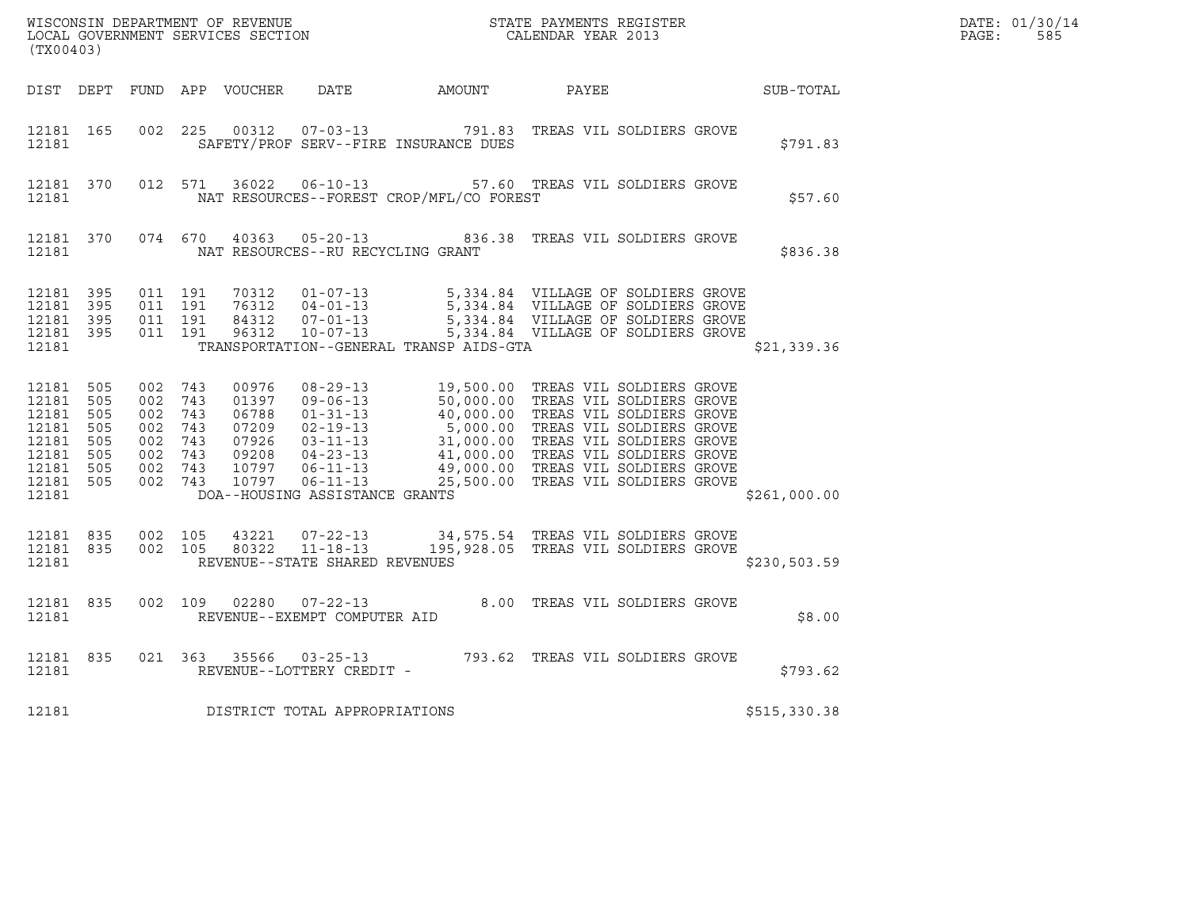| (TX00403)                       |  |                                                   |         |  |                                      |                                                                                                                                                                                                                                                                                    |  | $R = \frac{1}{2}$ | DATE: 01/30/14<br>PAGE:<br>585 |  |
|---------------------------------|--|---------------------------------------------------|---------|--|--------------------------------------|------------------------------------------------------------------------------------------------------------------------------------------------------------------------------------------------------------------------------------------------------------------------------------|--|-------------------|--------------------------------|--|
|                                 |  |                                                   |         |  |                                      | DIST DEPT FUND APP VOUCHER DATE AMOUNT PAYEE PATE SUB-TOTAL                                                                                                                                                                                                                        |  |                   |                                |  |
| 12181                           |  |                                                   |         |  |                                      | 12181 165 002 225 00312 07-03-13 791.83 TREAS VIL SOLDIERS GROVE<br>SAFETY/PROF SERV--FIRE INSURANCE DUES                                                                                                                                                                          |  |                   | \$791.83                       |  |
|                                 |  |                                                   |         |  |                                      | 12181 370 012 571 36022 06-10-13 57.60 TREAS VIL SOLDIERS GROVE                                                                                                                                                                                                                    |  |                   | \$57.60                        |  |
|                                 |  |                                                   |         |  |                                      | 12181 370 074 670 40363 05-20-13 836.38 TREAS VIL SOLDIERS GROVE                                                                                                                                                                                                                   |  |                   | \$836.38                       |  |
| 12181 395<br>12181 395<br>12181 |  | 12181 395 011 191<br>011 191<br>12181 395 011 191 | 011 191 |  |                                      | 70312   01-07-13   5,334.84   VILLAGE OF SOLDIERS GROVE<br>76312   04-01-13   5,334.84   VILLAGE OF SOLDIERS GROVE<br>84312   07-01-13   5,334.84   VILLAGE OF SOLDIERS GROVE<br>96312   10-07-13   5,334.84   VILLAGE OF SOLDIERS GROV<br>TRANSPORTATION--GENERAL TRANSP AIDS-GTA |  |                   | \$21,339.36                    |  |
| 12181                           |  |                                                   |         |  |                                      | 12181 505 002 743 00976 08-29-13 19,500.00 TREAS VIL SOLDIERS GROVE<br>12181 505 002 743 01397 09-06-13 50,000.00 TREAS VIL SOLDIERS GROVE<br>12181 505 002 743 07209 02-19-13 40,000.00 TREAS VIL SOLDIERS GROVE<br>12181 505 002 743<br>DOA--HOUSING ASSISTANCE GRANTS           |  |                   | \$261,000.00                   |  |
|                                 |  |                                                   |         |  | 12181 REVENUE--STATE SHARED REVENUES | $\begin{array}{cccccccc} 12181 & 835 & 002 & 105 & 43221 & 07-22-13 & & 34,575.54 & \text{TREAS VIL SOLDIERS GROVE} \\ 12181 & 835 & 002 & 105 & 80322 & 11-18-13 & & 195,928.05 & \text{TREAS VIL SOLDIERS GROVE} \end{array}$                                                    |  |                   | \$230,503.59                   |  |
|                                 |  |                                                   |         |  |                                      | $\begin{tabular}{lllllll} 12181 & 835 & 002 & 109 & 02280 & 07-22-13 & & 8.00 & \text{TREAS VIL SOLDIERS GROVE} \\ & & & & & & & \\ & & & & & & \\ \end{tabular}$                                                                                                                  |  |                   | \$8.00                         |  |
|                                 |  |                                                   |         |  | 12181 REVENUE--LOTTERY CREDIT -      | 12181 835 021 363 35566 03-25-13 793.62 TREAS VIL SOLDIERS GROVE                                                                                                                                                                                                                   |  |                   | \$793.62                       |  |
| 12181                           |  |                                                   |         |  | DISTRICT TOTAL APPROPRIATIONS        |                                                                                                                                                                                                                                                                                    |  |                   | \$515,330.38                   |  |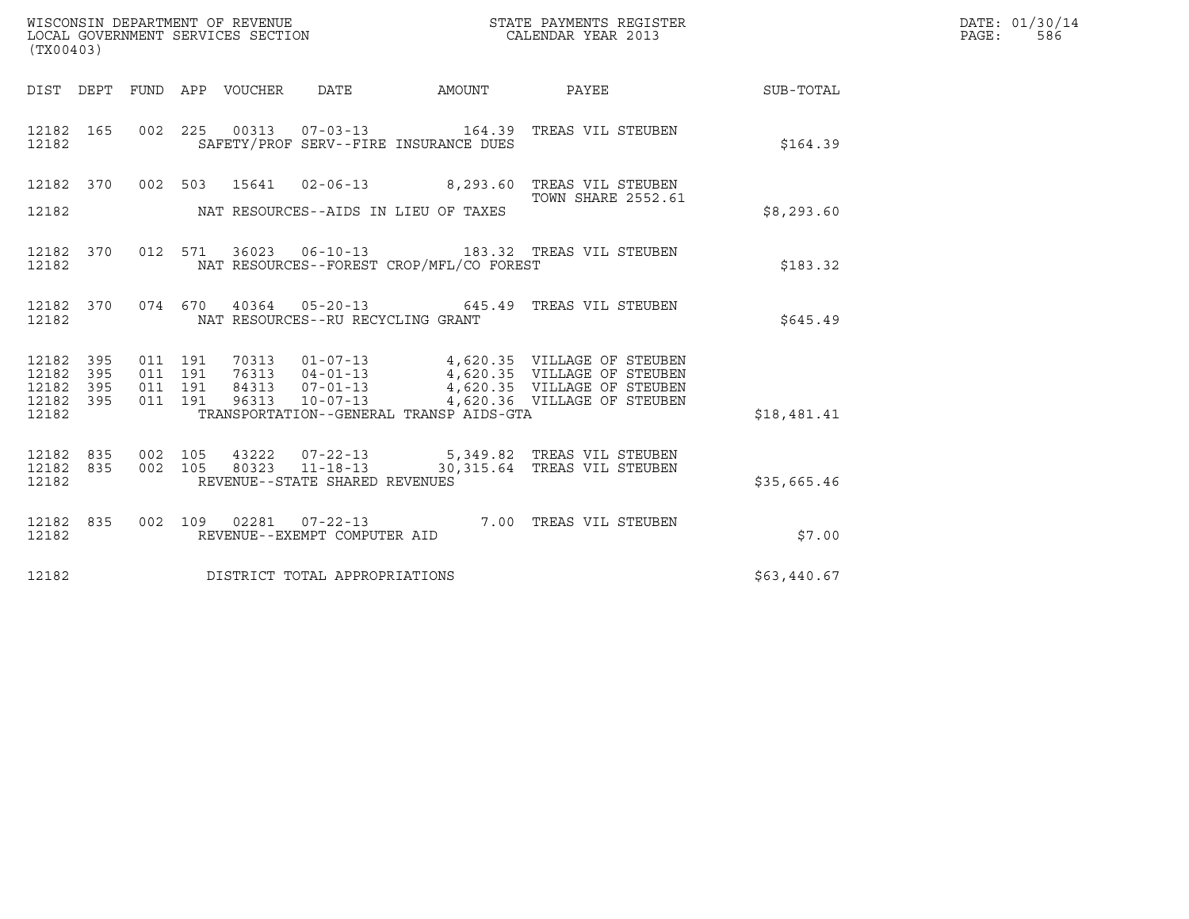| WISCONSIN DEPARTMENT OF REVENUE   | STATE PAYMENTS REGISTER | DATE: 01/30/14 |
|-----------------------------------|-------------------------|----------------|
| LOCAL GOVERNMENT SERVICES SECTION | CALENDAR YEAR 2013      | 586<br>PAGE :  |

| (TX00403)                     |  |  |  |  |                                     |                                            |                                                                                                                                                                                                                      | DATE: 01/30/14<br>PAGE:<br>586 |  |
|-------------------------------|--|--|--|--|-------------------------------------|--------------------------------------------|----------------------------------------------------------------------------------------------------------------------------------------------------------------------------------------------------------------------|--------------------------------|--|
|                               |  |  |  |  |                                     |                                            | DIST DEPT FUND APP VOUCHER DATE AMOUNT PAYEE SUB-TOTAL                                                                                                                                                               |                                |  |
| 12182 and the state of $\sim$ |  |  |  |  |                                     | SAFETY/PROF SERV--FIRE INSURANCE DUES      | 12182 165 002 225 00313 07-03-13 164.39 TREAS VIL STEUBEN                                                                                                                                                            | \$164.39                       |  |
|                               |  |  |  |  |                                     |                                            | 12182 370 002 503 15641 02-06-13 8,293.60 TREAS VIL STEUBEN<br>TOWN SHARE 2552.61                                                                                                                                    |                                |  |
|                               |  |  |  |  |                                     | 12182 MAT RESOURCES--AIDS IN LIEU OF TAXES |                                                                                                                                                                                                                      | \$8,293.60                     |  |
| 12182                         |  |  |  |  |                                     | NAT RESOURCES--FOREST CROP/MFL/CO FOREST   | 12182 370 012 571 36023 06-10-13 183.32 TREAS VIL STEUBEN                                                                                                                                                            | \$183.32                       |  |
|                               |  |  |  |  |                                     | 12182 NAT RESOURCES--RU RECYCLING GRANT    | 12182 370 074 670 40364 05-20-13 645.49 TREAS VIL STEUBEN                                                                                                                                                            | \$645.49                       |  |
| 12182 395<br>12182 395        |  |  |  |  |                                     |                                            | 011 191 70313 01-07-13 4,620.35 VILLAGE OF STEUBEN<br>011 191 76313 04-01-13 4,620.35 VILLAGE OF STEUBEN<br>011 191 84313 07-01-13 4,620.35 VILLAGE OF STEUBEN<br>011 191 96313 10-07-13 4,620.36 VILLAGE OF STEUBEN |                                |  |
| 12182 395<br>12182 395        |  |  |  |  |                                     |                                            |                                                                                                                                                                                                                      |                                |  |
| 12182                         |  |  |  |  |                                     |                                            | TRANSPORTATION--GENERAL TRANSP AIDS-GTA                                                                                                                                                                              | \$18,481.41                    |  |
| 12182 835<br>12182 835        |  |  |  |  |                                     |                                            | 002 105 43222 07-22-13 5,349.82 TREAS VIL STEUBEN<br>002 105 80323 11-18-13 30,315.64 TREAS VIL STEUBEN                                                                                                              |                                |  |
| 12182                         |  |  |  |  | REVENUE--STATE SHARED REVENUES      |                                            |                                                                                                                                                                                                                      | \$35,665.46                    |  |
| 12182                         |  |  |  |  | REVENUE--EXEMPT COMPUTER AID        |                                            | 12182 835 002 109 02281 07-22-13 7.00 TREAS VIL STEUBEN                                                                                                                                                              | \$7.00                         |  |
|                               |  |  |  |  | 12182 DISTRICT TOTAL APPROPRIATIONS |                                            |                                                                                                                                                                                                                      | \$63,440.67                    |  |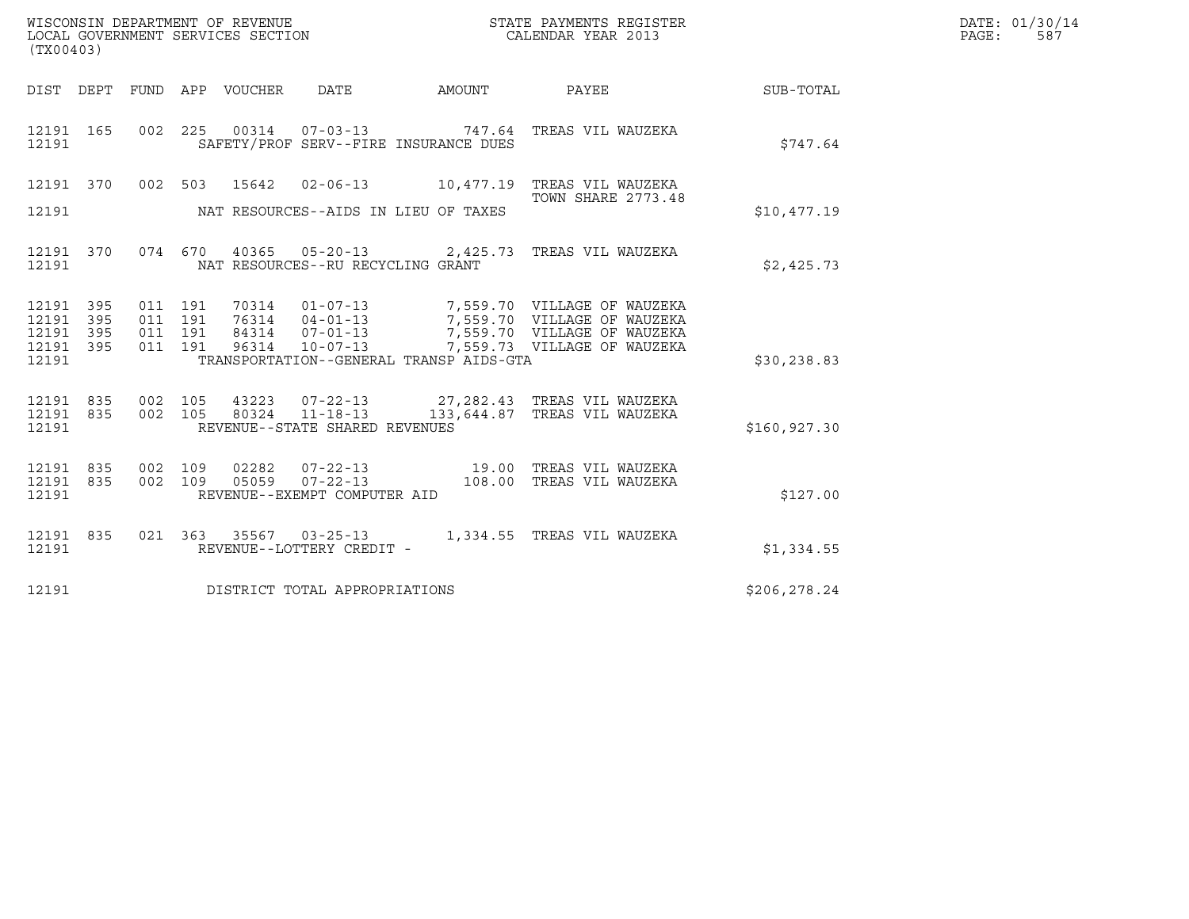| (TX00403)                       |            | WISCONSIN DEPARTMENT OF REVENUE | LOCAL GOVERNMENT SERVICES SECTION     |                                         | STATE PAYMENTS REGISTER<br>CALENDAR YEAR 2013                                                                                                            | DATE: 01/30/14<br>PAGE: 587 |  |
|---------------------------------|------------|---------------------------------|---------------------------------------|-----------------------------------------|----------------------------------------------------------------------------------------------------------------------------------------------------------|-----------------------------|--|
|                                 |            |                                 | DIST DEPT FUND APP VOUCHER DATE       | AMOUNT                                  | PAYEE                                                                                                                                                    | <b>SUB-TOTAL</b>            |  |
| 12191                           |            |                                 | SAFETY/PROF SERV--FIRE INSURANCE DUES |                                         | 12191 165 002 225 00314 07-03-13 747.64 TREAS VIL WAUZEKA                                                                                                | \$747.64                    |  |
|                                 |            |                                 |                                       |                                         | 12191 370 002 503 15642 02-06-13 10,477.19 TREAS VIL WAUZEKA<br><b>TOWN SHARE 2773.48</b>                                                                |                             |  |
| 12191                           |            |                                 | NAT RESOURCES--AIDS IN LIEU OF TAXES  |                                         |                                                                                                                                                          | \$10,477.19                 |  |
| 12191                           |            |                                 | NAT RESOURCES--RU RECYCLING GRANT     |                                         | 12191 370 074 670 40365 05-20-13 2,425.73 TREAS VIL WAUZEKA                                                                                              | \$2,425.73                  |  |
| 12191 395<br>12191              | 395        |                                 |                                       |                                         | 011 191 70314 01-07-13 7,559.70 VILLAGEOFWAUZEKA<br>011 191 76314 04-01-13 7,559.70 VILLAGEOFWAUZEKA<br>011 191 84314 07-01-13 7,559.70 VILLAGEOFWAUZEKA |                             |  |
| 12191<br>12191<br>12191         | 395<br>395 |                                 |                                       | TRANSPORTATION--GENERAL TRANSP AIDS-GTA | 011 191 96314 10-07-13 7,559.73 VILLAGE OF WAUZEKA                                                                                                       | \$30,238.83                 |  |
| 12191                           |            |                                 | REVENUE--STATE SHARED REVENUES        |                                         | 12191 835 002 105 43223 07-22-13 27,282.43 TREAS_VIL_WAUZEKA<br>12191 835 002 105 80324 11-18-13 133,644.87 TREAS_VIL_WAUZEKA                            | \$160,927.30                |  |
| 12191 835<br>12191 835<br>12191 |            |                                 | REVENUE--EXEMPT COMPUTER AID          |                                         | 002 109 02282 07-22-13 19.00 TREAS VIL WAUZEKA<br>002 109 05059 07-22-13 108.00 TREAS VIL WAUZEKA                                                        | \$127.00                    |  |
| 12191                           |            |                                 | REVENUE--LOTTERY CREDIT -             |                                         | 12191 835 021 363 35567 03-25-13 1,334.55 TREAS VIL WAUZEKA                                                                                              | \$1,334.55                  |  |
| 12191                           |            |                                 | DISTRICT TOTAL APPROPRIATIONS         |                                         |                                                                                                                                                          | \$206,278.24                |  |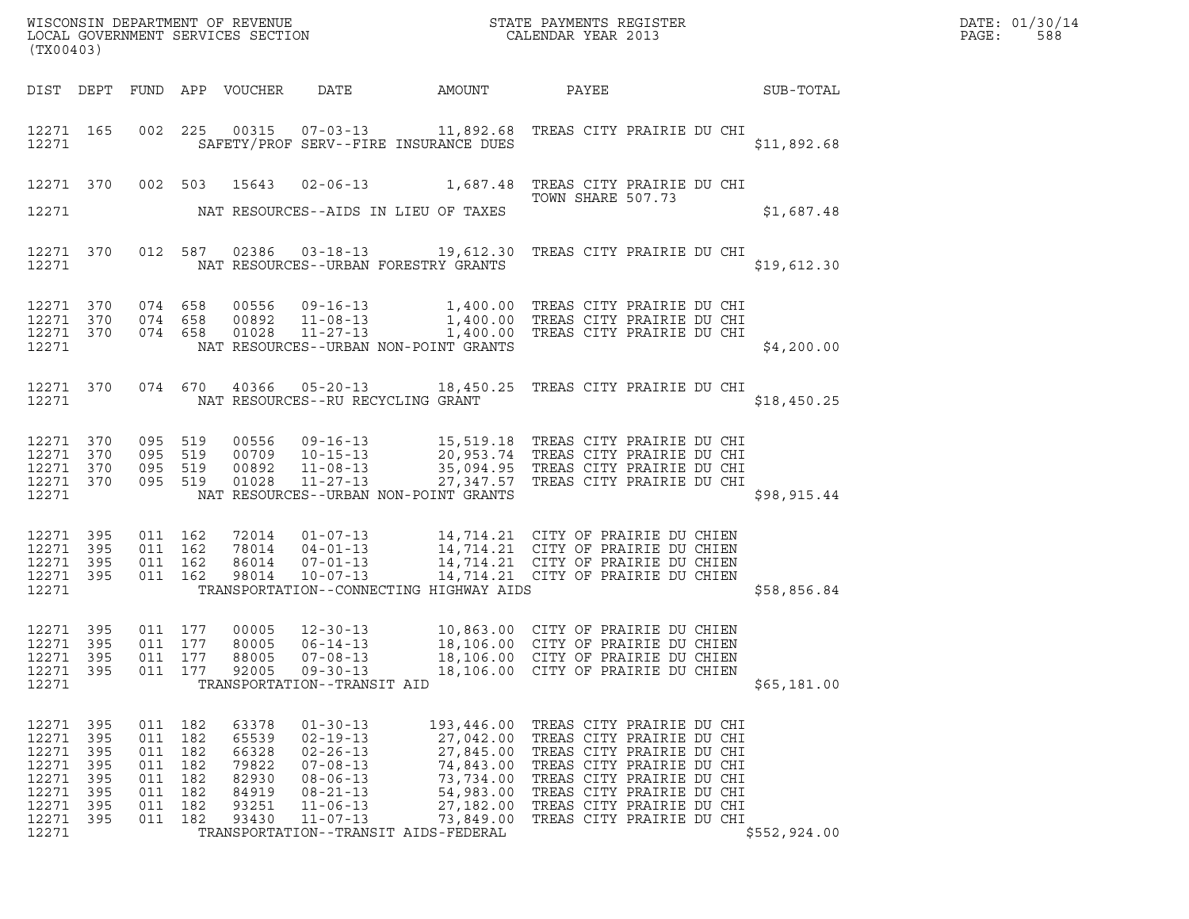| DATE: | 01/30/14 |
|-------|----------|
| PAGE: | 588      |

| (TX00403)                       |                   |                           |                   |                            |                                                    | ${\tt WISCONSIN} \begin{tabular}{l} DEPARTMENT OF REVIEW \\ LOCAL BONERNMENT SERVICES SECTION \\ \end{tabular}$                                                                                                      |                                                                                                                |  |  |                  | DATE: 01/30/14<br>PAGE:<br>588 |
|---------------------------------|-------------------|---------------------------|-------------------|----------------------------|----------------------------------------------------|----------------------------------------------------------------------------------------------------------------------------------------------------------------------------------------------------------------------|----------------------------------------------------------------------------------------------------------------|--|--|------------------|--------------------------------|
|                                 |                   |                           |                   | DIST DEPT FUND APP VOUCHER | DATE                                               | AMOUNT                                                                                                                                                                                                               | PAYEE                                                                                                          |  |  | <b>SUB-TOTAL</b> |                                |
| 12271                           | 12271 165         |                           |                   |                            |                                                    | 002 225 00315 07-03-13 11,892.68 TREAS CITY PRAIRIE DU CHI<br>SAFETY/PROF SERV--FIRE INSURANCE DUES                                                                                                                  |                                                                                                                |  |  | \$11,892.68      |                                |
|                                 |                   |                           |                   | 12271 370 002 503 15643    |                                                    | 02-06-13 1,687.48 TREAS CITY PRAIRIE DU CHI                                                                                                                                                                          | TOWN SHARE 507.73                                                                                              |  |  |                  |                                |
| 12271                           |                   |                           |                   |                            |                                                    | NAT RESOURCES--AIDS IN LIEU OF TAXES                                                                                                                                                                                 |                                                                                                                |  |  | \$1,687.48       |                                |
| 12271                           | 12271 370         |                           |                   |                            |                                                    | 012 587 02386 03-18-13 19,612.30 TREAS CITY PRAIRIE DU CHI<br>NAT RESOURCES--URBAN FORESTRY GRANTS                                                                                                                   |                                                                                                                |  |  | \$19,612.30      |                                |
| 12271 370<br>12271 370          |                   | 074 658<br>074 658        |                   |                            |                                                    | 00556 09-16-13 1,400.00 TREAS CITY PRAIRIE DU CHI<br>00892 11-08-13 1,400.00 TREAS CITY PRAIRIE DU CHI<br>01028 11-27-13 1,400.00 TREAS CITY PRAIRIE DU CHI                                                          |                                                                                                                |  |  |                  |                                |
| 12271 370<br>12271              |                   | 074 658                   |                   |                            |                                                    | NAT RESOURCES--URBAN NON-POINT GRANTS                                                                                                                                                                                |                                                                                                                |  |  | \$4,200.00       |                                |
| 12271                           | 12271 370         | 074 670                   |                   |                            | NAT RESOURCES--RU RECYCLING GRANT                  | 40366  05-20-13   18,450.25   TREAS CITY PRAIRIE DU CHI                                                                                                                                                              |                                                                                                                |  |  | \$18,450.25      |                                |
| 12271 370<br>12271 370          |                   | 095 519<br>095 519        |                   |                            |                                                    | 00556 09-16-13 15,519.18 TREAS CITY PRAIRIE DU CHI<br>00709 10-15-13 20,953.74 TREAS CITY PRAIRIE DU CHI<br>00892 11-08-13 35,094.95 TREAS CITY PRAIRIE DU CHI<br>01028 11-27-13 27,347.57 TREAS CITY PRAIRIE DU CHI |                                                                                                                |  |  |                  |                                |
| 12271 370<br>12271              | 12271 370         | 095 519<br>095 519        |                   |                            |                                                    | NAT RESOURCES--URBAN NON-POINT GRANTS                                                                                                                                                                                |                                                                                                                |  |  | \$98, 915.44     |                                |
| 12271 395<br>12271              | 395               | 011 162<br>011 162        |                   |                            |                                                    | 72014  01-07-13  14, 714.21  CITY OF PRAIRIE DU CHIEN                                                                                                                                                                |                                                                                                                |  |  |                  |                                |
| 12271 395<br>12271 395<br>12271 |                   | 011 162<br>011 162        |                   |                            |                                                    | 78014 04-01-13 14,714.21 CITY OF PRAIRIE DU CHIEN<br>86014 07-01-13 14,714.21 CITY OF PRAIRIE DU CHIEN<br>98014 10-07-13 14,714.21 CITY OF PRAIRIE DU CHIEN<br>TRANSPORTATION--CONNECTING HIGHWAY AIDS               |                                                                                                                |  |  | \$58,856.84      |                                |
|                                 |                   |                           |                   |                            |                                                    |                                                                                                                                                                                                                      |                                                                                                                |  |  |                  |                                |
| 12271 395<br>12271 395<br>12271 | 395               | 011 177<br>011 177<br>011 | 177               | 00005<br>80005<br>88005    | $12 - 30 - 13$<br>$06 - 14 - 13$<br>$07 - 08 - 13$ |                                                                                                                                                                                                                      | 10,863.00 CITY OF PRAIRIE DU CHIEN<br>18,106.00 CITY OF PRAIRIE DU CHIEN<br>18,106.00 CITY OF PRAIRIE DU CHIEN |  |  |                  |                                |
| 12271<br>12271                  | 395               | 011 177                   |                   | 92005                      | $09 - 30 - 13$<br>TRANSPORTATION--TRANSIT AID      |                                                                                                                                                                                                                      | 18,106.00 CITY OF PRAIRIE DU CHIEN                                                                             |  |  | \$65,181.00      |                                |
| 12271<br>12271                  | 395<br>395        | 011 182<br>011            | 182               | 63378<br>65539             | $01 - 30 - 13$<br>$02 - 19 - 13$                   | 193,446.00<br>27,042.00                                                                                                                                                                                              | TREAS CITY PRAIRIE DU CHI<br>TREAS CITY PRAIRIE DU CHI                                                         |  |  |                  |                                |
| 12271<br>12271<br>12271         | 395<br>395<br>395 | 011<br>011                | 182<br>182<br>182 | 66328<br>79822<br>82930    | $02 - 26 - 13$<br>$07 - 08 - 13$<br>$08 - 06 - 13$ | 27,845.00<br>74,843.00<br>73,734.00                                                                                                                                                                                  | TREAS CITY PRAIRIE DU CHI<br>TREAS CITY PRAIRIE DU CHI                                                         |  |  |                  |                                |
| 12271<br>12271                  | 395<br>395        | 011<br>011<br>011         | 182<br>182        | 84919<br>93251             | $08 - 21 - 13$<br>$11 - 06 - 13$                   | 54,983.00<br>27,182.00                                                                                                                                                                                               | TREAS CITY PRAIRIE DU CHI<br>TREAS CITY PRAIRIE DU CHI<br>TREAS CITY PRAIRIE DU CHI                            |  |  |                  |                                |
| 12271<br>12271                  | 395               | 011 182                   |                   | 93430                      | $11 - 07 - 13$                                     | 73,849.00<br>TRANSPORTATION--TRANSIT AIDS-FEDERAL                                                                                                                                                                    | TREAS CITY PRAIRIE DU CHI                                                                                      |  |  | \$552,924.00     |                                |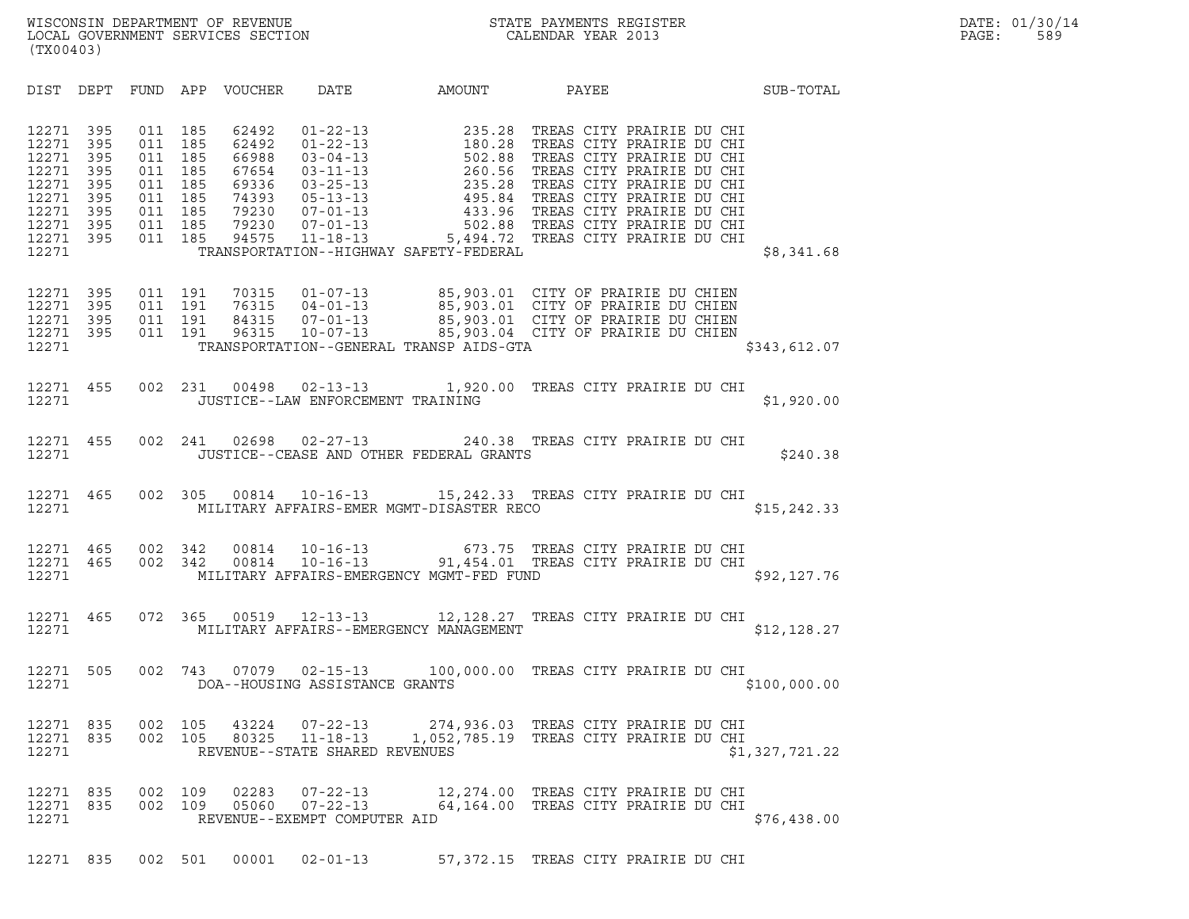| (TX00403)                                                   |                                                                               |                                               |                                                                     |                                                                               |                                                                  |                                                                                                                                                                                                                                                                                                                |                                                                            |  |                |
|-------------------------------------------------------------|-------------------------------------------------------------------------------|-----------------------------------------------|---------------------------------------------------------------------|-------------------------------------------------------------------------------|------------------------------------------------------------------|----------------------------------------------------------------------------------------------------------------------------------------------------------------------------------------------------------------------------------------------------------------------------------------------------------------|----------------------------------------------------------------------------|--|----------------|
|                                                             | DIST DEPT                                                                     | FUND                                          |                                                                     |                                                                               |                                                                  | APP VOUCHER DATE AMOUNT PAYEE                                                                                                                                                                                                                                                                                  |                                                                            |  | SUB-TOTAL      |
| 12271<br>12271<br>12271<br>12271<br>12271<br>12271<br>12271 | 395<br>12271 395<br>395<br>395<br>395<br>395<br>395<br>12271 395<br>12271 395 | 011<br>011<br>011<br>011<br>011<br>011<br>011 | 185<br>185<br>185<br>185<br>185<br>011 185<br>185<br>011 185<br>185 | 62492<br>62492<br>66988<br>67654<br>69336<br>74393<br>79230<br>79230<br>94575 |                                                                  | 01-22-13<br>01-22-13<br>01-22-13<br>03-04-13<br>03-04-13<br>03-11-13<br>03-25-13<br>03-25-13<br>03-25-13<br>03-25-13<br>03-25-13<br>03-25-13<br>03-25-13<br>03-25-13<br>235.28<br>TREAS CITY PRAIRIE DU CHI<br>07-01-13<br>495.84<br>TREAS CITY PRAIRIE DU CHI<br>07<br>TRANSPORTATION--HIGHWAY SAFETY-FEDERAL |                                                                            |  | \$8,341.68     |
| 12271<br>12271<br>12271                                     | 395<br>12271 395<br>- 395<br>12271 395                                        | 011                                           | 011 191<br>011 191<br>191<br>011 191                                |                                                                               |                                                                  | 70315  01-07-13  85,903.01  CITY OF PRAIRIE DU CHIEN<br>76315  04-01-13  85,903.01  CITY OF PRAIRIE DU CHIEN<br>84315  07-01-13  85,903.01  CITY OF PRAIRIE DU CHIEN<br>96315  10-07-13  85,903.04  CITY OF PRAIRIE DU CHIEN<br>TRANSPORTATION--GENERAL TRANSP AIDS-GTA                                        |                                                                            |  | \$343,612.07   |
| 12271                                                       | 12271 455                                                                     | 002                                           | 231                                                                 | 00498                                                                         | JUSTICE--LAW ENFORCEMENT TRAINING                                | 02-13-13 1,920.00 TREAS CITY PRAIRIE DU CHI                                                                                                                                                                                                                                                                    |                                                                            |  | \$1,920.00     |
| 12271                                                       | 12271 455                                                                     | 002                                           | 241                                                                 | 02698                                                                         |                                                                  | 02-27-13 240.38 TREAS CITY PRAIRIE DU CHI<br>JUSTICE--CEASE AND OTHER FEDERAL GRANTS                                                                                                                                                                                                                           |                                                                            |  | \$240.38       |
| 12271                                                       | 12271 465                                                                     | 002                                           | 305                                                                 |                                                                               |                                                                  | 00814  10-16-13  15,242.33  TREAS CITY PRAIRIE DU CHI<br>MILITARY AFFAIRS-EMER MGMT-DISASTER RECO                                                                                                                                                                                                              |                                                                            |  | \$15, 242.33   |
| 12271                                                       | 12271 465<br>12271 465                                                        | 002<br>002                                    | 342<br>342                                                          | 00814<br>00814                                                                |                                                                  | 10-16-13 673.75 TREAS CITY PRAIRIE DU CHI<br>10-16-13 91,454.01 TREAS CITY PRAIRIE DU CHI<br>MILITARY AFFAIRS-EMERGENCY MGMT-FED FUND                                                                                                                                                                          |                                                                            |  | \$92,127.76    |
| 12271<br>12271                                              | 465                                                                           | 072                                           | 365                                                                 |                                                                               |                                                                  | 00519  12-13-13  12, 128.27  TREAS CITY PRAIRIE DU CHI<br>MILITARY AFFAIRS--EMERGENCY MANAGEMENT                                                                                                                                                                                                               |                                                                            |  | \$12, 128.27   |
| 12271<br>12271                                              | 505                                                                           | 002                                           |                                                                     |                                                                               | DOA--HOUSING ASSISTANCE GRANTS                                   | 743  07079  02-15-13  100,000.00 TREAS CITY PRAIRIE DU CHI                                                                                                                                                                                                                                                     |                                                                            |  | \$100,000.00   |
| 12271                                                       | 12271 835<br>12271 835                                                        | 002<br>002                                    | 105<br>105                                                          | 43224<br>80325                                                                | $11 - 18 - 13$<br>REVENUE--STATE SHARED REVENUES                 | 07-22-13 274,936.03 TREAS CITY PRAIRIE DU CHI<br>1,052,785.19 TREAS CITY PRAIRIE DU CHI                                                                                                                                                                                                                        |                                                                            |  | \$1,327,721.22 |
| 12271                                                       | 12271 835<br>12271 835                                                        | 002<br>002                                    | 109<br>109                                                          | 02283<br>05060                                                                | $07 - 22 - 13$<br>$07 - 22 - 13$<br>REVENUE--EXEMPT COMPUTER AID |                                                                                                                                                                                                                                                                                                                | 12,274.00 TREAS CITY PRAIRIE DU CHI<br>64,164.00 TREAS CITY PRAIRIE DU CHI |  | \$76,438.00    |
|                                                             | 12271 835                                                                     |                                               | 002 501                                                             |                                                                               |                                                                  |                                                                                                                                                                                                                                                                                                                |                                                                            |  |                |